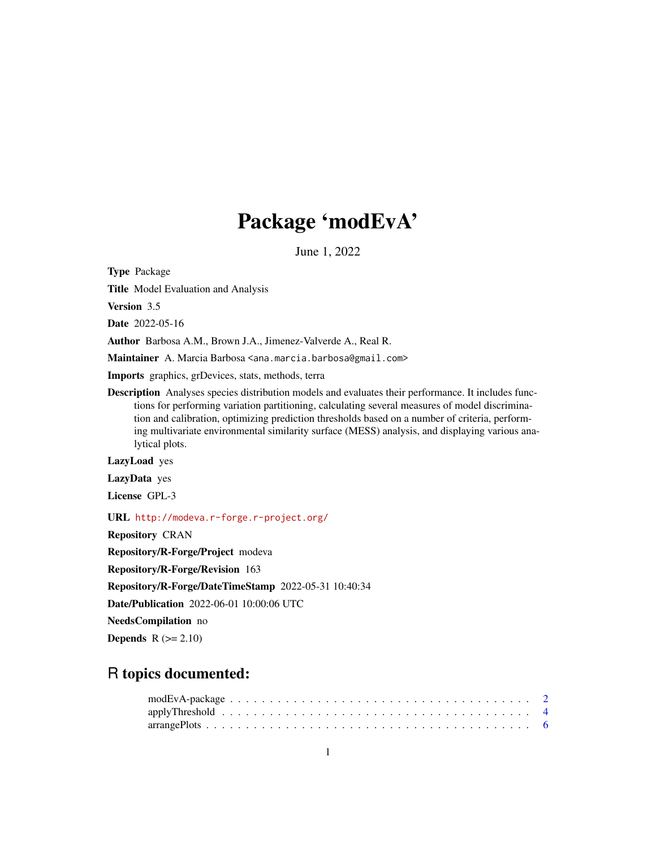# Package 'modEvA'

June 1, 2022

<span id="page-0-0"></span>Type Package

Title Model Evaluation and Analysis

Version 3.5

Date 2022-05-16

Author Barbosa A.M., Brown J.A., Jimenez-Valverde A., Real R.

Maintainer A. Marcia Barbosa <ana.marcia.barbosa@gmail.com>

Imports graphics, grDevices, stats, methods, terra

Description Analyses species distribution models and evaluates their performance. It includes functions for performing variation partitioning, calculating several measures of model discrimination and calibration, optimizing prediction thresholds based on a number of criteria, performing multivariate environmental similarity surface (MESS) analysis, and displaying various analytical plots.

LazyLoad yes

LazyData yes

License GPL-3

URL <http://modeva.r-forge.r-project.org/>

Repository CRAN

Repository/R-Forge/Project modeva

Repository/R-Forge/Revision 163

Repository/R-Forge/DateTimeStamp 2022-05-31 10:40:34

Date/Publication 2022-06-01 10:00:06 UTC

NeedsCompilation no

**Depends**  $R$  ( $>= 2.10$ )

## R topics documented: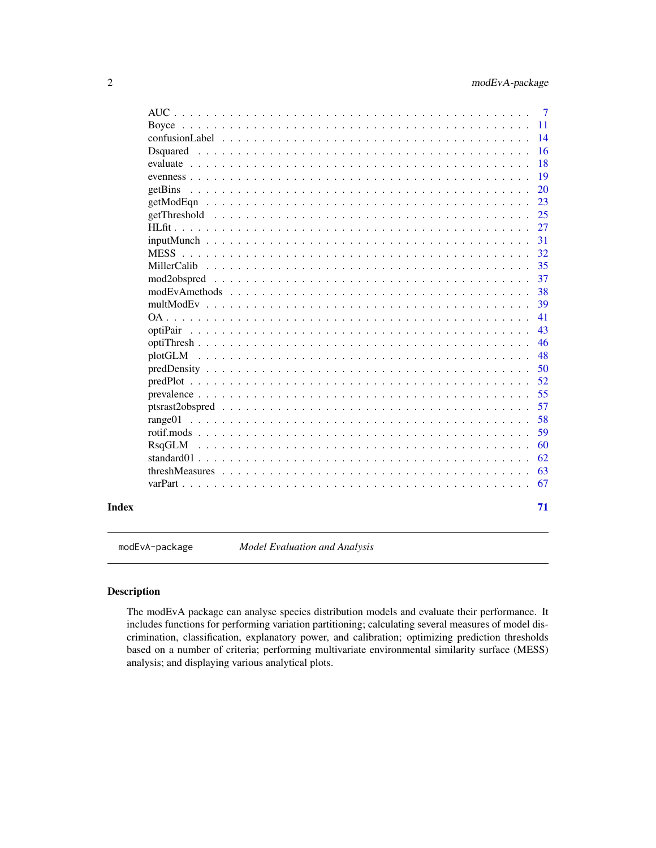<span id="page-1-0"></span>

|             |  |  |  | $\overline{7}$ |
|-------------|--|--|--|----------------|
|             |  |  |  | -11            |
|             |  |  |  | 14             |
| Dsquared    |  |  |  | 16             |
|             |  |  |  | 18             |
|             |  |  |  | 19             |
|             |  |  |  | 20             |
|             |  |  |  | 23             |
|             |  |  |  | 25             |
|             |  |  |  | 27             |
|             |  |  |  | 31             |
| <b>MESS</b> |  |  |  | 32             |
| MillerCalib |  |  |  | 35             |
|             |  |  |  | 37             |
|             |  |  |  | 38             |
|             |  |  |  | 39             |
|             |  |  |  | 41             |
|             |  |  |  | 43             |
|             |  |  |  | 46             |
|             |  |  |  | 48             |
|             |  |  |  | 50             |
|             |  |  |  | 52             |
|             |  |  |  | 55             |
|             |  |  |  | 57             |
|             |  |  |  | 58             |
|             |  |  |  | 59             |
|             |  |  |  | 60             |
|             |  |  |  | 62             |
|             |  |  |  | 63             |
|             |  |  |  | 67             |
|             |  |  |  | 71             |

modEvA-package *Model Evaluation and Analysis*

### Description

The modEvA package can analyse species distribution models and evaluate their performance. It includes functions for performing variation partitioning; calculating several measures of model discrimination, classification, explanatory power, and calibration; optimizing prediction thresholds based on a number of criteria; performing multivariate environmental similarity surface (MESS) analysis; and displaying various analytical plots.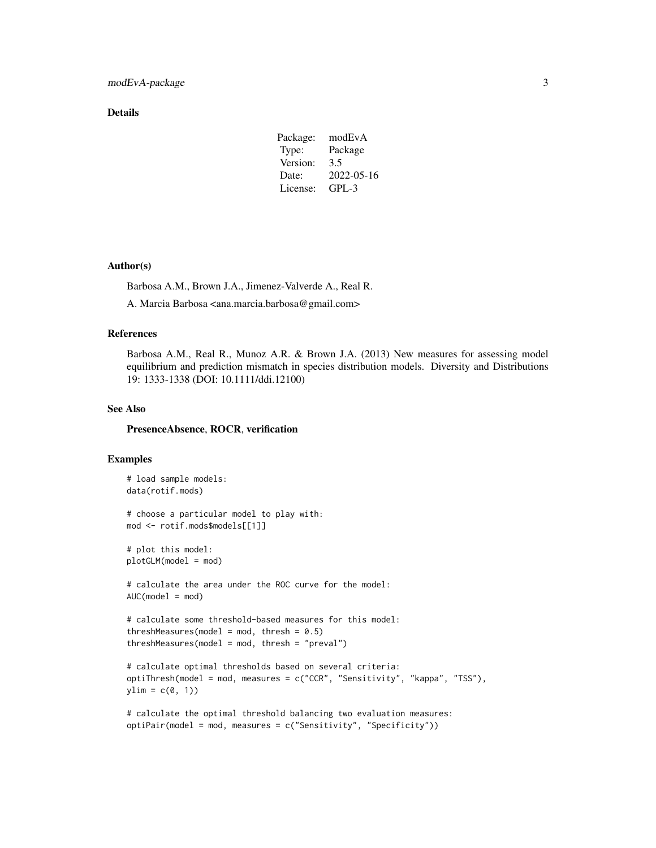### Details

| Package: | modEvA     |
|----------|------------|
| Type:    | Package    |
| Version: | 3.5        |
| Date:    | 2022-05-16 |
| License: | $GPI - 3$  |

### Author(s)

Barbosa A.M., Brown J.A., Jimenez-Valverde A., Real R.

A. Marcia Barbosa <ana.marcia.barbosa@gmail.com>

### References

Barbosa A.M., Real R., Munoz A.R. & Brown J.A. (2013) New measures for assessing model equilibrium and prediction mismatch in species distribution models. Diversity and Distributions 19: 1333-1338 (DOI: 10.1111/ddi.12100)

### See Also

#### PresenceAbsence, ROCR, verification

### Examples

```
# load sample models:
data(rotif.mods)
# choose a particular model to play with:
mod <- rotif.mods$models[[1]]
# plot this model:
plotGLM(model = mod)
# calculate the area under the ROC curve for the model:
AUC(model = mod)# calculate some threshold-based measures for this model:
threshMeasures(model = mod, thresh = 0.5)
threshold = mod, thresh = "preval")# calculate optimal thresholds based on several criteria:
optiThresh(model = mod, measures = c("CCR", "Sensitivity", "kappa", "TSS"),
ylim = c(0, 1)# calculate the optimal threshold balancing two evaluation measures:
```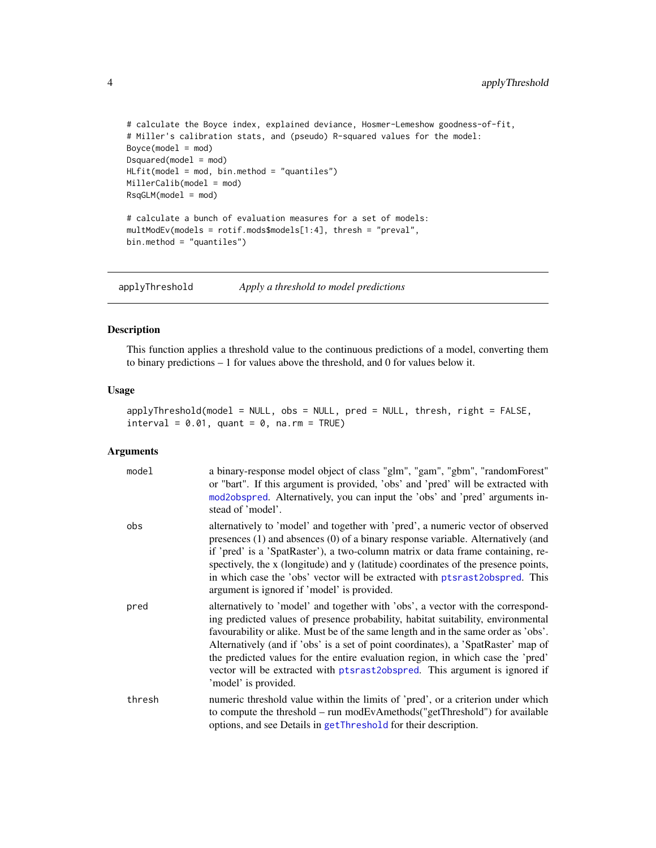```
# calculate the Boyce index, explained deviance, Hosmer-Lemeshow goodness-of-fit,
# Miller's calibration stats, and (pseudo) R-squared values for the model:
Boyce(model = mod)Dsquared(model = mod)
HLfit(model = mod, bin.method = "quantiles")
MillerCalib(model = mod)
RsqGLM(model = mod)
# calculate a bunch of evaluation measures for a set of models:
multModEv(models = rotif.mods$models[1:4], thresh = "preval",
bin.method = "quantiles")
```
applyThreshold *Apply a threshold to model predictions*

### Description

This function applies a threshold value to the continuous predictions of a model, converting them to binary predictions – 1 for values above the threshold, and 0 for values below it.

### Usage

```
applyThreshold(model = NULL, obs = NULL, pred = NULL, thresh, right = FALSE,
interval = 0.01, quant = 0, na.rm = TRUE)
```

| model  | a binary-response model object of class "glm", "gam", "gbm", "randomForest"<br>or "bart". If this argument is provided, 'obs' and 'pred' will be extracted with<br>mod2obspred. Alternatively, you can input the 'obs' and 'pred' arguments in-<br>stead of 'model'.                                                                                                                                                                                                                                                                    |
|--------|-----------------------------------------------------------------------------------------------------------------------------------------------------------------------------------------------------------------------------------------------------------------------------------------------------------------------------------------------------------------------------------------------------------------------------------------------------------------------------------------------------------------------------------------|
| obs    | alternatively to 'model' and together with 'pred', a numeric vector of observed<br>presences (1) and absences (0) of a binary response variable. Alternatively (and<br>if 'pred' is a 'SpatRaster'), a two-column matrix or data frame containing, re-<br>spectively, the x (longitude) and y (latitude) coordinates of the presence points,<br>in which case the 'obs' vector will be extracted with ptsrast2obspred. This<br>argument is ignored if 'model' is provided.                                                              |
| pred   | alternatively to 'model' and together with 'obs', a vector with the correspond-<br>ing predicted values of presence probability, habitat suitability, environmental<br>favourability or alike. Must be of the same length and in the same order as 'obs'.<br>Alternatively (and if 'obs' is a set of point coordinates), a 'SpatRaster' map of<br>the predicted values for the entire evaluation region, in which case the 'pred'<br>vector will be extracted with ptsrast2obspred. This argument is ignored if<br>'model' is provided. |
| thresh | numeric threshold value within the limits of 'pred', or a criterion under which<br>to compute the threshold – run modEvAmethods("getThreshold") for available<br>options, and see Details in getThreshold for their description.                                                                                                                                                                                                                                                                                                        |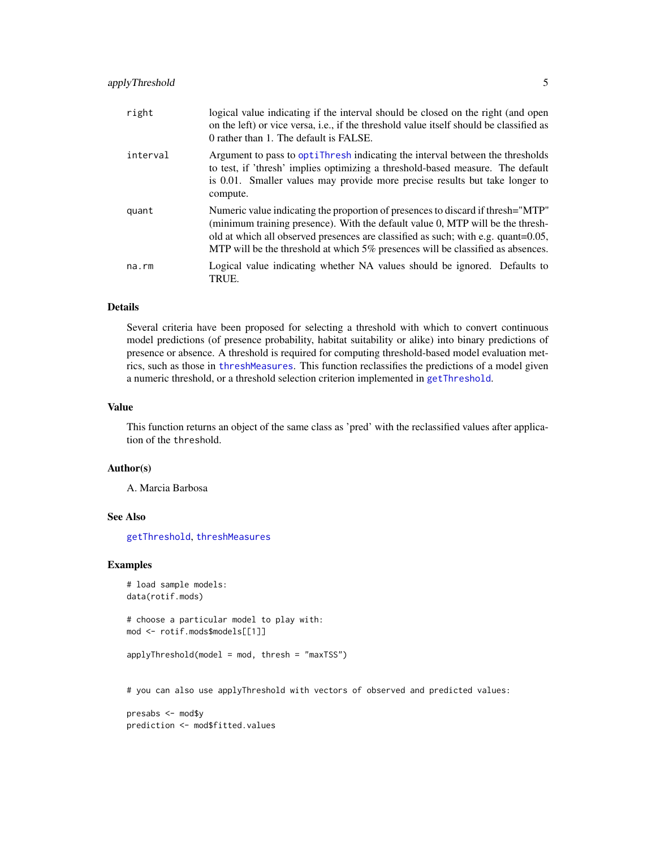<span id="page-4-0"></span>

| right    | logical value indicating if the interval should be closed on the right (and open<br>on the left) or vice versa, i.e., if the threshold value itself should be classified as<br>0 rather than 1. The default is FALSE.                                                                                                                     |
|----------|-------------------------------------------------------------------------------------------------------------------------------------------------------------------------------------------------------------------------------------------------------------------------------------------------------------------------------------------|
| interval | Argument to pass to optitude indicating the interval between the thresholds<br>to test, if 'thresh' implies optimizing a threshold-based measure. The default<br>is 0.01. Smaller values may provide more precise results but take longer to<br>compute.                                                                                  |
| quant    | Numeric value indicating the proportion of presences to discard if thresh="MTP"<br>(minimum training presence). With the default value 0, MTP will be the thresh-<br>old at which all observed presences are classified as such; with e.g. quant=0.05,<br>MTP will be the threshold at which 5% presences will be classified as absences. |
| na.rm    | Logical value indicating whether NA values should be ignored. Defaults to<br>TRUE.                                                                                                                                                                                                                                                        |

### Details

Several criteria have been proposed for selecting a threshold with which to convert continuous model predictions (of presence probability, habitat suitability or alike) into binary predictions of presence or absence. A threshold is required for computing threshold-based model evaluation metrics, such as those in [threshMeasures](#page-62-1). This function reclassifies the predictions of a model given a numeric threshold, or a threshold selection criterion implemented in [getThreshold](#page-24-1).

#### Value

This function returns an object of the same class as 'pred' with the reclassified values after application of the threshold.

#### Author(s)

A. Marcia Barbosa

#### See Also

[getThreshold](#page-24-1), [threshMeasures](#page-62-1)

### Examples

```
# load sample models:
data(rotif.mods)
```

```
# choose a particular model to play with:
mod <- rotif.mods$models[[1]]
```

```
applyThreshold(model = mod, thresh = "maxTSS")
```
# you can also use applyThreshold with vectors of observed and predicted values:

presabs <- mod\$y prediction <- mod\$fitted.values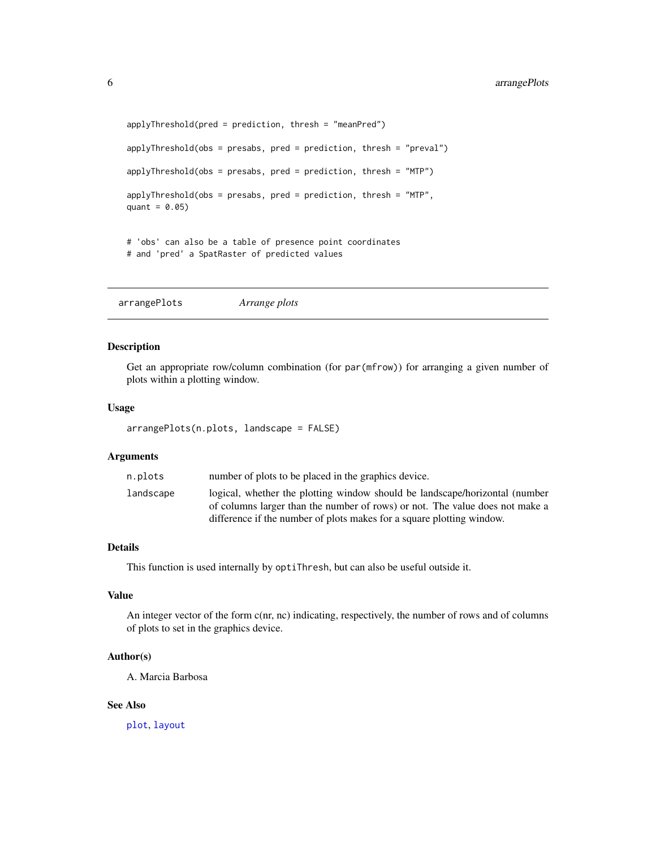```
applyThreshold(pred = prediction, thresh = "meanPred")
applyThreshold(obs = presabs, pred = prediction, thresh = "preval")
applyThreshold(obs = presabs, pred = prediction, thresh = "MTP")
applyThreshold(obs = presabs, pred = prediction, thresh = "MTP",
quant = 0.05)
# 'obs' can also be a table of presence point coordinates
# and 'pred' a SpatRaster of predicted values
```
arrangePlots *Arrange plots*

### Description

Get an appropriate row/column combination (for par(mfrow)) for arranging a given number of plots within a plotting window.

### Usage

```
arrangePlots(n.plots, landscape = FALSE)
```
#### Arguments

| n.plots   | number of plots to be placed in the graphics device.                                                                                                  |
|-----------|-------------------------------------------------------------------------------------------------------------------------------------------------------|
| landscape | logical, whether the plotting window should be landscape/horizontal (number                                                                           |
|           | of columns larger than the number of rows) or not. The value does not make a<br>difference if the number of plots makes for a square plotting window. |
|           |                                                                                                                                                       |

### Details

This function is used internally by optiThresh, but can also be useful outside it.

### Value

An integer vector of the form c(nr, nc) indicating, respectively, the number of rows and of columns of plots to set in the graphics device.

#### Author(s)

A. Marcia Barbosa

### See Also

[plot](#page-0-0), [layout](#page-0-0)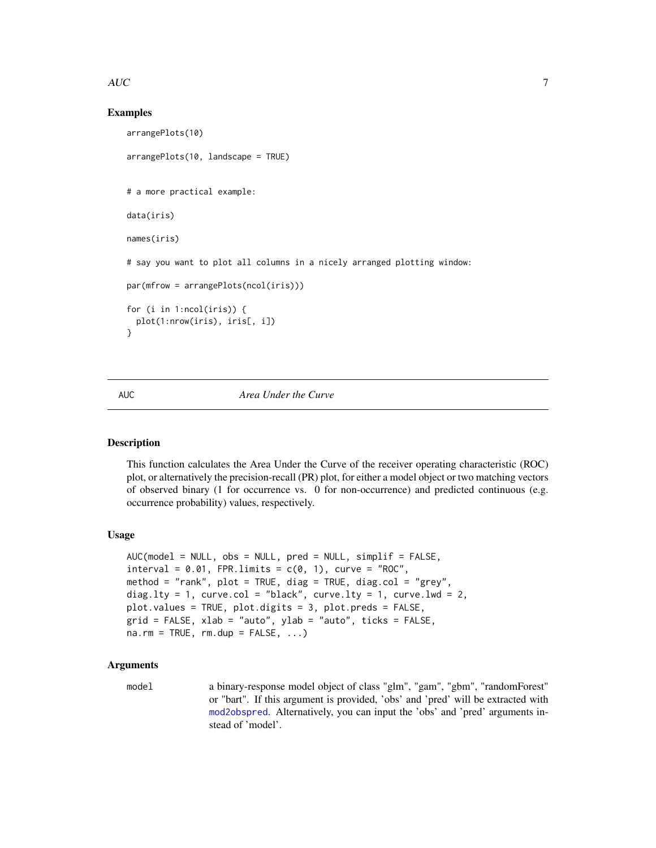### <span id="page-6-0"></span> $AUC$   $7$

### Examples

```
arrangePlots(10)
arrangePlots(10, landscape = TRUE)
# a more practical example:
data(iris)
names(iris)
# say you want to plot all columns in a nicely arranged plotting window:
par(mfrow = arrangePlots(ncol(iris)))
for (i in 1:ncol(iris)) {
 plot(1:nrow(iris), iris[, i])
}
```
<span id="page-6-1"></span>AUC *Area Under the Curve*

### **Description**

This function calculates the Area Under the Curve of the receiver operating characteristic (ROC) plot, or alternatively the precision-recall (PR) plot, for either a model object or two matching vectors of observed binary (1 for occurrence vs. 0 for non-occurrence) and predicted continuous (e.g. occurrence probability) values, respectively.

### Usage

```
AUC(model = NULL, obs = NULL, pred = NULL, simplified = FALSE,interval = 0.01, FPR.limits = c(0, 1), curve = "ROC",
method = "rank", plot = TRUE, diag = TRUE, diag.col = "grey",
diag.lty = 1, curve.col = "black", curve.lty = 1, curve.lwd = 2,
plot.values = TRUE, plot.digits = 3, plot.preds = FALSE,
grid = FALSE, xlab = "auto", ylab = "auto", ticks = FALSE,
na.rm = TRUE, rm.dup = FALSE, ...)
```
### Arguments

model a binary-response model object of class "glm", "gam", "gbm", "randomForest" or "bart". If this argument is provided, 'obs' and 'pred' will be extracted with [mod2obspred](#page-36-1). Alternatively, you can input the 'obs' and 'pred' arguments instead of 'model'.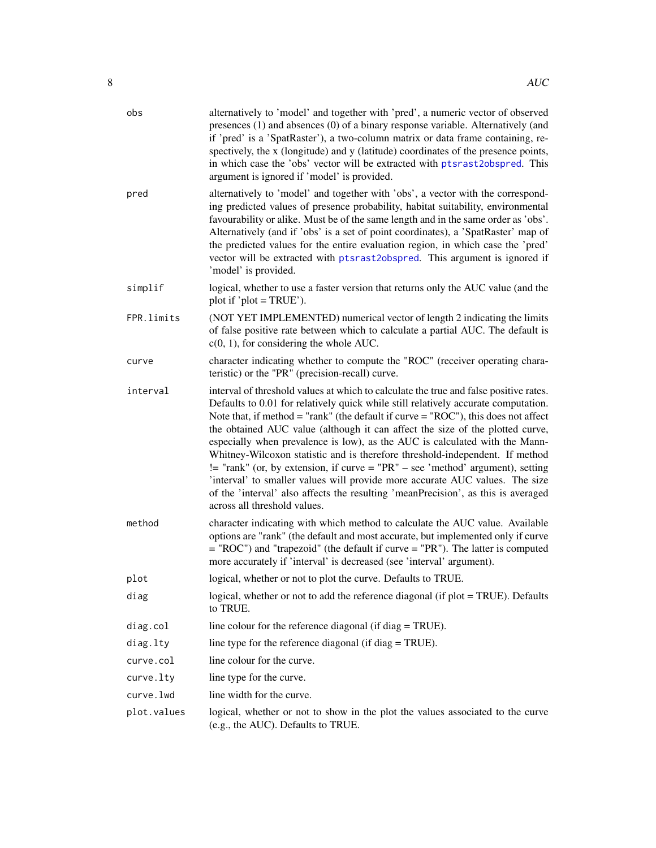<span id="page-7-0"></span>

| obs         | alternatively to 'model' and together with 'pred', a numeric vector of observed<br>presences (1) and absences (0) of a binary response variable. Alternatively (and<br>if 'pred' is a 'SpatRaster'), a two-column matrix or data frame containing, re-<br>spectively, the x (longitude) and y (latitude) coordinates of the presence points,<br>in which case the 'obs' vector will be extracted with ptsrast2obspred. This<br>argument is ignored if 'model' is provided.                                                                                                                                                                                                                                                                                                                                     |
|-------------|----------------------------------------------------------------------------------------------------------------------------------------------------------------------------------------------------------------------------------------------------------------------------------------------------------------------------------------------------------------------------------------------------------------------------------------------------------------------------------------------------------------------------------------------------------------------------------------------------------------------------------------------------------------------------------------------------------------------------------------------------------------------------------------------------------------|
| pred        | alternatively to 'model' and together with 'obs', a vector with the correspond-<br>ing predicted values of presence probability, habitat suitability, environmental<br>favourability or alike. Must be of the same length and in the same order as 'obs'.<br>Alternatively (and if 'obs' is a set of point coordinates), a 'SpatRaster' map of<br>the predicted values for the entire evaluation region, in which case the 'pred'<br>vector will be extracted with ptsrast2obspred. This argument is ignored if<br>'model' is provided.                                                                                                                                                                                                                                                                        |
| simplif     | logical, whether to use a faster version that returns only the AUC value (and the<br>plot if 'plot = $TRUE'$ ).                                                                                                                                                                                                                                                                                                                                                                                                                                                                                                                                                                                                                                                                                                |
| FPR.limits  | (NOT YET IMPLEMENTED) numerical vector of length 2 indicating the limits<br>of false positive rate between which to calculate a partial AUC. The default is<br>$c(0, 1)$ , for considering the whole AUC.                                                                                                                                                                                                                                                                                                                                                                                                                                                                                                                                                                                                      |
| curve       | character indicating whether to compute the "ROC" (receiver operating chara-<br>teristic) or the "PR" (precision-recall) curve.                                                                                                                                                                                                                                                                                                                                                                                                                                                                                                                                                                                                                                                                                |
| interval    | interval of threshold values at which to calculate the true and false positive rates.<br>Defaults to 0.01 for relatively quick while still relatively accurate computation.<br>Note that, if method = "rank" (the default if curve = " $ROC$ "), this does not affect<br>the obtained AUC value (although it can affect the size of the plotted curve,<br>especially when prevalence is low), as the AUC is calculated with the Mann-<br>Whitney-Wilcoxon statistic and is therefore threshold-independent. If method<br>$!=$ "rank" (or, by extension, if curve = "PR" – see 'method' argument), setting<br>'interval' to smaller values will provide more accurate AUC values. The size<br>of the 'interval' also affects the resulting 'meanPrecision', as this is averaged<br>across all threshold values. |
| method      | character indicating with which method to calculate the AUC value. Available<br>options are "rank" (the default and most accurate, but implemented only if curve<br>$=$ "ROC") and "trapezoid" (the default if curve $=$ "PR"). The latter is computed<br>more accurately if 'interval' is decreased (see 'interval' argument).                                                                                                                                                                                                                                                                                                                                                                                                                                                                                |
| plot        | logical, whether or not to plot the curve. Defaults to TRUE.                                                                                                                                                                                                                                                                                                                                                                                                                                                                                                                                                                                                                                                                                                                                                   |
| diag        | logical, whether or not to add the reference diagonal (if plot = TRUE). Defaults<br>to TRUE.                                                                                                                                                                                                                                                                                                                                                                                                                                                                                                                                                                                                                                                                                                                   |
| diag.col    | line colour for the reference diagonal (if diag = TRUE).                                                                                                                                                                                                                                                                                                                                                                                                                                                                                                                                                                                                                                                                                                                                                       |
| diag.lty    | line type for the reference diagonal (if diag = TRUE).                                                                                                                                                                                                                                                                                                                                                                                                                                                                                                                                                                                                                                                                                                                                                         |
| curve.col   | line colour for the curve.                                                                                                                                                                                                                                                                                                                                                                                                                                                                                                                                                                                                                                                                                                                                                                                     |
| curve.lty   | line type for the curve.                                                                                                                                                                                                                                                                                                                                                                                                                                                                                                                                                                                                                                                                                                                                                                                       |
| curve.lwd   | line width for the curve.                                                                                                                                                                                                                                                                                                                                                                                                                                                                                                                                                                                                                                                                                                                                                                                      |
| plot.values | logical, whether or not to show in the plot the values associated to the curve<br>(e.g., the AUC). Defaults to TRUE.                                                                                                                                                                                                                                                                                                                                                                                                                                                                                                                                                                                                                                                                                           |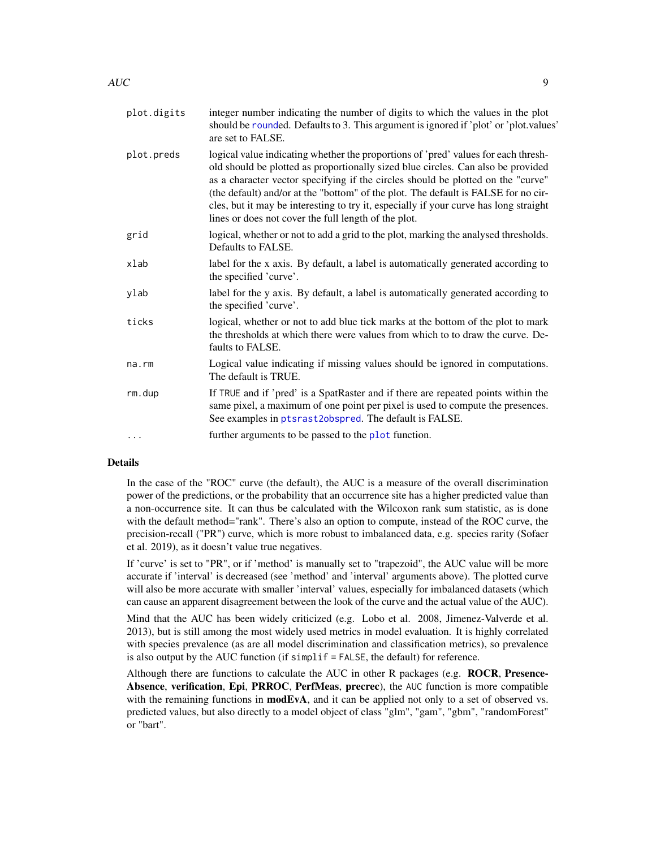<span id="page-8-0"></span>

| plot.digits | integer number indicating the number of digits to which the values in the plot<br>should be rounded. Defaults to 3. This argument is ignored if 'plot' or 'plot.values'<br>are set to FALSE.                                                                                                                                                                                                                                                                                                      |
|-------------|---------------------------------------------------------------------------------------------------------------------------------------------------------------------------------------------------------------------------------------------------------------------------------------------------------------------------------------------------------------------------------------------------------------------------------------------------------------------------------------------------|
| plot.preds  | logical value indicating whether the proportions of 'pred' values for each thresh-<br>old should be plotted as proportionally sized blue circles. Can also be provided<br>as a character vector specifying if the circles should be plotted on the "curve"<br>(the default) and/or at the "bottom" of the plot. The default is FALSE for no cir-<br>cles, but it may be interesting to try it, especially if your curve has long straight<br>lines or does not cover the full length of the plot. |
| grid        | logical, whether or not to add a grid to the plot, marking the analysed thresholds.<br>Defaults to FALSE.                                                                                                                                                                                                                                                                                                                                                                                         |
| xlab        | label for the x axis. By default, a label is automatically generated according to<br>the specified 'curve'.                                                                                                                                                                                                                                                                                                                                                                                       |
| ylab        | label for the y axis. By default, a label is automatically generated according to<br>the specified 'curve'.                                                                                                                                                                                                                                                                                                                                                                                       |
| ticks       | logical, whether or not to add blue tick marks at the bottom of the plot to mark<br>the thresholds at which there were values from which to to draw the curve. De-<br>faults to FALSE.                                                                                                                                                                                                                                                                                                            |
| na.rm       | Logical value indicating if missing values should be ignored in computations.<br>The default is TRUE.                                                                                                                                                                                                                                                                                                                                                                                             |
| rm.dup      | If TRUE and if 'pred' is a SpatRaster and if there are repeated points within the<br>same pixel, a maximum of one point per pixel is used to compute the presences.<br>See examples in ptsrast2obspred. The default is FALSE.                                                                                                                                                                                                                                                                     |
| .           | further arguments to be passed to the plot function.                                                                                                                                                                                                                                                                                                                                                                                                                                              |

### Details

In the case of the "ROC" curve (the default), the AUC is a measure of the overall discrimination power of the predictions, or the probability that an occurrence site has a higher predicted value than a non-occurrence site. It can thus be calculated with the Wilcoxon rank sum statistic, as is done with the default method="rank". There's also an option to compute, instead of the ROC curve, the precision-recall ("PR") curve, which is more robust to imbalanced data, e.g. species rarity (Sofaer et al. 2019), as it doesn't value true negatives.

If 'curve' is set to "PR", or if 'method' is manually set to "trapezoid", the AUC value will be more accurate if 'interval' is decreased (see 'method' and 'interval' arguments above). The plotted curve will also be more accurate with smaller 'interval' values, especially for imbalanced datasets (which can cause an apparent disagreement between the look of the curve and the actual value of the AUC).

Mind that the AUC has been widely criticized (e.g. Lobo et al. 2008, Jimenez-Valverde et al. 2013), but is still among the most widely used metrics in model evaluation. It is highly correlated with species prevalence (as are all model discrimination and classification metrics), so prevalence is also output by the AUC function (if simplif = FALSE, the default) for reference.

Although there are functions to calculate the AUC in other R packages (e.g.  $\angle$ ROCR, Presence-Absence, verification, Epi, PRROC, PerfMeas, precrec), the AUC function is more compatible with the remaining functions in  $\text{modEvA}$ , and it can be applied not only to a set of observed vs. predicted values, but also directly to a model object of class "glm", "gam", "gbm", "randomForest" or "bart".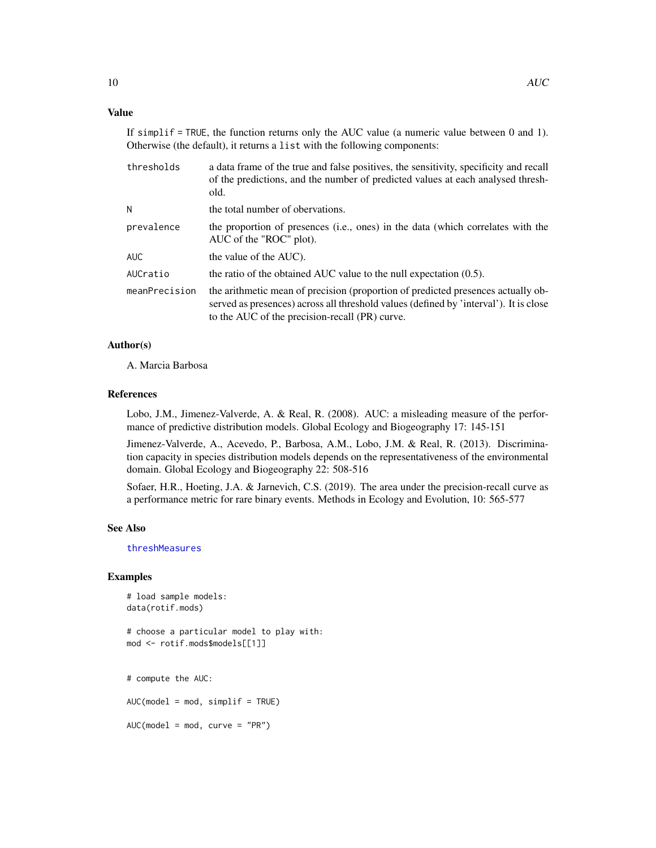### <span id="page-9-0"></span>Value

If simplif = TRUE, the function returns only the AUC value (a numeric value between 0 and 1). Otherwise (the default), it returns a list with the following components:

| thresholds    | a data frame of the true and false positives, the sensitivity, specificity and recall<br>of the predictions, and the number of predicted values at each analysed thresh-<br>old.                                            |
|---------------|-----------------------------------------------------------------------------------------------------------------------------------------------------------------------------------------------------------------------------|
| N             | the total number of obervations.                                                                                                                                                                                            |
| prevalence    | the proportion of presences (i.e., ones) in the data (which correlates with the<br>AUC of the "ROC" plot).                                                                                                                  |
| AUC           | the value of the AUC).                                                                                                                                                                                                      |
| AUCratio      | the ratio of the obtained AUC value to the null expectation $(0.5)$ .                                                                                                                                                       |
| meanPrecision | the arithmetic mean of precision (proportion of predicted presences actually ob-<br>served as presences) across all threshold values (defined by 'interval'). It is close<br>to the AUC of the precision-recall (PR) curve. |

### Author(s)

A. Marcia Barbosa

### References

Lobo, J.M., Jimenez-Valverde, A. & Real, R. (2008). AUC: a misleading measure of the performance of predictive distribution models. Global Ecology and Biogeography 17: 145-151

Jimenez-Valverde, A., Acevedo, P., Barbosa, A.M., Lobo, J.M. & Real, R. (2013). Discrimination capacity in species distribution models depends on the representativeness of the environmental domain. Global Ecology and Biogeography 22: 508-516

Sofaer, H.R., Hoeting, J.A. & Jarnevich, C.S. (2019). The area under the precision-recall curve as a performance metric for rare binary events. Methods in Ecology and Evolution, 10: 565-577

#### See Also

[threshMeasures](#page-62-1)

### Examples

```
# load sample models:
data(rotif.mods)
```

```
# choose a particular model to play with:
mod <- rotif.mods$models[[1]]
```
# compute the AUC:

AUC(model = mod, simplif = TRUE)

 $AUC(model = mod, curve = "PR")$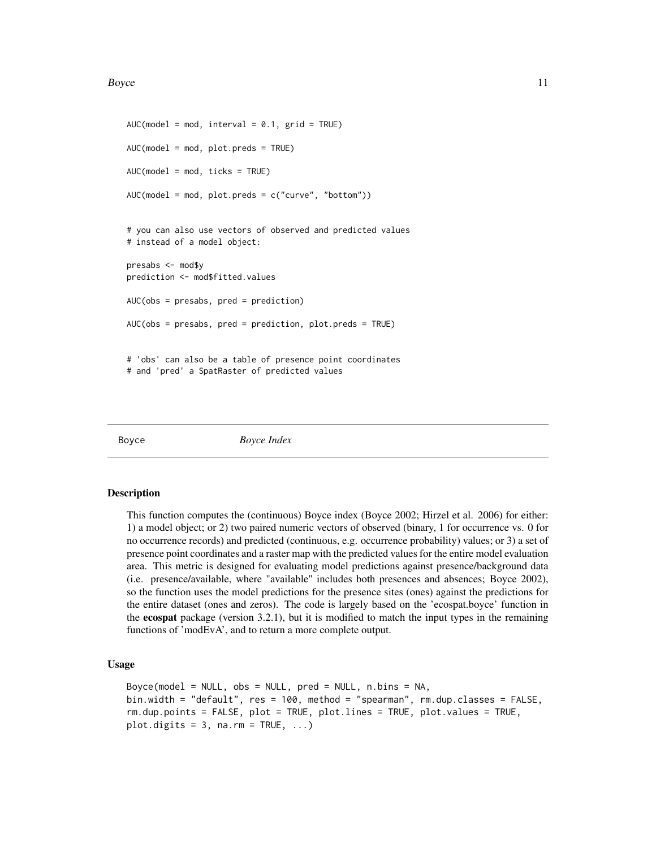#### <span id="page-10-0"></span>Boyce 2012 11 and 2012 11 and 2012 12:00 12:00 12:00 12:00 12:00 12:00 12:00 12:00 12:00 12:00 12:00 12:00 12:00 12:00 12:00 12:00 12:00 12:00 12:00 12:00 12:00 12:00 12:00 12:00 12:00 12:00 12:00 12:00 12:00 12:00 12:00 1

```
AUC(model = mod, interval = 0.1, grid = TRUE)AUC(model = mod, plot.preds = TRUE)
AUC(model = mod, ticks = TRUE)AUC(model = mod, plot.preds = c("curve", "bottom"))
# you can also use vectors of observed and predicted values
# instead of a model object:
presabs <- mod$y
prediction <- mod$fitted.values
AUC(obs = presabs, pred = prediction)
AUC(obs = presabs, pred = prediction, plot.preds = TRUE)
# 'obs' can also be a table of presence point coordinates
# and 'pred' a SpatRaster of predicted values
```
Boyce *Boyce Index*

#### Description

This function computes the (continuous) Boyce index (Boyce 2002; Hirzel et al. 2006) for either: 1) a model object; or 2) two paired numeric vectors of observed (binary, 1 for occurrence vs. 0 for no occurrence records) and predicted (continuous, e.g. occurrence probability) values; or 3) a set of presence point coordinates and a raster map with the predicted values for the entire model evaluation area. This metric is designed for evaluating model predictions against presence/background data (i.e. presence/available, where "available" includes both presences and absences; Boyce 2002), so the function uses the model predictions for the presence sites (ones) against the predictions for the entire dataset (ones and zeros). The code is largely based on the 'ecospat.boyce' function in the ecospat package (version 3.2.1), but it is modified to match the input types in the remaining functions of 'modEvA', and to return a more complete output.

### Usage

```
Boyce(model = NULL, obs = NULL, pred = NULL, n \cdot b ins = NA,
bin.width = "default", res = 100, method = "spearman", rm.dup.classes = FALSE,
rm.dup.points = FALSE, plot = TRUE, plot.lines = TRUE, plot.values = TRUE,
plot.digits = 3, na.rm = TRUE, ...)
```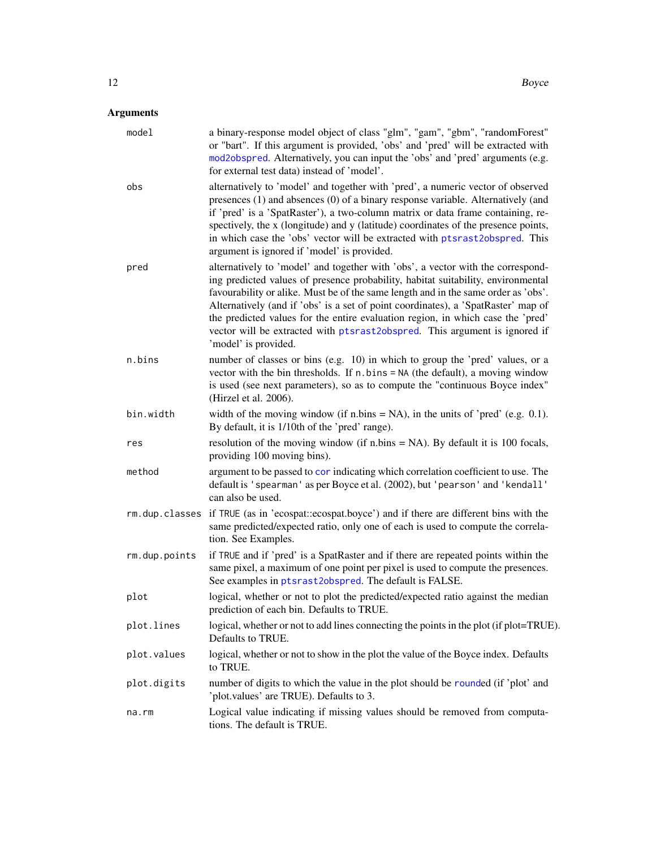<span id="page-11-0"></span>

| model         | a binary-response model object of class "glm", "gam", "gbm", "randomForest"<br>or "bart". If this argument is provided, 'obs' and 'pred' will be extracted with<br>mod2obspred. Alternatively, you can input the 'obs' and 'pred' arguments (e.g.<br>for external test data) instead of 'model'.                                                                                                                                                                                                                                        |
|---------------|-----------------------------------------------------------------------------------------------------------------------------------------------------------------------------------------------------------------------------------------------------------------------------------------------------------------------------------------------------------------------------------------------------------------------------------------------------------------------------------------------------------------------------------------|
| obs           | alternatively to 'model' and together with 'pred', a numeric vector of observed<br>presences (1) and absences (0) of a binary response variable. Alternatively (and<br>if 'pred' is a 'SpatRaster'), a two-column matrix or data frame containing, re-<br>spectively, the x (longitude) and y (latitude) coordinates of the presence points,<br>in which case the 'obs' vector will be extracted with ptsrast2obspred. This<br>argument is ignored if 'model' is provided.                                                              |
| pred          | alternatively to 'model' and together with 'obs', a vector with the correspond-<br>ing predicted values of presence probability, habitat suitability, environmental<br>favourability or alike. Must be of the same length and in the same order as 'obs'.<br>Alternatively (and if 'obs' is a set of point coordinates), a 'SpatRaster' map of<br>the predicted values for the entire evaluation region, in which case the 'pred'<br>vector will be extracted with ptsrast2obspred. This argument is ignored if<br>'model' is provided. |
| n.bins        | number of classes or bins (e.g. 10) in which to group the 'pred' values, or a<br>vector with the bin thresholds. If n.bins = NA (the default), a moving window<br>is used (see next parameters), so as to compute the "continuous Boyce index"<br>(Hirzel et al. 2006).                                                                                                                                                                                                                                                                 |
| bin.width     | width of the moving window (if n.bins = $NA$ ), in the units of 'pred' (e.g. 0.1).<br>By default, it is 1/10th of the 'pred' range).                                                                                                                                                                                                                                                                                                                                                                                                    |
| res           | resolution of the moving window (if $n \cdot bin s = NA$ ). By default it is 100 focals,<br>providing 100 moving bins).                                                                                                                                                                                                                                                                                                                                                                                                                 |
| method        | argument to be passed to cor indicating which correlation coefficient to use. The<br>default is 'spearman' as per Boyce et al. (2002), but 'pearson' and 'kendall'<br>can also be used.                                                                                                                                                                                                                                                                                                                                                 |
|               | rm.dup.classes if TRUE (as in 'ecospat:ecospat.boyce') and if there are different bins with the<br>same predicted/expected ratio, only one of each is used to compute the correla-<br>tion. See Examples.                                                                                                                                                                                                                                                                                                                               |
| rm.dup.points | if TRUE and if 'pred' is a SpatRaster and if there are repeated points within the<br>same pixel, a maximum of one point per pixel is used to compute the presences.<br>See examples in ptsrast2obspred. The default is FALSE.                                                                                                                                                                                                                                                                                                           |
| plot          | logical, whether or not to plot the predicted/expected ratio against the median<br>prediction of each bin. Defaults to TRUE.                                                                                                                                                                                                                                                                                                                                                                                                            |
| plot.lines    | logical, whether or not to add lines connecting the points in the plot (if plot=TRUE).<br>Defaults to TRUE.                                                                                                                                                                                                                                                                                                                                                                                                                             |
| plot.values   | logical, whether or not to show in the plot the value of the Boyce index. Defaults<br>to TRUE.                                                                                                                                                                                                                                                                                                                                                                                                                                          |
| plot.digits   | number of digits to which the value in the plot should be rounded (if 'plot' and<br>'plot.values' are TRUE). Defaults to 3.                                                                                                                                                                                                                                                                                                                                                                                                             |
| na.rm         | Logical value indicating if missing values should be removed from computa-<br>tions. The default is TRUE.                                                                                                                                                                                                                                                                                                                                                                                                                               |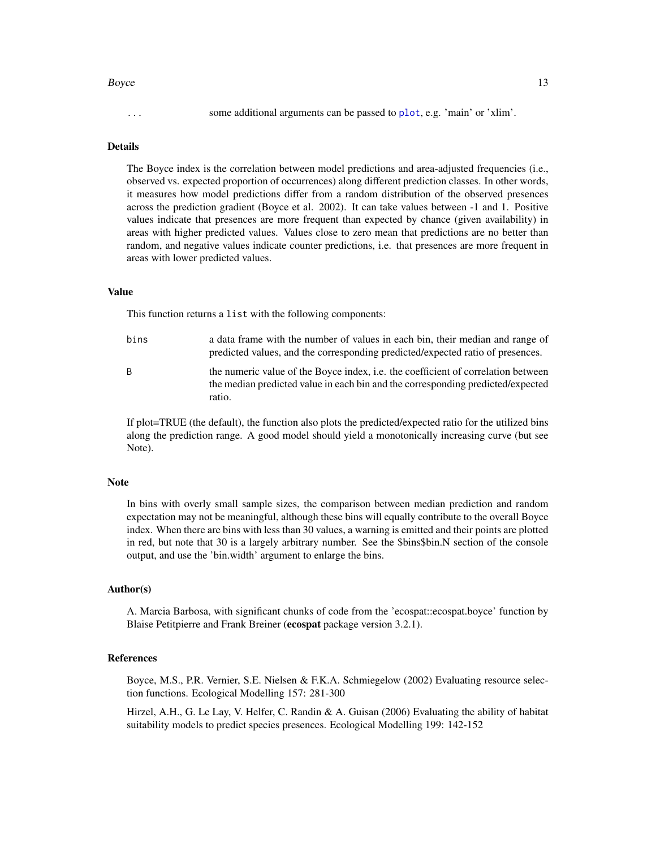#### <span id="page-12-0"></span>Boyce 2012 13 and 2012 13 and 2012 13 and 2012 13 and 2012 13 and 2012 13 and 2012 13 and 2012 13 and 2012 13 and 2012 13 and 2012 13 and 2012 13 and 2012 13 and 2012 13 and 2012 13 and 2012 13 and 2012 13 and 2012 13 and

### Details

The Boyce index is the correlation between model predictions and area-adjusted frequencies (i.e., observed vs. expected proportion of occurrences) along different prediction classes. In other words, it measures how model predictions differ from a random distribution of the observed presences across the prediction gradient (Boyce et al. 2002). It can take values between -1 and 1. Positive values indicate that presences are more frequent than expected by chance (given availability) in areas with higher predicted values. Values close to zero mean that predictions are no better than random, and negative values indicate counter predictions, i.e. that presences are more frequent in areas with lower predicted values.

### Value

This function returns a list with the following components:

- bins a data frame with the number of values in each bin, their median and range of predicted values, and the corresponding predicted/expected ratio of presences. B the numeric value of the Boyce index, i.e. the coefficient of correlation between
	- the median predicted value in each bin and the corresponding predicted/expected ratio.

If plot=TRUE (the default), the function also plots the predicted/expected ratio for the utilized bins along the prediction range. A good model should yield a monotonically increasing curve (but see Note).

#### **Note**

In bins with overly small sample sizes, the comparison between median prediction and random expectation may not be meaningful, although these bins will equally contribute to the overall Boyce index. When there are bins with less than 30 values, a warning is emitted and their points are plotted in red, but note that 30 is a largely arbitrary number. See the \$bins\$bin.N section of the console output, and use the 'bin.width' argument to enlarge the bins.

### Author(s)

A. Marcia Barbosa, with significant chunks of code from the 'ecospat::ecospat.boyce' function by Blaise Petitpierre and Frank Breiner (ecospat package version 3.2.1).

### References

Boyce, M.S., P.R. Vernier, S.E. Nielsen & F.K.A. Schmiegelow (2002) Evaluating resource selection functions. Ecological Modelling 157: 281-300

Hirzel, A.H., G. Le Lay, V. Helfer, C. Randin & A. Guisan (2006) Evaluating the ability of habitat suitability models to predict species presences. Ecological Modelling 199: 142-152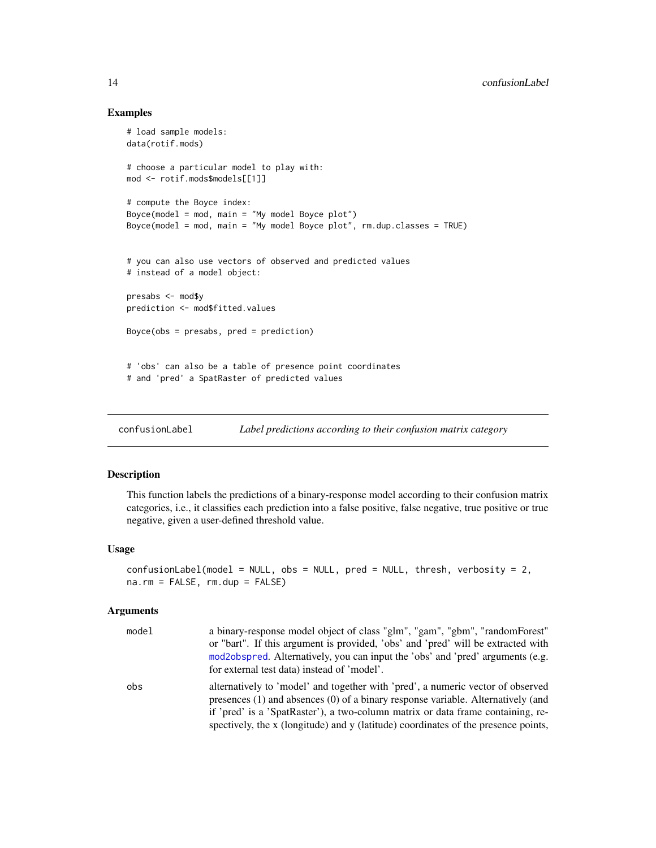### Examples

```
# load sample models:
data(rotif.mods)
# choose a particular model to play with:
mod <- rotif.mods$models[[1]]
# compute the Boyce index:
Boyce(model = mod, main = "My model Boyce plot")
Boyce(model = mod, main = "My model Boyce plot", rm.dup.classes = TRUE)
# you can also use vectors of observed and predicted values
# instead of a model object:
presabs <- mod$y
prediction <- mod$fitted.values
Boyce(obs = presabs, pred = prediction)
# 'obs' can also be a table of presence point coordinates
# and 'pred' a SpatRaster of predicted values
```
confusionLabel *Label predictions according to their confusion matrix category*

### Description

This function labels the predictions of a binary-response model according to their confusion matrix categories, i.e., it classifies each prediction into a false positive, false negative, true positive or true negative, given a user-defined threshold value.

#### Usage

```
confusionLabel(model = NULL, obs = NULL, pred = NULL, thresh, verbosity = 2,
na.rm = FALSE, rm.dup = FALSE)
```

| model | a binary-response model object of class "glm", "gam", "gbm", "randomForest"<br>or "bart". If this argument is provided, 'obs' and 'pred' will be extracted with<br>mod2obspred. Alternatively, you can input the 'obs' and 'pred' arguments (e.g.<br>for external test data) instead of 'model'.                                                 |
|-------|--------------------------------------------------------------------------------------------------------------------------------------------------------------------------------------------------------------------------------------------------------------------------------------------------------------------------------------------------|
| obs   | alternatively to 'model' and together with 'pred', a numeric vector of observed<br>presences $(1)$ and absences $(0)$ of a binary response variable. Alternatively (and<br>if 'pred' is a 'SpatRaster'), a two-column matrix or data frame containing, re-<br>spectively, the x (longitude) and y (latitude) coordinates of the presence points, |

<span id="page-13-0"></span>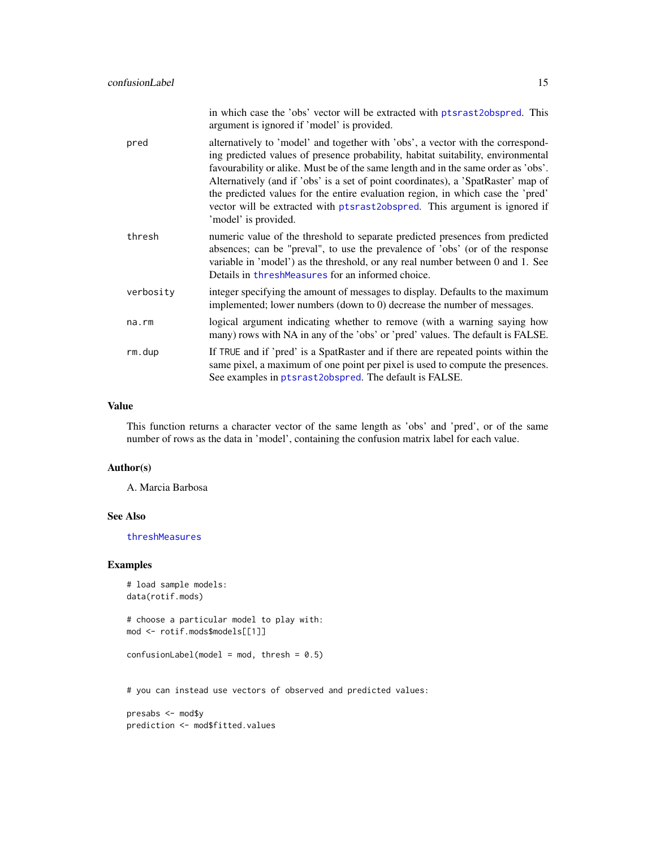<span id="page-14-0"></span>

|             | in which case the 'obs' vector will be extracted with ptsrast2obspred. This<br>argument is ignored if 'model' is provided.                                                                                                                                                                                                                                                                                                                                                                                                              |
|-------------|-----------------------------------------------------------------------------------------------------------------------------------------------------------------------------------------------------------------------------------------------------------------------------------------------------------------------------------------------------------------------------------------------------------------------------------------------------------------------------------------------------------------------------------------|
| pred        | alternatively to 'model' and together with 'obs', a vector with the correspond-<br>ing predicted values of presence probability, habitat suitability, environmental<br>favourability or alike. Must be of the same length and in the same order as 'obs'.<br>Alternatively (and if 'obs' is a set of point coordinates), a 'SpatRaster' map of<br>the predicted values for the entire evaluation region, in which case the 'pred'<br>vector will be extracted with ptsrast2obspred. This argument is ignored if<br>'model' is provided. |
| thresh      | numeric value of the threshold to separate predicted presences from predicted<br>absences; can be "preval", to use the prevalence of 'obs' (or of the response<br>variable in 'model') as the threshold, or any real number between 0 and 1. See<br>Details in threshMeasures for an informed choice.                                                                                                                                                                                                                                   |
| verbosity   | integer specifying the amount of messages to display. Defaults to the maximum<br>implemented; lower numbers (down to 0) decrease the number of messages.                                                                                                                                                                                                                                                                                                                                                                                |
| $na$ . $rm$ | logical argument indicating whether to remove (with a warning saying how<br>many) rows with NA in any of the 'obs' or 'pred' values. The default is FALSE.                                                                                                                                                                                                                                                                                                                                                                              |
| rm.dup      | If TRUE and if 'pred' is a SpatRaster and if there are repeated points within the<br>same pixel, a maximum of one point per pixel is used to compute the presences.<br>See examples in ptsrast2obspred. The default is FALSE.                                                                                                                                                                                                                                                                                                           |

### Value

This function returns a character vector of the same length as 'obs' and 'pred', or of the same number of rows as the data in 'model', containing the confusion matrix label for each value.

### Author(s)

A. Marcia Barbosa

### See Also

[threshMeasures](#page-62-1)

### Examples

```
# load sample models:
data(rotif.mods)
# choose a particular model to play with:
mod <- rotif.mods$models[[1]]
confusionLabel(model = mod, thresh = 0.5)# you can instead use vectors of observed and predicted values:
presabs <- mod$y
prediction <- mod$fitted.values
```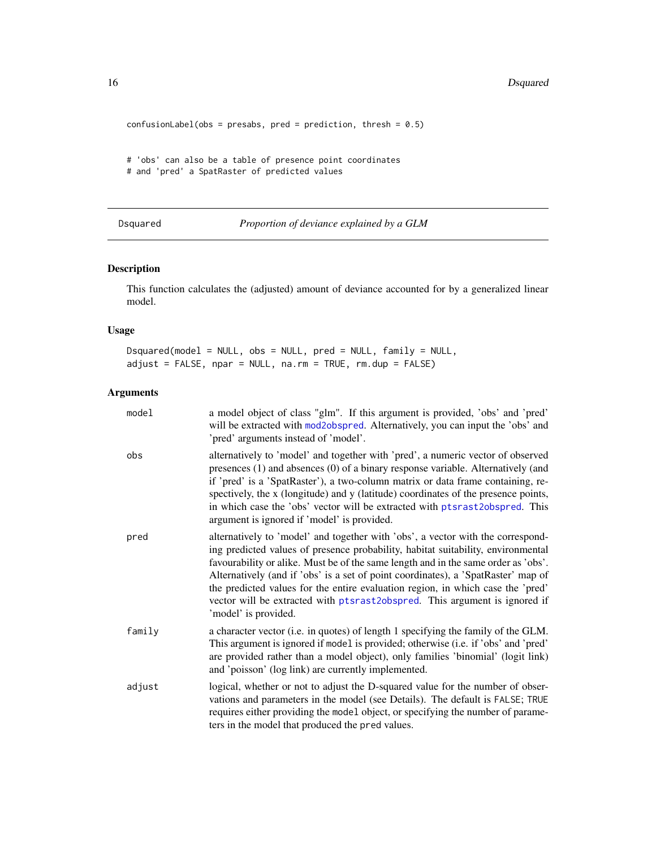```
confusionLabel(obs = presabs, pred = prediction, thresh = 0.5)
# 'obs' can also be a table of presence point coordinates
# and 'pred' a SpatRaster of predicted values
```
<span id="page-15-1"></span>Dsquared *Proportion of deviance explained by a GLM*

### Description

This function calculates the (adjusted) amount of deviance accounted for by a generalized linear model.

### Usage

Dsquared(model = NULL, obs = NULL, pred = NULL, family = NULL, adjust = FALSE, npar = NULL, na.rm = TRUE, rm.dup = FALSE)

| model  | a model object of class "glm". If this argument is provided, 'obs' and 'pred'<br>will be extracted with mod2obspred. Alternatively, you can input the 'obs' and<br>'pred' arguments instead of 'model'.                                                                                                                                                                                                                                                                                                                                 |
|--------|-----------------------------------------------------------------------------------------------------------------------------------------------------------------------------------------------------------------------------------------------------------------------------------------------------------------------------------------------------------------------------------------------------------------------------------------------------------------------------------------------------------------------------------------|
| obs    | alternatively to 'model' and together with 'pred', a numeric vector of observed<br>presences (1) and absences (0) of a binary response variable. Alternatively (and<br>if 'pred' is a 'SpatRaster'), a two-column matrix or data frame containing, re-<br>spectively, the x (longitude) and y (latitude) coordinates of the presence points,<br>in which case the 'obs' vector will be extracted with ptsrast2obspred. This<br>argument is ignored if 'model' is provided.                                                              |
| pred   | alternatively to 'model' and together with 'obs', a vector with the correspond-<br>ing predicted values of presence probability, habitat suitability, environmental<br>favourability or alike. Must be of the same length and in the same order as 'obs'.<br>Alternatively (and if 'obs' is a set of point coordinates), a 'SpatRaster' map of<br>the predicted values for the entire evaluation region, in which case the 'pred'<br>vector will be extracted with ptsrast2obspred. This argument is ignored if<br>'model' is provided. |
| family | a character vector (i.e. in quotes) of length 1 specifying the family of the GLM.<br>This argument is ignored if model is provided; otherwise (i.e. if 'obs' and 'pred'<br>are provided rather than a model object), only families 'binomial' (logit link)<br>and 'poisson' (log link) are currently implemented.                                                                                                                                                                                                                       |
| adjust | logical, whether or not to adjust the D-squared value for the number of obser-<br>vations and parameters in the model (see Details). The default is FALSE; TRUE<br>requires either providing the model object, or specifying the number of parame-<br>ters in the model that produced the pred values.                                                                                                                                                                                                                                  |

<span id="page-15-0"></span>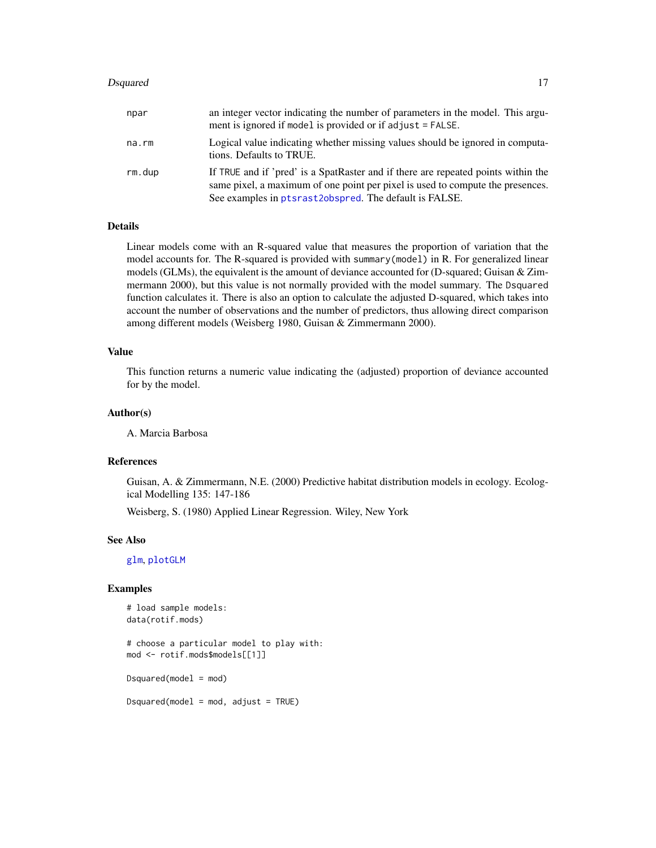#### <span id="page-16-0"></span>Dsquared 17

| npar   | an integer vector indicating the number of parameters in the model. This argu-<br>ment is ignored if model is provided or if adjust = FALSE.                                                                                  |
|--------|-------------------------------------------------------------------------------------------------------------------------------------------------------------------------------------------------------------------------------|
| na.rm  | Logical value indicating whether missing values should be ignored in computa-<br>tions. Defaults to TRUE.                                                                                                                     |
| rm.dup | If TRUE and if 'pred' is a SpatRaster and if there are repeated points within the<br>same pixel, a maximum of one point per pixel is used to compute the presences.<br>See examples in ptsrast2obspred. The default is FALSE. |

### Details

Linear models come with an R-squared value that measures the proportion of variation that the model accounts for. The R-squared is provided with summary(model) in R. For generalized linear models (GLMs), the equivalent is the amount of deviance accounted for (D-squared; Guisan & Zimmermann 2000), but this value is not normally provided with the model summary. The Dsquared function calculates it. There is also an option to calculate the adjusted D-squared, which takes into account the number of observations and the number of predictors, thus allowing direct comparison among different models (Weisberg 1980, Guisan & Zimmermann 2000).

### Value

This function returns a numeric value indicating the (adjusted) proportion of deviance accounted for by the model.

### Author(s)

A. Marcia Barbosa

### References

Guisan, A. & Zimmermann, N.E. (2000) Predictive habitat distribution models in ecology. Ecological Modelling 135: 147-186

Weisberg, S. (1980) Applied Linear Regression. Wiley, New York

### See Also

[glm](#page-0-0), [plotGLM](#page-47-1)

### Examples

```
# load sample models:
data(rotif.mods)
# choose a particular model to play with:
mod <- rotif.mods$models[[1]]
Dsquared(model = mod)
```
 $Dsquared(model = mod, adjust = TRUE)$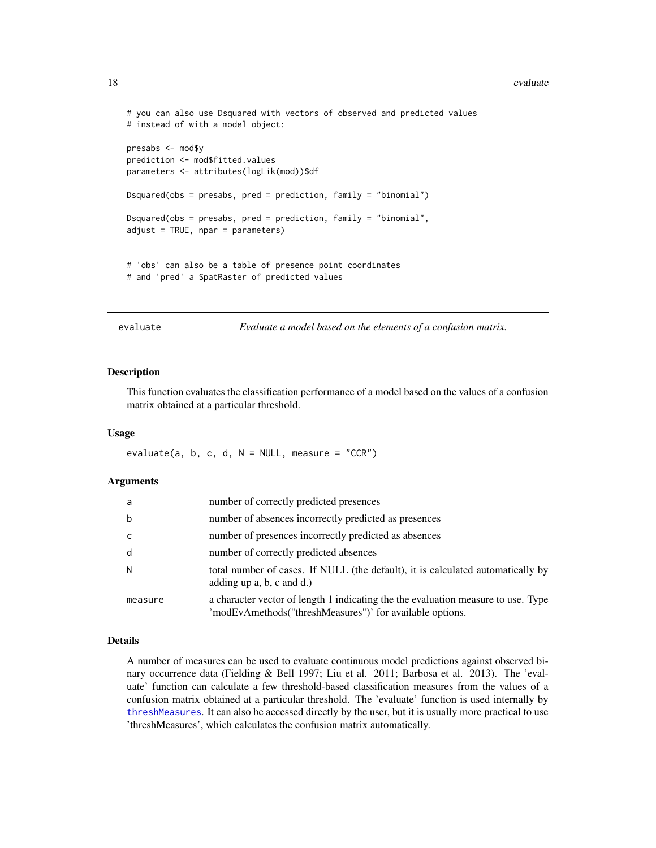#### <span id="page-17-0"></span>18 evaluate experience of the contract of the contract of the contract of the contract of the contract of the contract of the contract of the contract of the contract of the contract of the contract of the contract of the

```
# you can also use Dsquared with vectors of observed and predicted values
# instead of with a model object:
presabs <- mod$y
prediction <- mod$fitted.values
parameters <- attributes(logLik(mod))$df
Dsquared(obs = presabs, pred = prediction, family = "binomial")
Dsquared(obs = presabs, pred = prediction, family = "binomial",
adjust = TRUE, npar = parameters)
# 'obs' can also be a table of presence point coordinates
# and 'pred' a SpatRaster of predicted values
```
evaluate *Evaluate a model based on the elements of a confusion matrix.*

### Description

This function evaluates the classification performance of a model based on the values of a confusion matrix obtained at a particular threshold.

### Usage

evaluate(a, b, c, d,  $N = NULL$ , measure = "CCR")

### Arguments

| a           | number of correctly predicted presences                                                                                                       |
|-------------|-----------------------------------------------------------------------------------------------------------------------------------------------|
| $\mathsf b$ | number of absences incorrectly predicted as presences                                                                                         |
| C.          | number of presences incorrectly predicted as absences                                                                                         |
| d           | number of correctly predicted absences                                                                                                        |
| N           | total number of cases. If NULL (the default), it is calculated automatically by<br>adding up a, b, c and d.)                                  |
| measure     | a character vector of length 1 indicating the the evaluation measure to use. Type<br>'modEvAmethods("threshMeasures")' for available options. |

### Details

A number of measures can be used to evaluate continuous model predictions against observed binary occurrence data (Fielding & Bell 1997; Liu et al. 2011; Barbosa et al. 2013). The 'evaluate' function can calculate a few threshold-based classification measures from the values of a confusion matrix obtained at a particular threshold. The 'evaluate' function is used internally by [threshMeasures](#page-62-1). It can also be accessed directly by the user, but it is usually more practical to use 'threshMeasures', which calculates the confusion matrix automatically.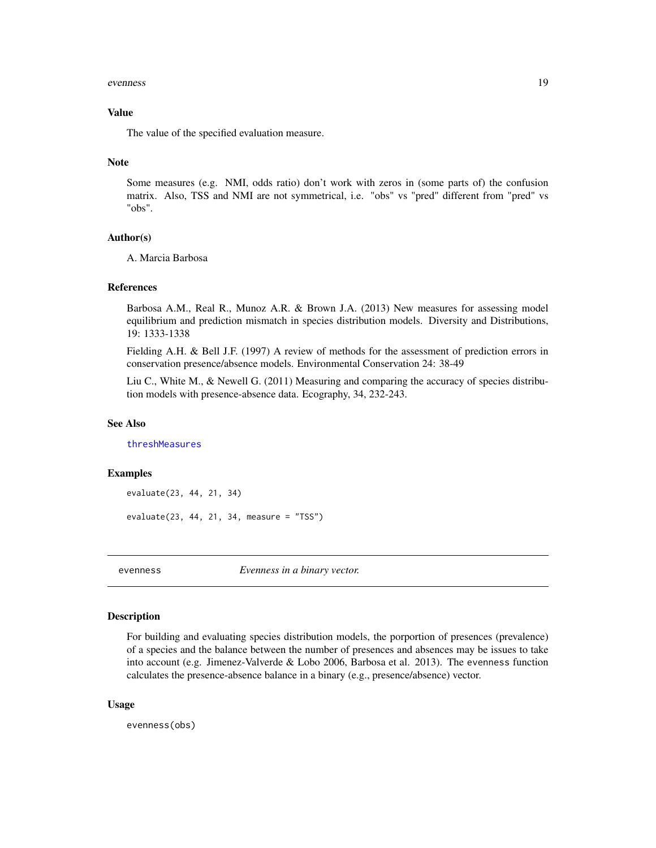#### <span id="page-18-0"></span>evenness 19

### Value

The value of the specified evaluation measure.

### Note

Some measures (e.g. NMI, odds ratio) don't work with zeros in (some parts of) the confusion matrix. Also, TSS and NMI are not symmetrical, i.e. "obs" vs "pred" different from "pred" vs "obs".

### Author(s)

A. Marcia Barbosa

### References

Barbosa A.M., Real R., Munoz A.R. & Brown J.A. (2013) New measures for assessing model equilibrium and prediction mismatch in species distribution models. Diversity and Distributions, 19: 1333-1338

Fielding A.H. & Bell J.F. (1997) A review of methods for the assessment of prediction errors in conservation presence/absence models. Environmental Conservation 24: 38-49

Liu C., White M., & Newell G. (2011) Measuring and comparing the accuracy of species distribution models with presence-absence data. Ecography, 34, 232-243.

### See Also

[threshMeasures](#page-62-1)

### Examples

```
evaluate(23, 44, 21, 34)
```
evaluate(23, 44, 21, 34, measure = "TSS")

<span id="page-18-1"></span>

evenness *Evenness in a binary vector.*

### Description

For building and evaluating species distribution models, the porportion of presences (prevalence) of a species and the balance between the number of presences and absences may be issues to take into account (e.g. Jimenez-Valverde & Lobo 2006, Barbosa et al. 2013). The evenness function calculates the presence-absence balance in a binary (e.g., presence/absence) vector.

### Usage

evenness(obs)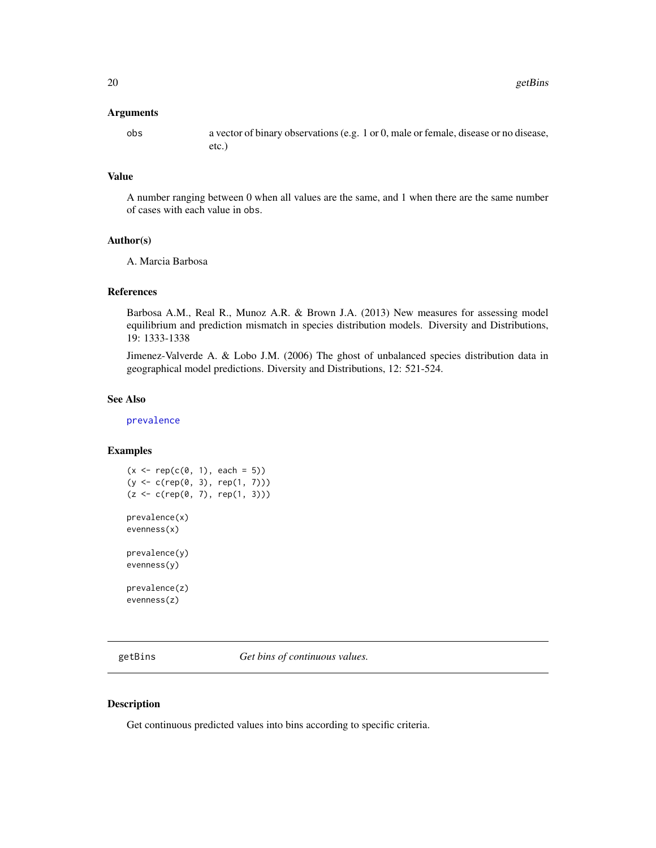### <span id="page-19-0"></span>Arguments

obs a vector of binary observations (e.g. 1 or 0, male or female, disease or no disease, etc.)

### Value

A number ranging between 0 when all values are the same, and 1 when there are the same number of cases with each value in obs.

### Author(s)

A. Marcia Barbosa

### References

Barbosa A.M., Real R., Munoz A.R. & Brown J.A. (2013) New measures for assessing model equilibrium and prediction mismatch in species distribution models. Diversity and Distributions, 19: 1333-1338

Jimenez-Valverde A. & Lobo J.M. (2006) The ghost of unbalanced species distribution data in geographical model predictions. Diversity and Distributions, 12: 521-524.

### See Also

[prevalence](#page-54-1)

### Examples

```
(x \leq rep(c(0, 1), each = 5))(y <- c(rep(0, 3), rep(1, 7)))
(z < -c(rep(\theta, 7), rep(1, 3)))prevalence(x)
evenness(x)
prevalence(y)
evenness(y)
```
prevalence(z) evenness(z)

<span id="page-19-1"></span>getBins *Get bins of continuous values.*

### Description

Get continuous predicted values into bins according to specific criteria.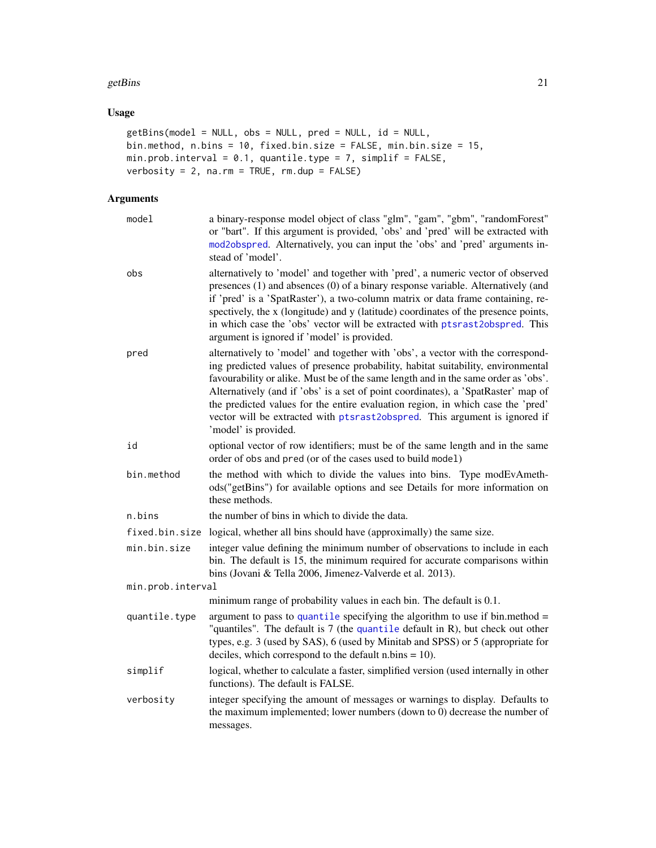#### <span id="page-20-0"></span>getBins  $21$

### Usage

```
getBins(model = NULL, obs = NULL, pred = NULL, id = NULL,
bin.method, n.bins = 10, fixed.bin.size = FALSE, min.bin.size = 15,
min.prob.interval = 0.1, quantile.type = 7, simplif = FALSE,
verbosity = 2, na.rm = TRUE, rm.dup = FALSE)
```

| model             | a binary-response model object of class "glm", "gam", "gbm", "randomForest"<br>or "bart". If this argument is provided, 'obs' and 'pred' will be extracted with<br>mod2obspred. Alternatively, you can input the 'obs' and 'pred' arguments in-<br>stead of 'model'.                                                                                                                                                                                                                                                                    |
|-------------------|-----------------------------------------------------------------------------------------------------------------------------------------------------------------------------------------------------------------------------------------------------------------------------------------------------------------------------------------------------------------------------------------------------------------------------------------------------------------------------------------------------------------------------------------|
| obs               | alternatively to 'model' and together with 'pred', a numeric vector of observed<br>presences (1) and absences (0) of a binary response variable. Alternatively (and<br>if 'pred' is a 'SpatRaster'), a two-column matrix or data frame containing, re-<br>spectively, the x (longitude) and y (latitude) coordinates of the presence points,<br>in which case the 'obs' vector will be extracted with ptsrast2obspred. This<br>argument is ignored if 'model' is provided.                                                              |
| pred              | alternatively to 'model' and together with 'obs', a vector with the correspond-<br>ing predicted values of presence probability, habitat suitability, environmental<br>favourability or alike. Must be of the same length and in the same order as 'obs'.<br>Alternatively (and if 'obs' is a set of point coordinates), a 'SpatRaster' map of<br>the predicted values for the entire evaluation region, in which case the 'pred'<br>vector will be extracted with ptsrast2obspred. This argument is ignored if<br>'model' is provided. |
| id                | optional vector of row identifiers; must be of the same length and in the same<br>order of obs and pred (or of the cases used to build model)                                                                                                                                                                                                                                                                                                                                                                                           |
| bin.method        | the method with which to divide the values into bins. Type modEvAmeth-<br>ods("getBins") for available options and see Details for more information on<br>these methods.                                                                                                                                                                                                                                                                                                                                                                |
| n.bins            | the number of bins in which to divide the data.                                                                                                                                                                                                                                                                                                                                                                                                                                                                                         |
| fixed.bin.size    | logical, whether all bins should have (approximally) the same size.                                                                                                                                                                                                                                                                                                                                                                                                                                                                     |
| min.bin.size      | integer value defining the minimum number of observations to include in each<br>bin. The default is 15, the minimum required for accurate comparisons within<br>bins (Jovani & Tella 2006, Jimenez-Valverde et al. 2013).                                                                                                                                                                                                                                                                                                               |
| min.prob.interval |                                                                                                                                                                                                                                                                                                                                                                                                                                                                                                                                         |
|                   | minimum range of probability values in each bin. The default is 0.1.                                                                                                                                                                                                                                                                                                                                                                                                                                                                    |
| quantile.type     | argument to pass to quantile specifying the algorithm to use if bin.method $=$<br>"quantiles". The default is $7$ (the quantile default in R), but check out other<br>types, e.g. 3 (used by SAS), 6 (used by Minitab and SPSS) or 5 (appropriate for<br>deciles, which correspond to the default $n \cdot b$ ins = 10).                                                                                                                                                                                                                |
| simplif           | logical, whether to calculate a faster, simplified version (used internally in other<br>functions). The default is FALSE.                                                                                                                                                                                                                                                                                                                                                                                                               |
| verbosity         | integer specifying the amount of messages or warnings to display. Defaults to<br>the maximum implemented; lower numbers (down to $0$ ) decrease the number of<br>messages.                                                                                                                                                                                                                                                                                                                                                              |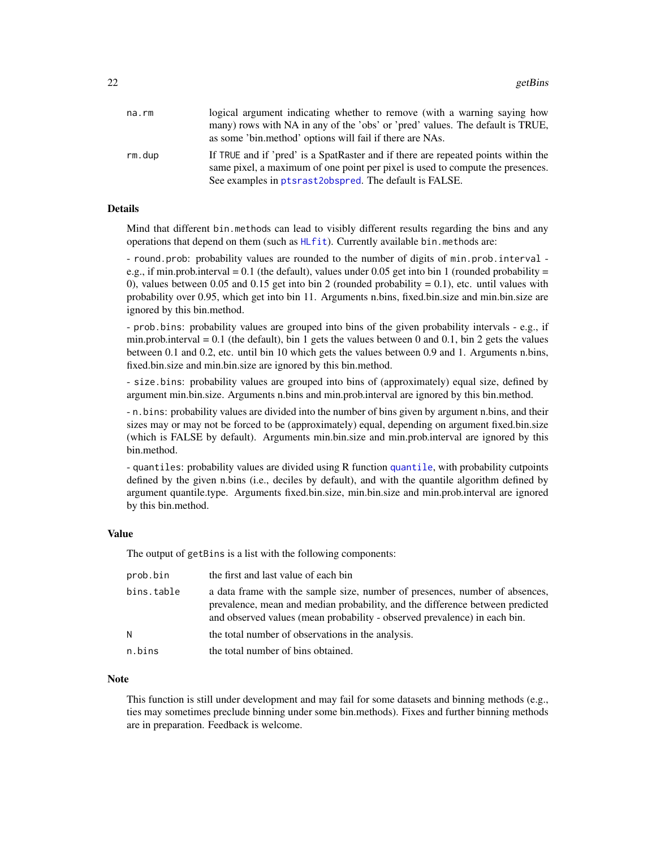<span id="page-21-0"></span>

| na.rm  | logical argument indicating whether to remove (with a warning saying how                                                                                            |
|--------|---------------------------------------------------------------------------------------------------------------------------------------------------------------------|
|        | many) rows with NA in any of the 'obs' or 'pred' values. The default is TRUE,                                                                                       |
|        | as some 'bin.method' options will fail if there are NAs.                                                                                                            |
| rm.dup | If TRUE and if 'pred' is a SpatRaster and if there are repeated points within the<br>same pixel, a maximum of one point per pixel is used to compute the presences. |
|        | See examples in ptsrast2obspred. The default is FALSE.                                                                                                              |

### Details

Mind that different bin.methods can lead to visibly different results regarding the bins and any operations that depend on them (such as [HLfit](#page-26-1)). Currently available bin.methods are:

- round.prob: probability values are rounded to the number of digits of min.prob.interval e.g., if min.prob.interval = 0.1 (the default), values under 0.05 get into bin 1 (rounded probability = 0), values between 0.05 and 0.15 get into bin 2 (rounded probability  $= 0.1$ ), etc. until values with probability over 0.95, which get into bin 11. Arguments n.bins, fixed.bin.size and min.bin.size are ignored by this bin.method.

- prob.bins: probability values are grouped into bins of the given probability intervals - e.g., if min.prob.interval =  $0.1$  (the default), bin 1 gets the values between 0 and 0.1, bin 2 gets the values between 0.1 and 0.2, etc. until bin 10 which gets the values between 0.9 and 1. Arguments n.bins, fixed.bin.size and min.bin.size are ignored by this bin.method.

- size.bins: probability values are grouped into bins of (approximately) equal size, defined by argument min.bin.size. Arguments n.bins and min.prob.interval are ignored by this bin.method.

- n.bins: probability values are divided into the number of bins given by argument n.bins, and their sizes may or may not be forced to be (approximately) equal, depending on argument fixed.bin.size (which is FALSE by default). Arguments min.bin.size and min.prob.interval are ignored by this bin.method.

- quantiles: probability values are divided using R function [quantile](#page-0-0), with probability cutpoints defined by the given n.bins (i.e., deciles by default), and with the quantile algorithm defined by argument quantile.type. Arguments fixed.bin.size, min.bin.size and min.prob.interval are ignored by this bin.method.

#### Value

The output of getBins is a list with the following components:

| prob.bin   | the first and last value of each bin                                                                                                                                                                                                      |
|------------|-------------------------------------------------------------------------------------------------------------------------------------------------------------------------------------------------------------------------------------------|
| bins.table | a data frame with the sample size, number of presences, number of absences,<br>prevalence, mean and median probability, and the difference between predicted<br>and observed values (mean probability - observed prevalence) in each bin. |
| N          | the total number of observations in the analysis.                                                                                                                                                                                         |
| n.bins     | the total number of bins obtained.                                                                                                                                                                                                        |

### **Note**

This function is still under development and may fail for some datasets and binning methods (e.g., ties may sometimes preclude binning under some bin.methods). Fixes and further binning methods are in preparation. Feedback is welcome.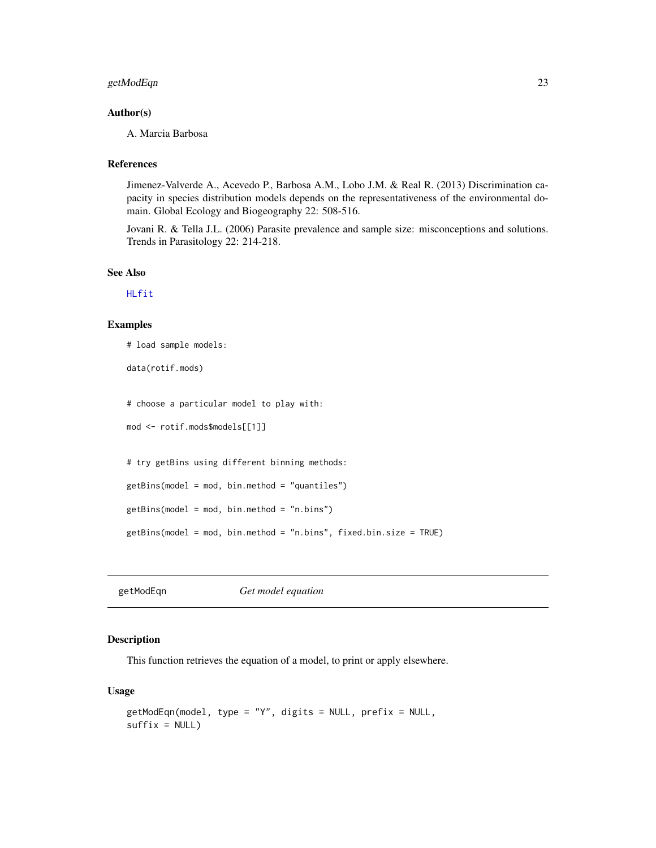### <span id="page-22-0"></span>getModEqn 23

### Author(s)

A. Marcia Barbosa

### References

Jimenez-Valverde A., Acevedo P., Barbosa A.M., Lobo J.M. & Real R. (2013) Discrimination capacity in species distribution models depends on the representativeness of the environmental domain. Global Ecology and Biogeography 22: 508-516.

Jovani R. & Tella J.L. (2006) Parasite prevalence and sample size: misconceptions and solutions. Trends in Parasitology 22: 214-218.

### See Also

[HLfit](#page-26-1)

### Examples

# load sample models:

data(rotif.mods)

# choose a particular model to play with:

```
mod <- rotif.mods$models[[1]]
```
# try getBins using different binning methods:

```
getBins(model = mod, bin.method = "quantiles")
```
getBins(model = mod, bin.method = "n.bins")

```
getBins(model = mod, bin.method = "n.bins", fixed.bin.size = TRUE)
```
getModEqn *Get model equation*

### Description

This function retrieves the equation of a model, to print or apply elsewhere.

#### Usage

```
getModEqn(model, type = "Y", digits = NULL, prefix = NULL,
suffix = NULL)
```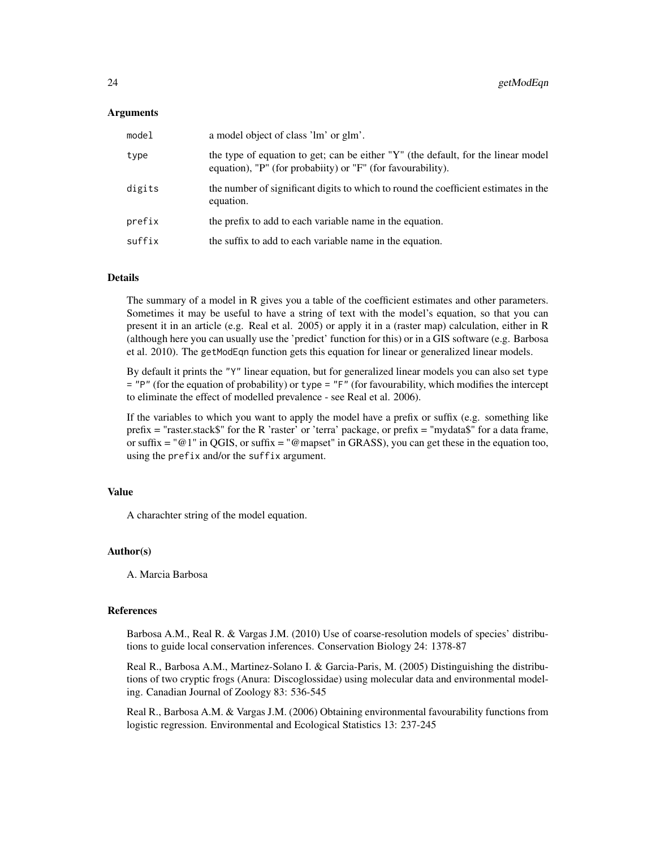### Arguments

| model  | a model object of class 'lm' or glm'.                                                                                                            |
|--------|--------------------------------------------------------------------------------------------------------------------------------------------------|
| type   | the type of equation to get; can be either "Y" (the default, for the linear model<br>equation), "P" (for probabiity) or "F" (for favourability). |
| digits | the number of significant digits to which to round the coefficient estimates in the<br>equation.                                                 |
| prefix | the prefix to add to each variable name in the equation.                                                                                         |
| suffix | the suffix to add to each variable name in the equation.                                                                                         |

### Details

The summary of a model in R gives you a table of the coefficient estimates and other parameters. Sometimes it may be useful to have a string of text with the model's equation, so that you can present it in an article (e.g. Real et al. 2005) or apply it in a (raster map) calculation, either in R (although here you can usually use the 'predict' function for this) or in a GIS software (e.g. Barbosa et al. 2010). The getModEqn function gets this equation for linear or generalized linear models.

By default it prints the "Y" linear equation, but for generalized linear models you can also set type = "P" (for the equation of probability) or type = "F" (for favourability, which modifies the intercept to eliminate the effect of modelled prevalence - see Real et al. 2006).

If the variables to which you want to apply the model have a prefix or suffix (e.g. something like prefix = "raster.stack\$" for the R 'raster' or 'terra' package, or prefix = "mydata\$" for a data frame, or suffix  $=$  " $@1"$  in QGIS, or suffix  $=$  " $@$  mapset" in GRASS), you can get these in the equation too, using the prefix and/or the suffix argument.

#### Value

A charachter string of the model equation.

### Author(s)

A. Marcia Barbosa

#### References

Barbosa A.M., Real R. & Vargas J.M. (2010) Use of coarse-resolution models of species' distributions to guide local conservation inferences. Conservation Biology 24: 1378-87

Real R., Barbosa A.M., Martinez-Solano I. & Garcia-Paris, M. (2005) Distinguishing the distributions of two cryptic frogs (Anura: Discoglossidae) using molecular data and environmental modeling. Canadian Journal of Zoology 83: 536-545

Real R., Barbosa A.M. & Vargas J.M. (2006) Obtaining environmental favourability functions from logistic regression. Environmental and Ecological Statistics 13: 237-245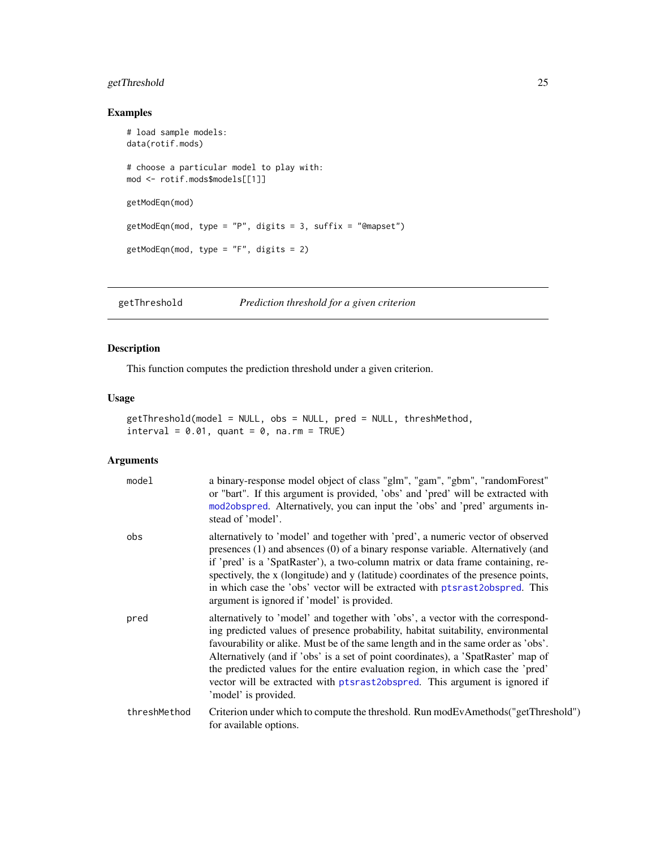### <span id="page-24-0"></span>getThreshold 25

### Examples

```
# load sample models:
data(rotif.mods)
# choose a particular model to play with:
mod <- rotif.mods$models[[1]]
getModEqn(mod)
getModEqn(mod, type = "P", digits = 3, suffix = "@mapset")
getModEqn(mod, type = "F", digits = 2)
```
<span id="page-24-1"></span>getThreshold *Prediction threshold for a given criterion*

### Description

This function computes the prediction threshold under a given criterion.

#### Usage

```
getThreshold(model = NULL, obs = NULL, pred = NULL, threshMethod,
interval = 0.01, quant = 0, na.rm = TRUE)
```

| model        | a binary-response model object of class "glm", "gam", "gbm", "randomForest"<br>or "bart". If this argument is provided, 'obs' and 'pred' will be extracted with<br>mod2obspred. Alternatively, you can input the 'obs' and 'pred' arguments in-<br>stead of 'model'.                                                                                                                                                                                                                                                                    |
|--------------|-----------------------------------------------------------------------------------------------------------------------------------------------------------------------------------------------------------------------------------------------------------------------------------------------------------------------------------------------------------------------------------------------------------------------------------------------------------------------------------------------------------------------------------------|
| obs          | alternatively to 'model' and together with 'pred', a numeric vector of observed<br>presences (1) and absences (0) of a binary response variable. Alternatively (and<br>if 'pred' is a 'SpatRaster'), a two-column matrix or data frame containing, re-<br>spectively, the x (longitude) and y (latitude) coordinates of the presence points,<br>in which case the 'obs' vector will be extracted with ptsrast2obspred. This<br>argument is ignored if 'model' is provided.                                                              |
| pred         | alternatively to 'model' and together with 'obs', a vector with the correspond-<br>ing predicted values of presence probability, habitat suitability, environmental<br>favourability or alike. Must be of the same length and in the same order as 'obs'.<br>Alternatively (and if 'obs' is a set of point coordinates), a 'SpatRaster' map of<br>the predicted values for the entire evaluation region, in which case the 'pred'<br>vector will be extracted with ptsrast2obspred. This argument is ignored if<br>'model' is provided. |
| threshMethod | Criterion under which to compute the threshold. Run modEvAmethods ("getThreshold")<br>for available options.                                                                                                                                                                                                                                                                                                                                                                                                                            |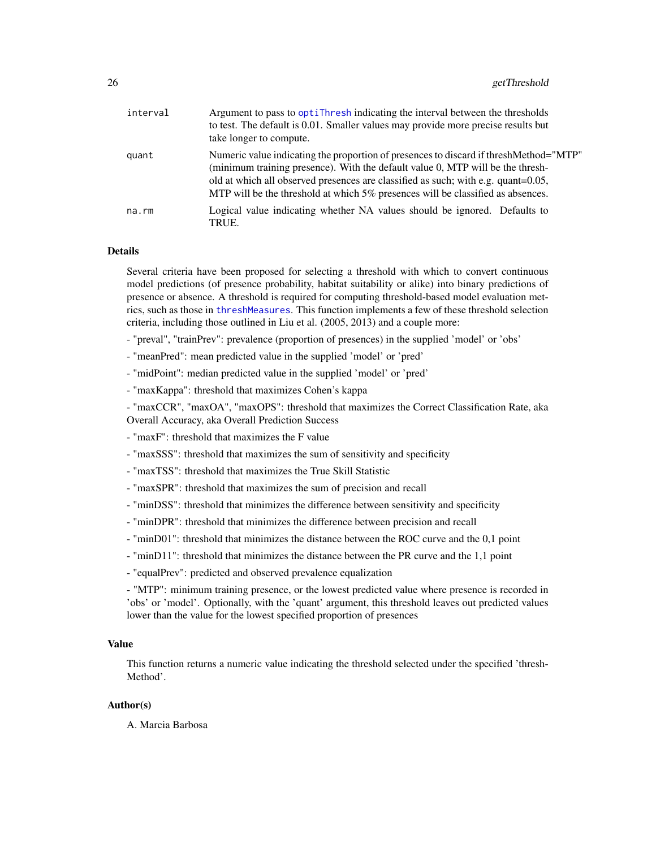<span id="page-25-0"></span>

| interval | Argument to pass to optitude indicating the interval between the thresholds<br>to test. The default is 0.01. Smaller values may provide more precise results but<br>take longer to compute.                                                                                                                                                      |
|----------|--------------------------------------------------------------------------------------------------------------------------------------------------------------------------------------------------------------------------------------------------------------------------------------------------------------------------------------------------|
| quant    | Numeric value indicating the proportion of presences to discard if thresh Method="MTP"<br>(minimum training presence). With the default value 0, MTP will be the thresh-<br>old at which all observed presences are classified as such; with e.g. quant=0.05,<br>MTP will be the threshold at which 5% presences will be classified as absences. |
| na.rm    | Logical value indicating whether NA values should be ignored. Defaults to<br>TRUE.                                                                                                                                                                                                                                                               |

#### Details

Several criteria have been proposed for selecting a threshold with which to convert continuous model predictions (of presence probability, habitat suitability or alike) into binary predictions of presence or absence. A threshold is required for computing threshold-based model evaluation metrics, such as those in [threshMeasures](#page-62-1). This function implements a few of these threshold selection criteria, including those outlined in Liu et al. (2005, 2013) and a couple more:

- "preval", "trainPrev": prevalence (proportion of presences) in the supplied 'model' or 'obs'
- "meanPred": mean predicted value in the supplied 'model' or 'pred'
- "midPoint": median predicted value in the supplied 'model' or 'pred'
- "maxKappa": threshold that maximizes Cohen's kappa

- "maxCCR", "maxOA", "maxOPS": threshold that maximizes the Correct Classification Rate, aka Overall Accuracy, aka Overall Prediction Success

- "maxF": threshold that maximizes the F value
- "maxSSS": threshold that maximizes the sum of sensitivity and specificity
- "maxTSS": threshold that maximizes the True Skill Statistic
- "maxSPR": threshold that maximizes the sum of precision and recall
- "minDSS": threshold that minimizes the difference between sensitivity and specificity
- "minDPR": threshold that minimizes the difference between precision and recall
- "minD01": threshold that minimizes the distance between the ROC curve and the 0,1 point
- "minD11": threshold that minimizes the distance between the PR curve and the 1,1 point
- "equalPrev": predicted and observed prevalence equalization

- "MTP": minimum training presence, or the lowest predicted value where presence is recorded in 'obs' or 'model'. Optionally, with the 'quant' argument, this threshold leaves out predicted values lower than the value for the lowest specified proportion of presences

### Value

This function returns a numeric value indicating the threshold selected under the specified 'thresh-Method'.

### Author(s)

A. Marcia Barbosa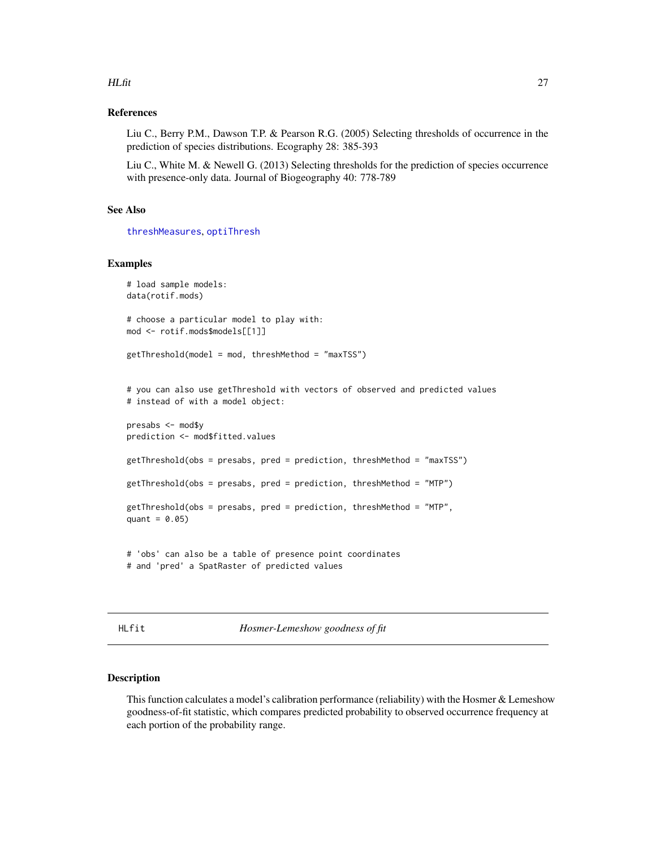### <span id="page-26-0"></span> $HLfit$  27

### References

Liu C., Berry P.M., Dawson T.P. & Pearson R.G. (2005) Selecting thresholds of occurrence in the prediction of species distributions. Ecography 28: 385-393

Liu C., White M. & Newell G. (2013) Selecting thresholds for the prediction of species occurrence with presence-only data. Journal of Biogeography 40: 778-789

### See Also

[threshMeasures](#page-62-1), [optiThresh](#page-45-1)

### Examples

```
# load sample models:
data(rotif.mods)
# choose a particular model to play with:
mod <- rotif.mods$models[[1]]
getThreshold(model = mod, threshMethod = "maxTSS")
# you can also use getThreshold with vectors of observed and predicted values
# instead of with a model object:
presabs <- mod$y
prediction <- mod$fitted.values
getThreshold(obs = presabs, pred = prediction, threshMethod = "maxTSS")
getThreshold(obs = presabs, pred = prediction, threshMethod = "MTP")
getThreshold(obs = presabs, pred = prediction, threshMethod = "MTP",
quant = 0.05)
# 'obs' can also be a table of presence point coordinates
```

```
# and 'pred' a SpatRaster of predicted values
```
<span id="page-26-1"></span>HLfit *Hosmer-Lemeshow goodness of fit*

#### Description

This function calculates a model's calibration performance (reliability) with the Hosmer & Lemeshow goodness-of-fit statistic, which compares predicted probability to observed occurrence frequency at each portion of the probability range.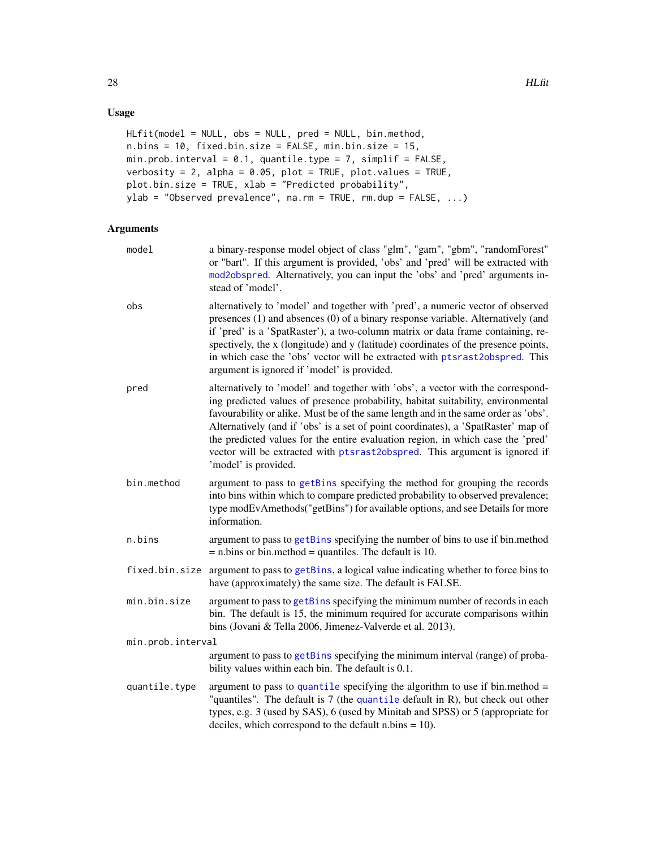### <span id="page-27-0"></span>Usage

```
HLfit(model = NULL, obs = NULL, pred = NULL, bin.method,
n.bins = 10, fixed.bin.size = FALSE, min.bin.size = 15,
min.prob.interval = 0.1, quantile.type = 7, simplif = FALSE,
verbosity = 2, alpha = 0.05, plot = TRUE, plot.values = TRUE,
plot.bin.size = TRUE, xlab = "Predicted probability",
ylab = "Observed prevalence", na.rm = TRUE, rm.dup = FALSE, ...)
```

| model             | a binary-response model object of class "glm", "gam", "gbm", "randomForest"<br>or "bart". If this argument is provided, 'obs' and 'pred' will be extracted with<br>mod2obspred. Alternatively, you can input the 'obs' and 'pred' arguments in-<br>stead of 'model'.                                                                                                                                                                                                                                                                    |
|-------------------|-----------------------------------------------------------------------------------------------------------------------------------------------------------------------------------------------------------------------------------------------------------------------------------------------------------------------------------------------------------------------------------------------------------------------------------------------------------------------------------------------------------------------------------------|
| obs               | alternatively to 'model' and together with 'pred', a numeric vector of observed<br>presences (1) and absences (0) of a binary response variable. Alternatively (and<br>if 'pred' is a 'SpatRaster'), a two-column matrix or data frame containing, re-<br>spectively, the x (longitude) and y (latitude) coordinates of the presence points,<br>in which case the 'obs' vector will be extracted with ptsrast2obspred. This<br>argument is ignored if 'model' is provided.                                                              |
| pred              | alternatively to 'model' and together with 'obs', a vector with the correspond-<br>ing predicted values of presence probability, habitat suitability, environmental<br>favourability or alike. Must be of the same length and in the same order as 'obs'.<br>Alternatively (and if 'obs' is a set of point coordinates), a 'SpatRaster' map of<br>the predicted values for the entire evaluation region, in which case the 'pred'<br>vector will be extracted with ptsrast2obspred. This argument is ignored if<br>'model' is provided. |
| bin.method        | argument to pass to getBins specifying the method for grouping the records<br>into bins within which to compare predicted probability to observed prevalence;<br>type modEvAmethods("getBins") for available options, and see Details for more<br>information.                                                                                                                                                                                                                                                                          |
| n.bins            | argument to pass to getBins specifying the number of bins to use if bin.method<br>$=$ n.bins or bin.method $=$ quantiles. The default is 10.                                                                                                                                                                                                                                                                                                                                                                                            |
| fixed.bin.size    | argument to pass to getBins, a logical value indicating whether to force bins to<br>have (approximately) the same size. The default is FALSE.                                                                                                                                                                                                                                                                                                                                                                                           |
| min.bin.size      | argument to pass to getBins specifying the minimum number of records in each<br>bin. The default is 15, the minimum required for accurate comparisons within<br>bins (Jovani & Tella 2006, Jimenez-Valverde et al. 2013).                                                                                                                                                                                                                                                                                                               |
| min.prob.interval |                                                                                                                                                                                                                                                                                                                                                                                                                                                                                                                                         |
|                   | argument to pass to getBins specifying the minimum interval (range) of proba-<br>bility values within each bin. The default is 0.1.                                                                                                                                                                                                                                                                                                                                                                                                     |
| quantile.type     | argument to pass to quantile specifying the algorithm to use if bin.method $=$<br>"quantiles". The default is $7$ (the quantile default in R), but check out other<br>types, e.g. 3 (used by SAS), 6 (used by Minitab and SPSS) or 5 (appropriate for<br>deciles, which correspond to the default $n \cdot b$ ins = 10).                                                                                                                                                                                                                |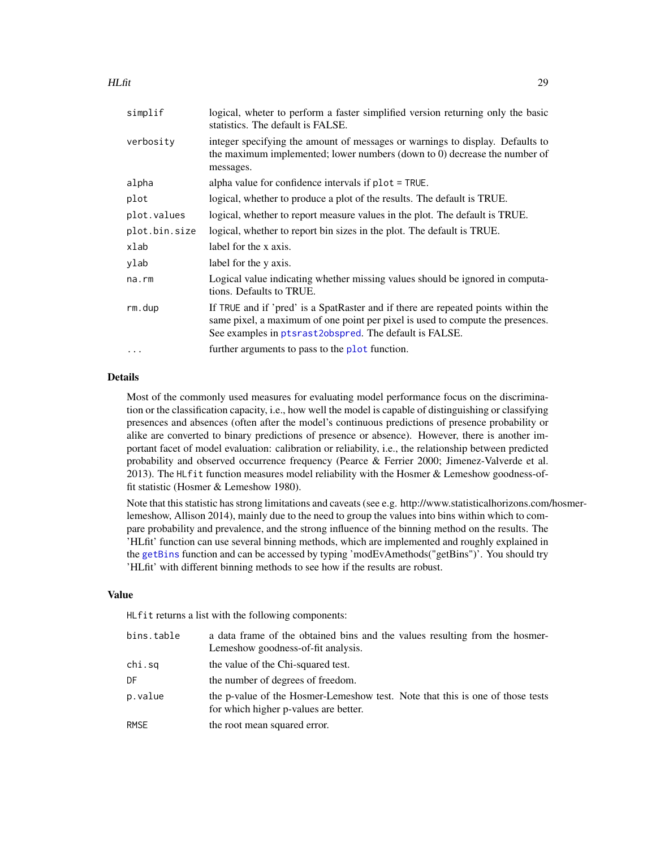<span id="page-28-0"></span>

| simplif       | logical, wheter to perform a faster simplified version returning only the basic<br>statistics. The default is FALSE.                                                                                                          |
|---------------|-------------------------------------------------------------------------------------------------------------------------------------------------------------------------------------------------------------------------------|
| verbosity     | integer specifying the amount of messages or warnings to display. Defaults to<br>the maximum implemented; lower numbers (down to 0) decrease the number of<br>messages.                                                       |
| alpha         | alpha value for confidence intervals if plot = TRUE.                                                                                                                                                                          |
| plot          | logical, whether to produce a plot of the results. The default is TRUE.                                                                                                                                                       |
| plot.values   | logical, whether to report measure values in the plot. The default is TRUE.                                                                                                                                                   |
| plot.bin.size | logical, whether to report bin sizes in the plot. The default is TRUE.                                                                                                                                                        |
| xlab          | label for the x axis.                                                                                                                                                                                                         |
| ylab          | label for the y axis.                                                                                                                                                                                                         |
| na.rm         | Logical value indicating whether missing values should be ignored in computa-<br>tions. Defaults to TRUE.                                                                                                                     |
| rm.dup        | If TRUE and if 'pred' is a SpatRaster and if there are repeated points within the<br>same pixel, a maximum of one point per pixel is used to compute the presences.<br>See examples in ptsrast2obspred. The default is FALSE. |
| $\cdots$      | further arguments to pass to the plot function.                                                                                                                                                                               |

### Details

Most of the commonly used measures for evaluating model performance focus on the discrimination or the classification capacity, i.e., how well the model is capable of distinguishing or classifying presences and absences (often after the model's continuous predictions of presence probability or alike are converted to binary predictions of presence or absence). However, there is another important facet of model evaluation: calibration or reliability, i.e., the relationship between predicted probability and observed occurrence frequency (Pearce & Ferrier 2000; Jimenez-Valverde et al. 2013). The HLfit function measures model reliability with the Hosmer & Lemeshow goodness-offit statistic (Hosmer & Lemeshow 1980).

Note that this statistic has strong limitations and caveats (see e.g. http://www.statisticalhorizons.com/hosmerlemeshow, Allison 2014), mainly due to the need to group the values into bins within which to compare probability and prevalence, and the strong influence of the binning method on the results. The 'HLfit' function can use several binning methods, which are implemented and roughly explained in the [getBins](#page-19-1) function and can be accessed by typing 'modEvAmethods("getBins")'. You should try 'HLfit' with different binning methods to see how if the results are robust.

### Value

HLfit returns a list with the following components:

| bins.table  | a data frame of the obtained bins and the values resulting from the hosmer-<br>Lemeshow goodness-of-fit analysis.      |
|-------------|------------------------------------------------------------------------------------------------------------------------|
| chi.sq      | the value of the Chi-squared test.                                                                                     |
| DF          | the number of degrees of freedom.                                                                                      |
| p.value     | the p-value of the Hosmer-Lemeshow test. Note that this is one of those tests<br>for which higher p-values are better. |
| <b>RMSE</b> | the root mean squared error.                                                                                           |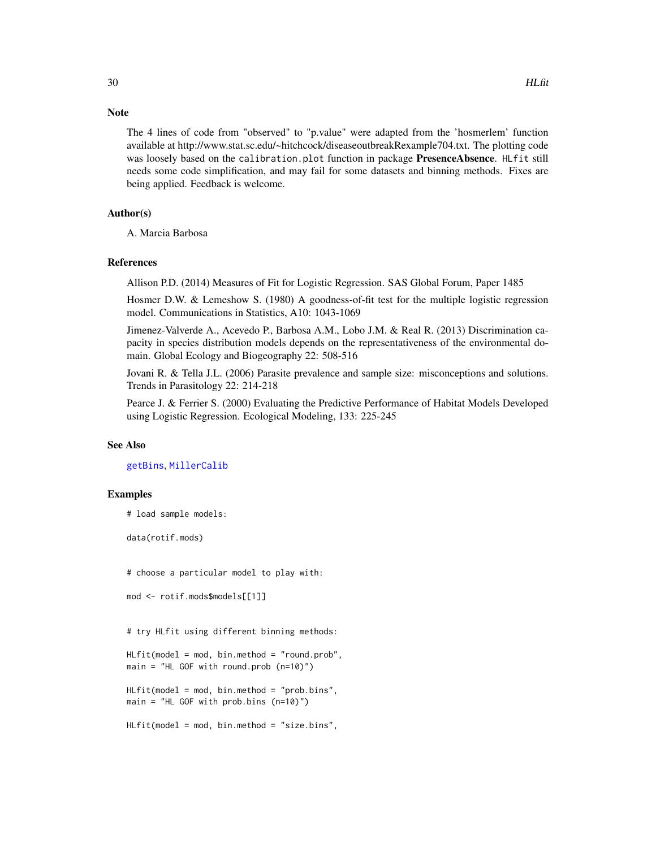#### **Note**

The 4 lines of code from "observed" to "p.value" were adapted from the 'hosmerlem' function available at http://www.stat.sc.edu/~hitchcock/diseaseoutbreakRexample704.txt. The plotting code was loosely based on the calibration.plot function in package PresenceAbsence. HLfit still needs some code simplification, and may fail for some datasets and binning methods. Fixes are being applied. Feedback is welcome.

### Author(s)

A. Marcia Barbosa

#### References

Allison P.D. (2014) Measures of Fit for Logistic Regression. SAS Global Forum, Paper 1485

Hosmer D.W. & Lemeshow S. (1980) A goodness-of-fit test for the multiple logistic regression model. Communications in Statistics, A10: 1043-1069

Jimenez-Valverde A., Acevedo P., Barbosa A.M., Lobo J.M. & Real R. (2013) Discrimination capacity in species distribution models depends on the representativeness of the environmental domain. Global Ecology and Biogeography 22: 508-516

Jovani R. & Tella J.L. (2006) Parasite prevalence and sample size: misconceptions and solutions. Trends in Parasitology 22: 214-218

Pearce J. & Ferrier S. (2000) Evaluating the Predictive Performance of Habitat Models Developed using Logistic Regression. Ecological Modeling, 133: 225-245

#### See Also

[getBins](#page-19-1), [MillerCalib](#page-34-1)

#### Examples

```
# load sample models:
```
data(rotif.mods)

# choose a particular model to play with:

```
mod <- rotif.mods$models[[1]]
```
# try HLfit using different binning methods:

HLfit(model = mod, bin.method = "round.prob", main = "HL GOF with round.prob (n=10)")

 $H L f i t (model = mod, bin . method = "prob. bins",$ main = "HL GOF with prob.bins (n=10)")

HLfit(model = mod, bin.method = "size.bins",

<span id="page-29-0"></span>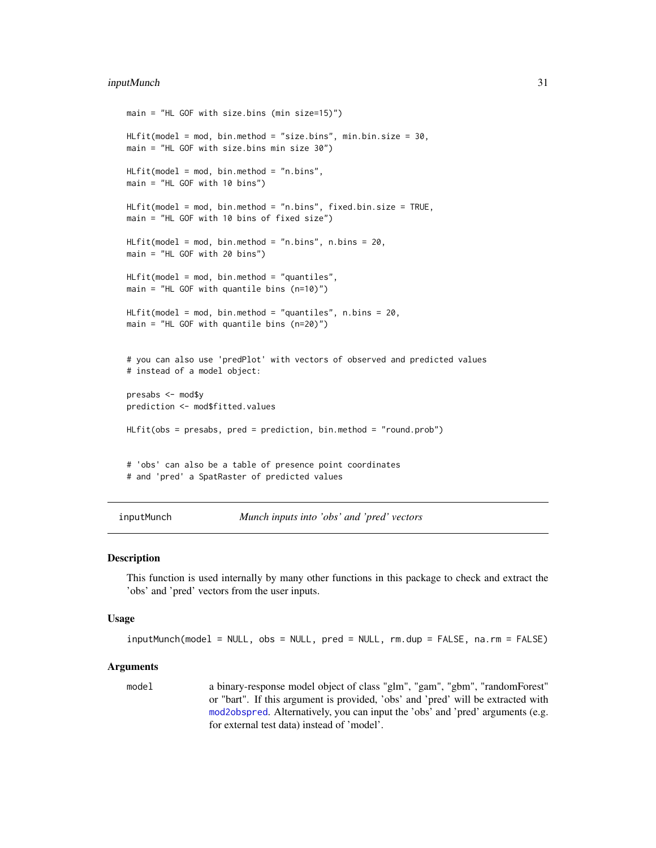### <span id="page-30-0"></span>inputMunch 31

```
main = "HL GOF with size.bins (min size=15)")
HLfit(model = mod, bin.method = "size.bins", min.bin.size = 30,
main = "HL GOF with size.bins min size 30")
HLFit(model = mod, bin.method = "n.bins",main = "HL GOF with 10 bins")
HLfit(model = mod, bin.method = "n.bins", fixed.bin.size = TRUE,
main = "HL GOF with 10 bins of fixed size")
HLfit(model = mod, bin.method = "n.bins", n.bins = 20,
main = "HL GOF with 20 bins")
HLfit(model = mod, bin.method = "quantiles",
main = "HL GOF with quantile bins (n=10)")
HLfit(model = mod, bin.method = "quantiles", n.bins = 20,
main = "HL GOF with quantile bins (n=20)")
# you can also use 'predPlot' with vectors of observed and predicted values
# instead of a model object:
presabs <- mod$y
prediction <- mod$fitted.values
HLFit(obs = presabs, pred = prediction, bin.method = "round.prob")# 'obs' can also be a table of presence point coordinates
# and 'pred' a SpatRaster of predicted values
```
inputMunch *Munch inputs into 'obs' and 'pred' vectors*

### Description

This function is used internally by many other functions in this package to check and extract the 'obs' and 'pred' vectors from the user inputs.

### Usage

```
inputMunch(model = NULL, obs = NULL, pred = NULL, rm.dup = FALSE, na.rm = FALSE)
```
#### Arguments

model a binary-response model object of class "glm", "gam", "gbm", "randomForest" or "bart". If this argument is provided, 'obs' and 'pred' will be extracted with [mod2obspred](#page-36-1). Alternatively, you can input the 'obs' and 'pred' arguments (e.g. for external test data) instead of 'model'.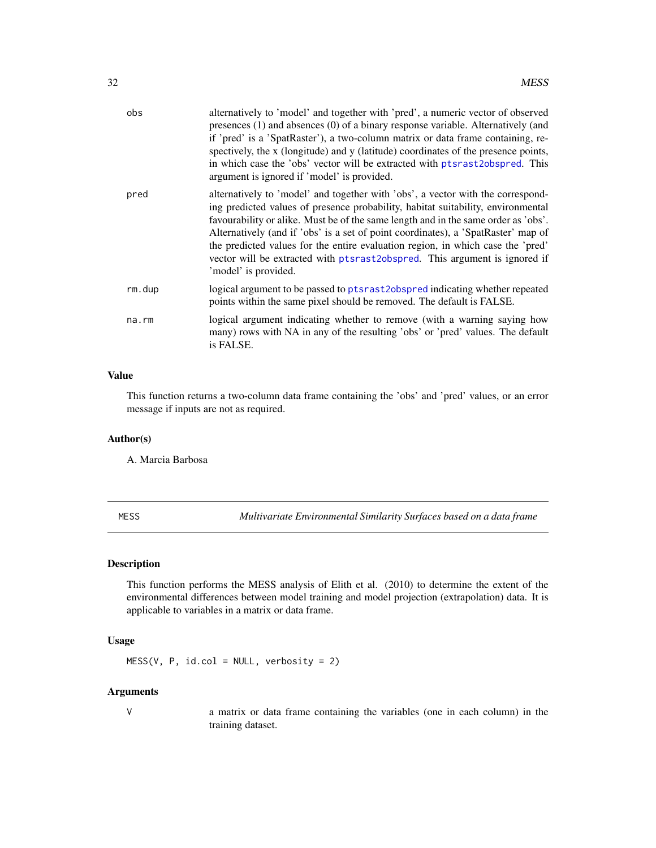<span id="page-31-0"></span>

| obs    | alternatively to 'model' and together with 'pred', a numeric vector of observed<br>presences (1) and absences (0) of a binary response variable. Alternatively (and<br>if 'pred' is a 'SpatRaster'), a two-column matrix or data frame containing, re-<br>spectively, the x (longitude) and y (latitude) coordinates of the presence points,<br>in which case the 'obs' vector will be extracted with ptsrast2obspred. This<br>argument is ignored if 'model' is provided.                                                              |
|--------|-----------------------------------------------------------------------------------------------------------------------------------------------------------------------------------------------------------------------------------------------------------------------------------------------------------------------------------------------------------------------------------------------------------------------------------------------------------------------------------------------------------------------------------------|
| pred   | alternatively to 'model' and together with 'obs', a vector with the correspond-<br>ing predicted values of presence probability, habitat suitability, environmental<br>favourability or alike. Must be of the same length and in the same order as 'obs'.<br>Alternatively (and if 'obs' is a set of point coordinates), a 'SpatRaster' map of<br>the predicted values for the entire evaluation region, in which case the 'pred'<br>vector will be extracted with ptsrast2obspred. This argument is ignored if<br>'model' is provided. |
| rm.dup | logical argument to be passed to ptsrast2obspred indicating whether repeated<br>points within the same pixel should be removed. The default is FALSE.                                                                                                                                                                                                                                                                                                                                                                                   |
| na.rm  | logical argument indicating whether to remove (with a warning saying how<br>many) rows with NA in any of the resulting 'obs' or 'pred' values. The default<br>is FALSE.                                                                                                                                                                                                                                                                                                                                                                 |

### Value

This function returns a two-column data frame containing the 'obs' and 'pred' values, or an error message if inputs are not as required.

### Author(s)

A. Marcia Barbosa

<span id="page-31-1"></span>MESS *Multivariate Environmental Similarity Surfaces based on a data frame*

### Description

This function performs the MESS analysis of Elith et al. (2010) to determine the extent of the environmental differences between model training and model projection (extrapolation) data. It is applicable to variables in a matrix or data frame.

### Usage

MESS(V, P, id.col = NULL, verbosity = 2)

### Arguments

V a matrix or data frame containing the variables (one in each column) in the training dataset.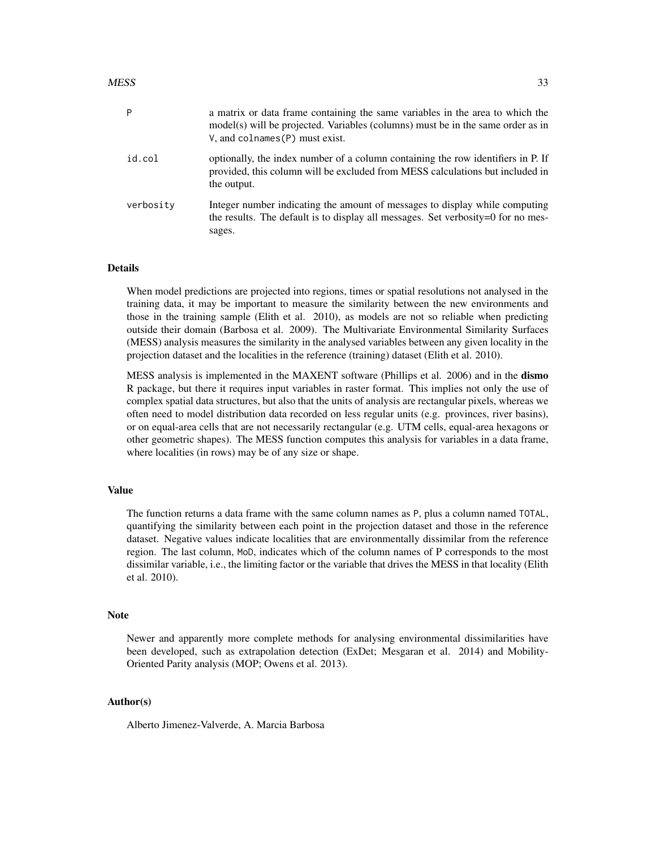| P         | a matrix or data frame containing the same variables in the area to which the<br>$model(s)$ will be projected. Variables (columns) must be in the same order as in<br>$V$ , and colnames $(P)$ must exist. |
|-----------|------------------------------------------------------------------------------------------------------------------------------------------------------------------------------------------------------------|
| id.col    | optionally, the index number of a column containing the row identifiers in P. If<br>provided, this column will be excluded from MESS calculations but included in<br>the output.                           |
| verbosity | Integer number indicating the amount of messages to display while computing<br>the results. The default is to display all messages. Set verbosity=0 for no mes-<br>sages.                                  |

### Details

When model predictions are projected into regions, times or spatial resolutions not analysed in the training data, it may be important to measure the similarity between the new environments and those in the training sample (Elith et al. 2010), as models are not so reliable when predicting outside their domain (Barbosa et al. 2009). The Multivariate Environmental Similarity Surfaces (MESS) analysis measures the similarity in the analysed variables between any given locality in the projection dataset and the localities in the reference (training) dataset (Elith et al. 2010).

MESS analysis is implemented in the MAXENT software (Phillips et al. 2006) and in the **dismo** R package, but there it requires input variables in raster format. This implies not only the use of complex spatial data structures, but also that the units of analysis are rectangular pixels, whereas we often need to model distribution data recorded on less regular units (e.g. provinces, river basins), or on equal-area cells that are not necessarily rectangular (e.g. UTM cells, equal-area hexagons or other geometric shapes). The MESS function computes this analysis for variables in a data frame, where localities (in rows) may be of any size or shape.

### Value

The function returns a data frame with the same column names as P, plus a column named TOTAL, quantifying the similarity between each point in the projection dataset and those in the reference dataset. Negative values indicate localities that are environmentally dissimilar from the reference region. The last column, MoD, indicates which of the column names of P corresponds to the most dissimilar variable, i.e., the limiting factor or the variable that drives the MESS in that locality (Elith et al. 2010).

#### **Note**

Newer and apparently more complete methods for analysing environmental dissimilarities have been developed, such as extrapolation detection (ExDet; Mesgaran et al. 2014) and Mobility-Oriented Parity analysis (MOP; Owens et al. 2013).

### Author(s)

Alberto Jimenez-Valverde, A. Marcia Barbosa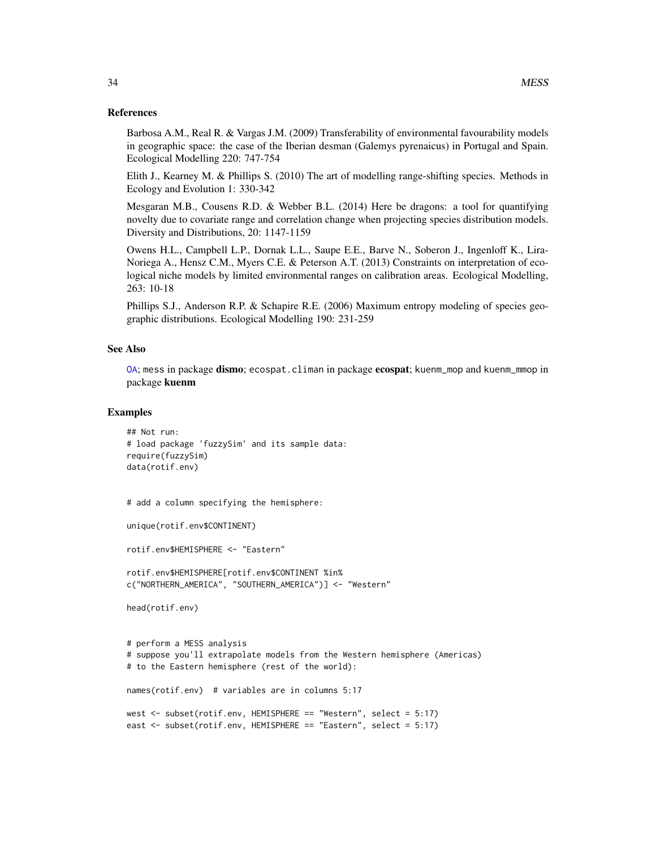### <span id="page-33-0"></span>References

Barbosa A.M., Real R. & Vargas J.M. (2009) Transferability of environmental favourability models in geographic space: the case of the Iberian desman (Galemys pyrenaicus) in Portugal and Spain. Ecological Modelling 220: 747-754

Elith J., Kearney M. & Phillips S. (2010) The art of modelling range-shifting species. Methods in Ecology and Evolution 1: 330-342

Mesgaran M.B., Cousens R.D. & Webber B.L. (2014) Here be dragons: a tool for quantifying novelty due to covariate range and correlation change when projecting species distribution models. Diversity and Distributions, 20: 1147-1159

Owens H.L., Campbell L.P., Dornak L.L., Saupe E.E., Barve N., Soberon J., Ingenloff K., Lira-Noriega A., Hensz C.M., Myers C.E. & Peterson A.T. (2013) Constraints on interpretation of ecological niche models by limited environmental ranges on calibration areas. Ecological Modelling, 263: 10-18

Phillips S.J., Anderson R.P. & Schapire R.E. (2006) Maximum entropy modeling of species geographic distributions. Ecological Modelling 190: 231-259

### See Also

[OA](#page-40-1); mess in package dismo; ecospat.climan in package ecospat; kuenm\_mop and kuenm\_mmop in package kuenm

#### Examples

```
## Not run:
# load package 'fuzzySim' and its sample data:
require(fuzzySim)
data(rotif.env)
```

```
# add a column specifying the hemisphere:
```
unique(rotif.env\$CONTINENT)

rotif.env\$HEMISPHERE <- "Eastern"

```
rotif.env$HEMISPHERE[rotif.env$CONTINENT %in%
c("NORTHERN_AMERICA", "SOUTHERN_AMERICA")] <- "Western"
```

```
head(rotif.env)
```

```
# perform a MESS analysis
# suppose you'll extrapolate models from the Western hemisphere (Americas)
# to the Eastern hemisphere (rest of the world):
names(rotif.env) # variables are in columns 5:17
west <- subset(rotif.env, HEMISPHERE == "Western", select = 5:17)
east <- subset(rotif.env, HEMISPHERE == "Eastern", select = 5:17)
```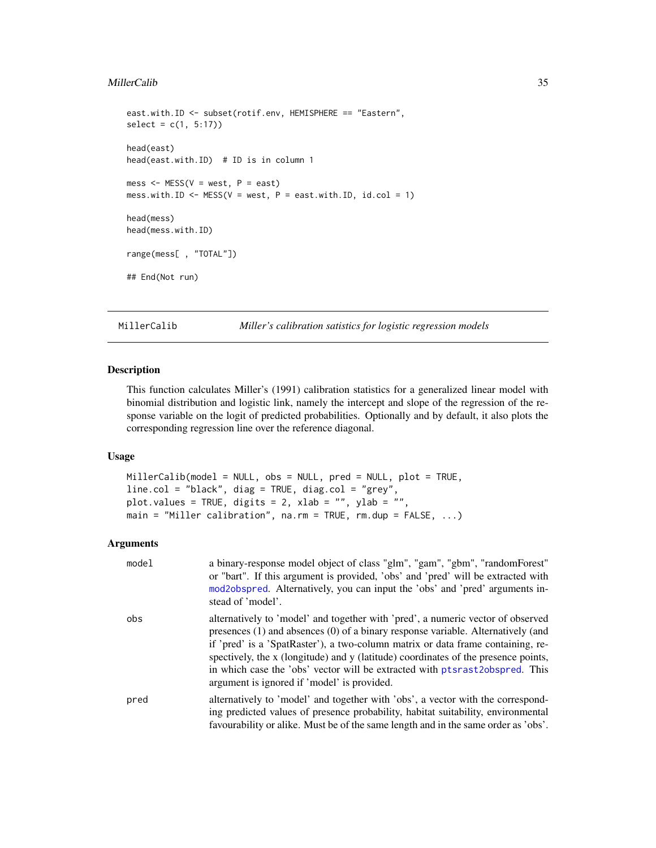### <span id="page-34-0"></span>MillerCalib 35

```
east.with.ID <- subset(rotif.env, HEMISPHERE == "Eastern",
select = c(1, 5:17)head(east)
head(east.with.ID) # ID is in column 1
mess \leq MESS(V = west, P = east)
mess.with.ID \leq MESS(V = west, P = east.with.ID, id.col = 1)
head(mess)
head(mess.with.ID)
range(mess[ , "TOTAL"])
## End(Not run)
```
<span id="page-34-1"></span>MillerCalib *Miller's calibration satistics for logistic regression models*

### Description

This function calculates Miller's (1991) calibration statistics for a generalized linear model with binomial distribution and logistic link, namely the intercept and slope of the regression of the response variable on the logit of predicted probabilities. Optionally and by default, it also plots the corresponding regression line over the reference diagonal.

### Usage

```
MillerCalib(model = NULL, obs = NULL, pred = NULL, plot = TRUE,
line.col = "black", diag = TRUE, diag.col = "grey",
plot.values = TRUE, digits = 2, xlab = "", ylab = ""main = "Miller calibration", na.rm = TRUE, rm.dup = FALSE, ...)
```

| model | a binary-response model object of class "glm", "gam", "gbm", "randomForest"<br>or "bart". If this argument is provided, 'obs' and 'pred' will be extracted with<br>mod2obspred. Alternatively, you can input the 'obs' and 'pred' arguments in-<br>stead of 'model'.                                                                                                                                                                                                           |
|-------|--------------------------------------------------------------------------------------------------------------------------------------------------------------------------------------------------------------------------------------------------------------------------------------------------------------------------------------------------------------------------------------------------------------------------------------------------------------------------------|
| obs   | alternatively to 'model' and together with 'pred', a numeric vector of observed<br>presences $(1)$ and absences $(0)$ of a binary response variable. Alternatively (and<br>if 'pred' is a 'SpatRaster'), a two-column matrix or data frame containing, re-<br>spectively, the x (longitude) and y (latitude) coordinates of the presence points,<br>in which case the 'obs' vector will be extracted with ptsrast2obspred. This<br>argument is ignored if 'model' is provided. |
| pred  | alternatively to 'model' and together with 'obs', a vector with the correspond-<br>ing predicted values of presence probability, habitat suitability, environmental<br>favourability or alike. Must be of the same length and in the same order as 'obs'.                                                                                                                                                                                                                      |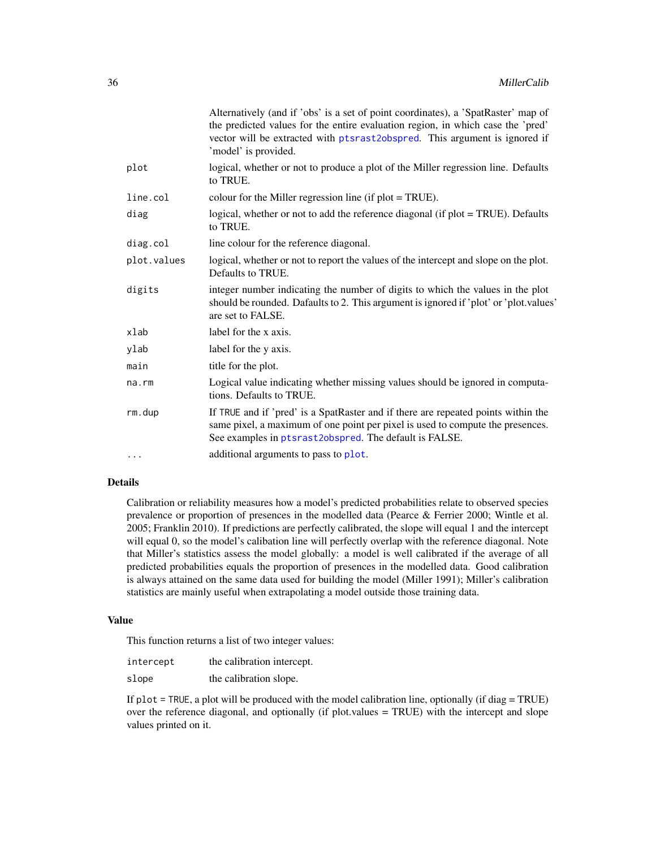<span id="page-35-0"></span>

|             | Alternatively (and if 'obs' is a set of point coordinates), a 'SpatRaster' map of<br>the predicted values for the entire evaluation region, in which case the 'pred'<br>vector will be extracted with ptsrast2obspred. This argument is ignored if<br>'model' is provided. |
|-------------|----------------------------------------------------------------------------------------------------------------------------------------------------------------------------------------------------------------------------------------------------------------------------|
| plot        | logical, whether or not to produce a plot of the Miller regression line. Defaults<br>to TRUE.                                                                                                                                                                              |
| line.col    | colour for the Miller regression line (if $plot = TRUE$ ).                                                                                                                                                                                                                 |
| diag        | logical, whether or not to add the reference diagonal (if plot = TRUE). Defaults<br>to TRUE.                                                                                                                                                                               |
| diag.col    | line colour for the reference diagonal.                                                                                                                                                                                                                                    |
| plot.values | logical, whether or not to report the values of the intercept and slope on the plot.<br>Defaults to TRUE.                                                                                                                                                                  |
| digits      | integer number indicating the number of digits to which the values in the plot<br>should be rounded. Dafaults to 2. This argument is ignored if 'plot' or 'plot.values'<br>are set to FALSE.                                                                               |
| xlab        | label for the x axis.                                                                                                                                                                                                                                                      |
| ylab        | label for the y axis.                                                                                                                                                                                                                                                      |
| main        | title for the plot.                                                                                                                                                                                                                                                        |
| na.rm       | Logical value indicating whether missing values should be ignored in computa-<br>tions. Defaults to TRUE.                                                                                                                                                                  |
| rm.dup      | If TRUE and if 'pred' is a SpatRaster and if there are repeated points within the<br>same pixel, a maximum of one point per pixel is used to compute the presences.<br>See examples in ptsrast2obspred. The default is FALSE.                                              |
| $\cdots$    | additional arguments to pass to plot.                                                                                                                                                                                                                                      |

### Details

Calibration or reliability measures how a model's predicted probabilities relate to observed species prevalence or proportion of presences in the modelled data (Pearce & Ferrier 2000; Wintle et al. 2005; Franklin 2010). If predictions are perfectly calibrated, the slope will equal 1 and the intercept will equal 0, so the model's calibation line will perfectly overlap with the reference diagonal. Note that Miller's statistics assess the model globally: a model is well calibrated if the average of all predicted probabilities equals the proportion of presences in the modelled data. Good calibration is always attained on the same data used for building the model (Miller 1991); Miller's calibration statistics are mainly useful when extrapolating a model outside those training data.

### Value

This function returns a list of two integer values:

| intercept | the calibration intercept. |
|-----------|----------------------------|
| slope     | the calibration slope.     |

If  $plot = TRUE$ , a plot will be produced with the model calibration line, optionally (if diag = TRUE) over the reference diagonal, and optionally (if plot.values = TRUE) with the intercept and slope values printed on it.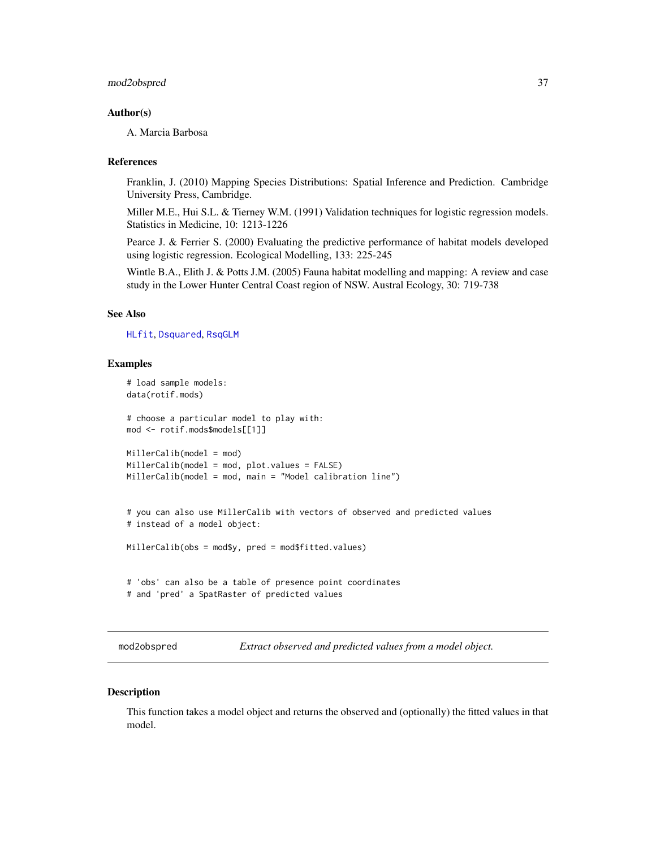### <span id="page-36-0"></span>mod2obspred 37

### Author(s)

A. Marcia Barbosa

### References

Franklin, J. (2010) Mapping Species Distributions: Spatial Inference and Prediction. Cambridge University Press, Cambridge.

Miller M.E., Hui S.L. & Tierney W.M. (1991) Validation techniques for logistic regression models. Statistics in Medicine, 10: 1213-1226

Pearce J. & Ferrier S. (2000) Evaluating the predictive performance of habitat models developed using logistic regression. Ecological Modelling, 133: 225-245

Wintle B.A., Elith J. & Potts J.M. (2005) Fauna habitat modelling and mapping: A review and case study in the Lower Hunter Central Coast region of NSW. Austral Ecology, 30: 719-738

### See Also

[HLfit](#page-26-1), [Dsquared](#page-15-1), [RsqGLM](#page-59-1)

### Examples

```
# load sample models:
data(rotif.mods)
# choose a particular model to play with:
mod <- rotif.mods$models[[1]]
MillerCalib(model = mod)
MillerCalib(model = mod, plot.values = FALSE)
MillerCalib(model = mod, main = "Model calibration line")
# you can also use MillerCalib with vectors of observed and predicted values
# instead of a model object:
MillerCalib(obs = mod$y, pred = mod$fitted.values)
# 'obs' can also be a table of presence point coordinates
# and 'pred' a SpatRaster of predicted values
```
<span id="page-36-1"></span>mod2obspred *Extract observed and predicted values from a model object.*

### Description

This function takes a model object and returns the observed and (optionally) the fitted values in that model.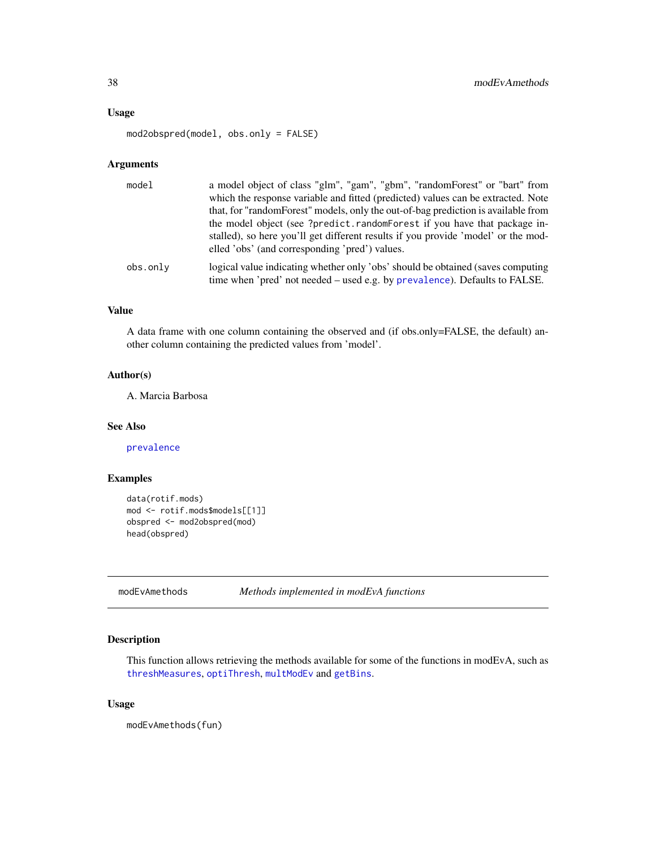### <span id="page-37-0"></span>Usage

mod2obspred(model, obs.only = FALSE)

### Arguments

| model    | a model object of class "glm", "gam", "gbm", "randomForest" or "bart" from<br>which the response variable and fitted (predicted) values can be extracted. Note<br>that, for "random Forest" models, only the out-of-bag prediction is available from |
|----------|------------------------------------------------------------------------------------------------------------------------------------------------------------------------------------------------------------------------------------------------------|
|          | the model object (see ?predict.randomForest if you have that package in-<br>stalled), so here you'll get different results if you provide 'model' or the mod-<br>elled 'obs' (and corresponding 'pred') values.                                      |
| obs.only | logical value indicating whether only 'obs' should be obtained (saves computing<br>time when 'pred' not needed – used e.g. by prevalence). Defaults to FALSE.                                                                                        |

### Value

A data frame with one column containing the observed and (if obs.only=FALSE, the default) another column containing the predicted values from 'model'.

### Author(s)

A. Marcia Barbosa

#### See Also

[prevalence](#page-54-1)

### Examples

```
data(rotif.mods)
mod <- rotif.mods$models[[1]]
obspred <- mod2obspred(mod)
head(obspred)
```
modEvAmethods *Methods implemented in modEvA functions*

### Description

This function allows retrieving the methods available for some of the functions in modEvA, such as [threshMeasures](#page-62-1), [optiThresh](#page-45-1), [multModEv](#page-38-1) and [getBins](#page-19-1).

#### Usage

modEvAmethods(fun)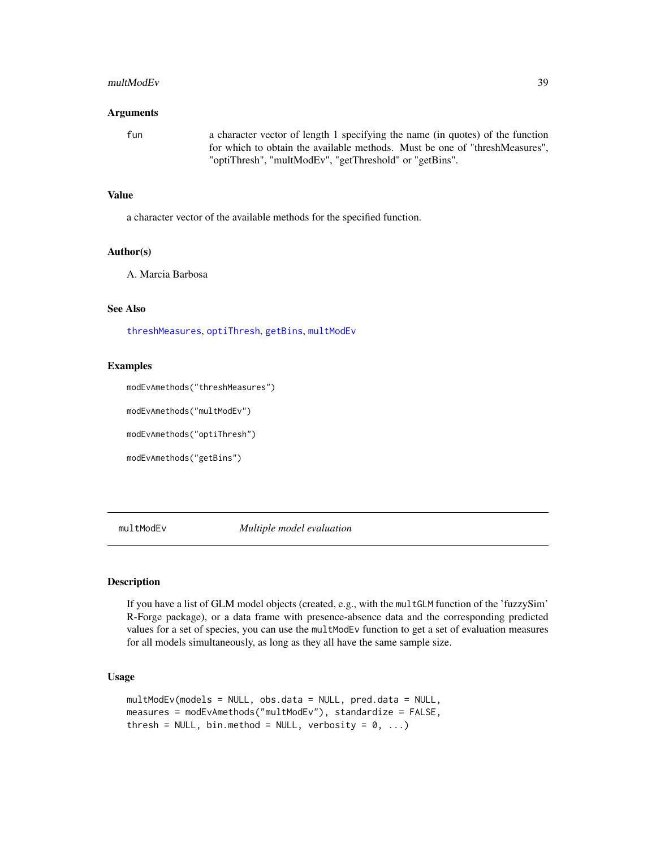#### <span id="page-38-0"></span>multModEv 39

### Arguments

fun a character vector of length 1 specifying the name (in quotes) of the function for which to obtain the available methods. Must be one of "threshMeasures", "optiThresh", "multModEv", "getThreshold" or "getBins".

#### Value

a character vector of the available methods for the specified function.

### Author(s)

A. Marcia Barbosa

### See Also

[threshMeasures](#page-62-1), [optiThresh](#page-45-1), [getBins](#page-19-1), [multModEv](#page-38-1)

### Examples

modEvAmethods("threshMeasures")

modEvAmethods("multModEv")

modEvAmethods("optiThresh")

modEvAmethods("getBins")

<span id="page-38-1"></span>multModEv *Multiple model evaluation*

### **Description**

If you have a list of GLM model objects (created, e.g., with the multGLM function of the 'fuzzySim' R-Forge package), or a data frame with presence-absence data and the corresponding predicted values for a set of species, you can use the multModEv function to get a set of evaluation measures for all models simultaneously, as long as they all have the same sample size.

### Usage

```
multModEv(models = NULL, obs.data = NULL, pred.data = NULL,
measures = modEvAmethods("multModEv"), standardize = FALSE,
thresh = NULL, bin.method = NULL, verbosity = 0, ...)
```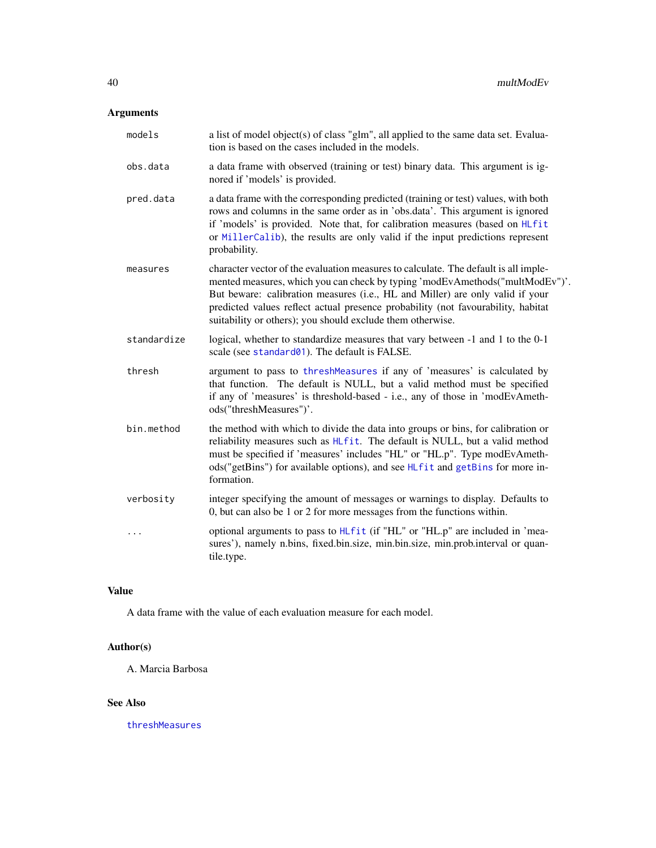## <span id="page-39-0"></span>Arguments

| models      | a list of model object(s) of class "glm", all applied to the same data set. Evalua-<br>tion is based on the cases included in the models.                                                                                                                                                                                                                                                              |
|-------------|--------------------------------------------------------------------------------------------------------------------------------------------------------------------------------------------------------------------------------------------------------------------------------------------------------------------------------------------------------------------------------------------------------|
| obs.data    | a data frame with observed (training or test) binary data. This argument is ig-<br>nored if 'models' is provided.                                                                                                                                                                                                                                                                                      |
| pred.data   | a data frame with the corresponding predicted (training or test) values, with both<br>rows and columns in the same order as in 'obs.data'. This argument is ignored<br>if 'models' is provided. Note that, for calibration measures (based on HLfit<br>or MillerCalib), the results are only valid if the input predictions represent<br>probability.                                                  |
| measures    | character vector of the evaluation measures to calculate. The default is all imple-<br>mented measures, which you can check by typing 'modEvAmethods("multModEv")'.<br>But beware: calibration measures (i.e., HL and Miller) are only valid if your<br>predicted values reflect actual presence probability (not favourability, habitat<br>suitability or others); you should exclude them otherwise. |
| standardize | logical, whether to standardize measures that vary between -1 and 1 to the 0-1<br>scale (see standard01). The default is FALSE.                                                                                                                                                                                                                                                                        |
| thresh      | argument to pass to threshMeasures if any of 'measures' is calculated by<br>that function. The default is NULL, but a valid method must be specified<br>if any of 'measures' is threshold-based - i.e., any of those in 'modEvAmeth-<br>ods("threshMeasures")'.                                                                                                                                        |
| bin.method  | the method with which to divide the data into groups or bins, for calibration or<br>reliability measures such as HLfit. The default is NULL, but a valid method<br>must be specified if 'measures' includes "HL" or "HL.p". Type modEvAmeth-<br>ods("getBins") for available options), and see HLfit and getBins for more in-<br>formation.                                                            |
| verbosity   | integer specifying the amount of messages or warnings to display. Defaults to<br>0, but can also be 1 or 2 for more messages from the functions within.                                                                                                                                                                                                                                                |
| $\cdots$    | optional arguments to pass to HLfit (if "HL" or "HL.p" are included in 'mea-<br>sures'), namely n.bins, fixed.bin.size, min.bin.size, min.prob.interval or quan-<br>tile.type.                                                                                                                                                                                                                         |

### Value

A data frame with the value of each evaluation measure for each model.

### Author(s)

A. Marcia Barbosa

### See Also

[threshMeasures](#page-62-1)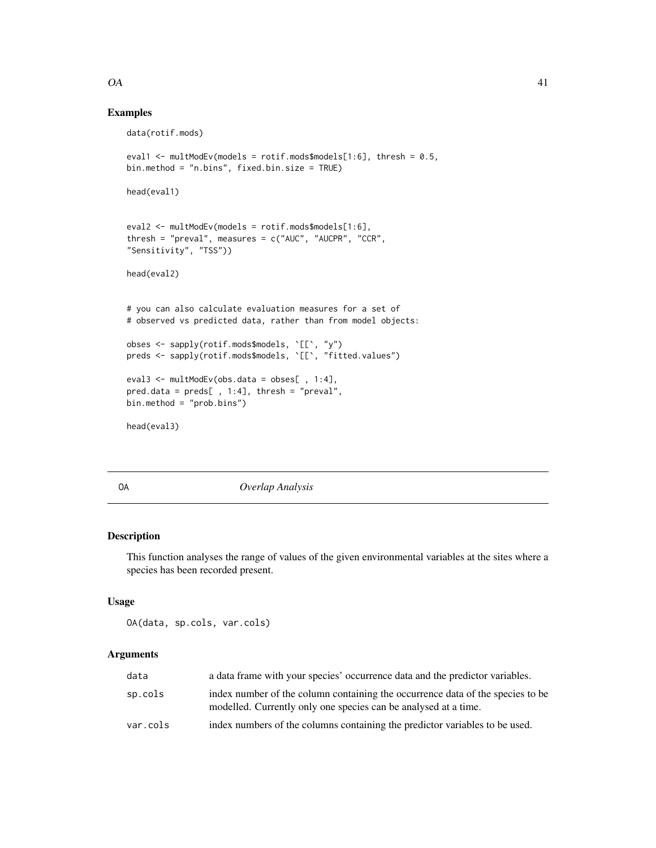### <span id="page-40-0"></span> $OA$  41

### Examples

```
data(rotif.mods)
eval1 <- multModEv(models = rotif.mods$models[1:6], thresh = 0.5,
bin.method = "n.bins", fixed.bin.size = TRUE)
head(eval1)
eval2 <- multModEv(models = rotif.mods$models[1:6],
thresh = "preval", measures = c("AUC", "AUCPR", "CCR",
"Sensitivity", "TSS"))
head(eval2)
# you can also calculate evaluation measures for a set of
# observed vs predicted data, rather than from model objects:
obses <- sapply(rotif.mods$models, `[[`, "y")
preds <- sapply(rotif.mods$models, `[[`, "fitted.values")
eval3 <- multModEv(obs.data = obses[ , 1:4],
pred.data = preds[ , 1:4], thresh = "preval",
bin.method = "prob.bins")
head(eval3)
```
<span id="page-40-1"></span>OA *Overlap Analysis*

### Description

This function analyses the range of values of the given environmental variables at the sites where a species has been recorded present.

#### Usage

OA(data, sp.cols, var.cols)

| data     | a data frame with your species' occurrence data and the predictor variables.                                                                      |
|----------|---------------------------------------------------------------------------------------------------------------------------------------------------|
| sp.cols  | index number of the column containing the occurrence data of the species to be<br>modelled. Currently only one species can be analysed at a time. |
| var.cols | index numbers of the columns containing the predictor variables to be used.                                                                       |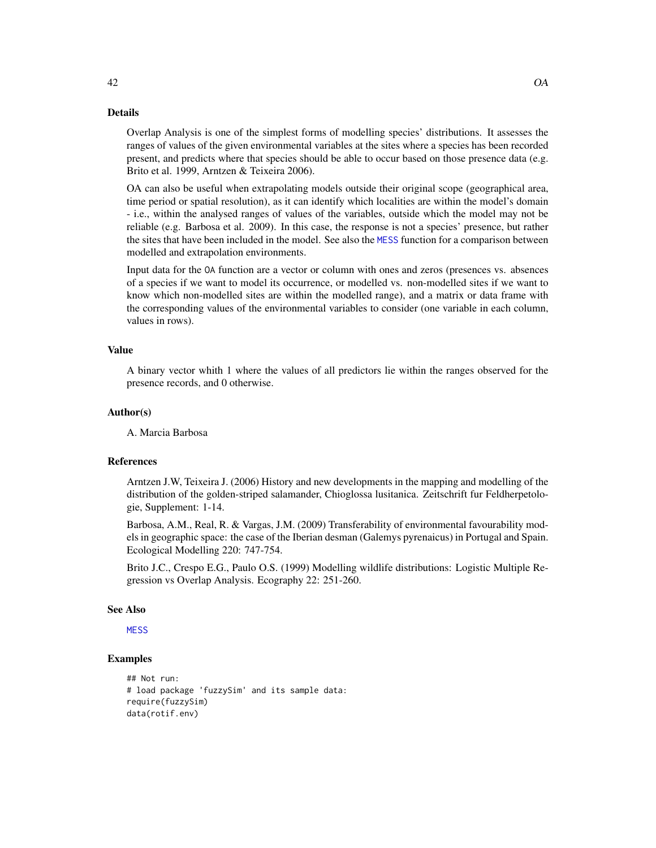### Details

Overlap Analysis is one of the simplest forms of modelling species' distributions. It assesses the ranges of values of the given environmental variables at the sites where a species has been recorded present, and predicts where that species should be able to occur based on those presence data (e.g. Brito et al. 1999, Arntzen & Teixeira 2006).

OA can also be useful when extrapolating models outside their original scope (geographical area, time period or spatial resolution), as it can identify which localities are within the model's domain - i.e., within the analysed ranges of values of the variables, outside which the model may not be reliable (e.g. Barbosa et al. 2009). In this case, the response is not a species' presence, but rather the sites that have been included in the model. See also the [MESS](#page-31-1) function for a comparison between modelled and extrapolation environments.

Input data for the OA function are a vector or column with ones and zeros (presences vs. absences of a species if we want to model its occurrence, or modelled vs. non-modelled sites if we want to know which non-modelled sites are within the modelled range), and a matrix or data frame with the corresponding values of the environmental variables to consider (one variable in each column, values in rows).

#### Value

A binary vector whith 1 where the values of all predictors lie within the ranges observed for the presence records, and 0 otherwise.

### Author(s)

A. Marcia Barbosa

### References

Arntzen J.W, Teixeira J. (2006) History and new developments in the mapping and modelling of the distribution of the golden-striped salamander, Chioglossa lusitanica. Zeitschrift fur Feldherpetologie, Supplement: 1-14.

Barbosa, A.M., Real, R. & Vargas, J.M. (2009) Transferability of environmental favourability models in geographic space: the case of the Iberian desman (Galemys pyrenaicus) in Portugal and Spain. Ecological Modelling 220: 747-754.

Brito J.C., Crespo E.G., Paulo O.S. (1999) Modelling wildlife distributions: Logistic Multiple Regression vs Overlap Analysis. Ecography 22: 251-260.

#### See Also

**[MESS](#page-31-1)** 

### Examples

```
## Not run:
# load package 'fuzzySim' and its sample data:
require(fuzzySim)
data(rotif.env)
```
<span id="page-41-0"></span>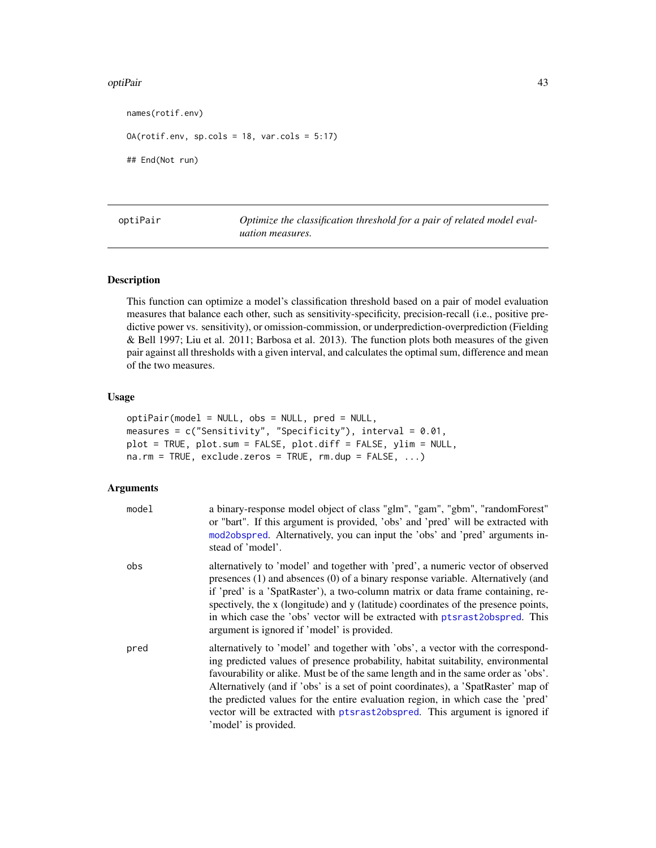#### <span id="page-42-0"></span>optiPair 43

names(rotif.env)

OA(rotif.env, sp.cols = 18, var.cols = 5:17)

## End(Not run)

<span id="page-42-1"></span>optiPair *Optimize the classification threshold for a pair of related model evaluation measures.*

### Description

This function can optimize a model's classification threshold based on a pair of model evaluation measures that balance each other, such as sensitivity-specificity, precision-recall (i.e., positive predictive power vs. sensitivity), or omission-commission, or underprediction-overprediction (Fielding & Bell 1997; Liu et al. 2011; Barbosa et al. 2013). The function plots both measures of the given pair against all thresholds with a given interval, and calculates the optimal sum, difference and mean of the two measures.

#### Usage

```
optiPair(model = NULL, obs = NULL, pred = NULL,
measures = c("Sensitivity", "Specificity"), interval = 0.01,
plot = TRUE, plot.sum = FALSE, plot.diff = FALSE, ylim = NULL,
na.rm = TRUE, exclude.zeros = TRUE, rm.dup = FALSE, ...)
```

| model | a binary-response model object of class "glm", "gam", "gbm", "randomForest"<br>or "bart". If this argument is provided, 'obs' and 'pred' will be extracted with<br>mod2obspred. Alternatively, you can input the 'obs' and 'pred' arguments in-<br>stead of 'model'.                                                                                                                                                                                                                                                                    |
|-------|-----------------------------------------------------------------------------------------------------------------------------------------------------------------------------------------------------------------------------------------------------------------------------------------------------------------------------------------------------------------------------------------------------------------------------------------------------------------------------------------------------------------------------------------|
| obs   | alternatively to 'model' and together with 'pred', a numeric vector of observed<br>presences $(1)$ and absences $(0)$ of a binary response variable. Alternatively (and<br>if 'pred' is a 'SpatRaster'), a two-column matrix or data frame containing, re-<br>spectively, the x (longitude) and y (latitude) coordinates of the presence points,<br>in which case the 'obs' vector will be extracted with ptsrast2obspred. This<br>argument is ignored if 'model' is provided.                                                          |
| pred  | alternatively to 'model' and together with 'obs', a vector with the correspond-<br>ing predicted values of presence probability, habitat suitability, environmental<br>favourability or alike. Must be of the same length and in the same order as 'obs'.<br>Alternatively (and if 'obs' is a set of point coordinates), a 'SpatRaster' map of<br>the predicted values for the entire evaluation region, in which case the 'pred'<br>vector will be extracted with ptsrast2obspred. This argument is ignored if<br>'model' is provided. |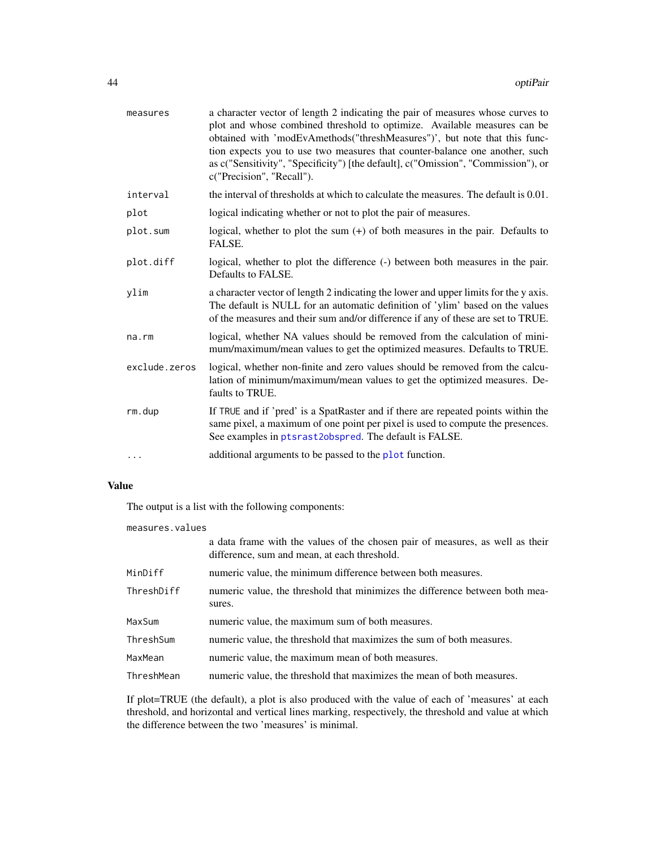<span id="page-43-0"></span>

| measures      | a character vector of length 2 indicating the pair of measures whose curves to<br>plot and whose combined threshold to optimize. Available measures can be<br>obtained with 'modEvAmethods("threshMeasures")', but note that this func-<br>tion expects you to use two measures that counter-balance one another, such<br>as c("Sensitivity", "Specificity") [the default], c("Omission", "Commission"), or<br>c("Precision", "Recall"). |
|---------------|------------------------------------------------------------------------------------------------------------------------------------------------------------------------------------------------------------------------------------------------------------------------------------------------------------------------------------------------------------------------------------------------------------------------------------------|
| interval      | the interval of thresholds at which to calculate the measures. The default is 0.01.                                                                                                                                                                                                                                                                                                                                                      |
| plot          | logical indicating whether or not to plot the pair of measures.                                                                                                                                                                                                                                                                                                                                                                          |
| plot.sum      | logical, whether to plot the sum $(+)$ of both measures in the pair. Defaults to<br>FALSE.                                                                                                                                                                                                                                                                                                                                               |
| plot.diff     | logical, whether to plot the difference (-) between both measures in the pair.<br>Defaults to FALSE.                                                                                                                                                                                                                                                                                                                                     |
| ylim          | a character vector of length 2 indicating the lower and upper limits for the y axis.<br>The default is NULL for an automatic definition of 'ylim' based on the values<br>of the measures and their sum and/or difference if any of these are set to TRUE.                                                                                                                                                                                |
| na.rm         | logical, whether NA values should be removed from the calculation of mini-<br>mum/maximum/mean values to get the optimized measures. Defaults to TRUE.                                                                                                                                                                                                                                                                                   |
| exclude.zeros | logical, whether non-finite and zero values should be removed from the calcu-<br>lation of minimum/maximum/mean values to get the optimized measures. De-<br>faults to TRUE.                                                                                                                                                                                                                                                             |
| rm.dup        | If TRUE and if 'pred' is a SpatRaster and if there are repeated points within the<br>same pixel, a maximum of one point per pixel is used to compute the presences.<br>See examples in ptsrast2obspred. The default is FALSE.                                                                                                                                                                                                            |
|               | additional arguments to be passed to the plot function.                                                                                                                                                                                                                                                                                                                                                                                  |

### Value

The output is a list with the following components:

| measures.values |                                                                                                                               |  |
|-----------------|-------------------------------------------------------------------------------------------------------------------------------|--|
|                 | a data frame with the values of the chosen pair of measures, as well as their<br>difference, sum and mean, at each threshold. |  |
| MinDiff         | numeric value, the minimum difference between both measures.                                                                  |  |
| ThreshDiff      | numeric value, the threshold that minimizes the difference between both mea-<br>sures.                                        |  |
| MaxSum          | numeric value, the maximum sum of both measures.                                                                              |  |
| ThreshSum       | numeric value, the threshold that maximizes the sum of both measures.                                                         |  |
| MaxMean         | numeric value, the maximum mean of both measures.                                                                             |  |
| ThreshMean      | numeric value, the threshold that maximizes the mean of both measures.                                                        |  |

If plot=TRUE (the default), a plot is also produced with the value of each of 'measures' at each threshold, and horizontal and vertical lines marking, respectively, the threshold and value at which the difference between the two 'measures' is minimal.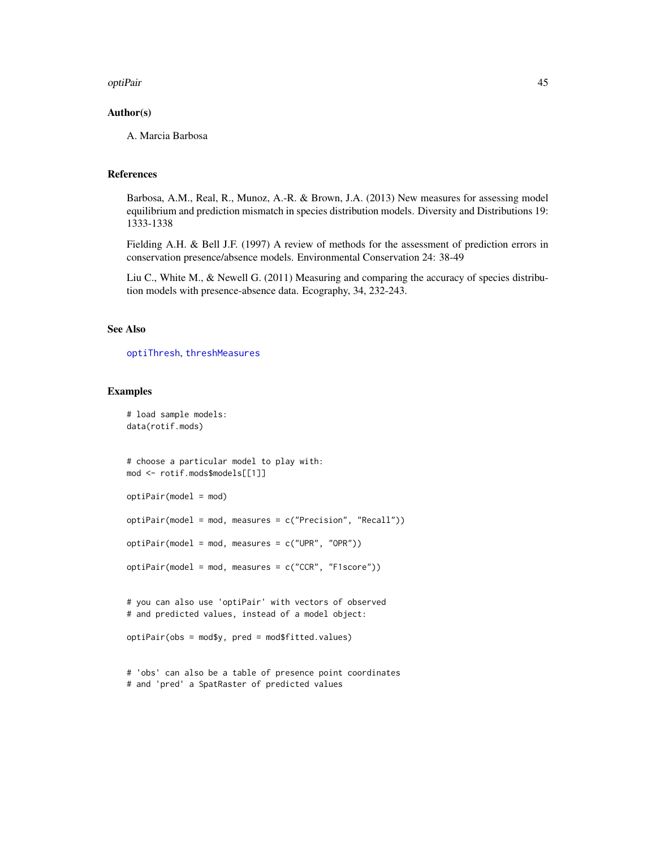#### <span id="page-44-0"></span>optiPair 45

### Author(s)

A. Marcia Barbosa

### References

Barbosa, A.M., Real, R., Munoz, A.-R. & Brown, J.A. (2013) New measures for assessing model equilibrium and prediction mismatch in species distribution models. Diversity and Distributions 19: 1333-1338

Fielding A.H. & Bell J.F. (1997) A review of methods for the assessment of prediction errors in conservation presence/absence models. Environmental Conservation 24: 38-49

Liu C., White M., & Newell G. (2011) Measuring and comparing the accuracy of species distribution models with presence-absence data. Ecography, 34, 232-243.

### See Also

[optiThresh](#page-45-1), [threshMeasures](#page-62-1)

### Examples

```
# load sample models:
data(rotif.mods)
```

```
# choose a particular model to play with:
mod <- rotif.mods$models[[1]]
```

```
optiPair(model = mod)
```
optiPair(model = mod, measures = c("Precision", "Recall"))

optiPair(model = mod, measures = c("UPR", "OPR"))

```
optiPair(model = mod, measures = c("CCR", "F1score"))
```

```
# you can also use 'optiPair' with vectors of observed
# and predicted values, instead of a model object:
```

```
optiPair(obs = mod$y, pred = mod$fitted.values)
```
# 'obs' can also be a table of presence point coordinates # and 'pred' a SpatRaster of predicted values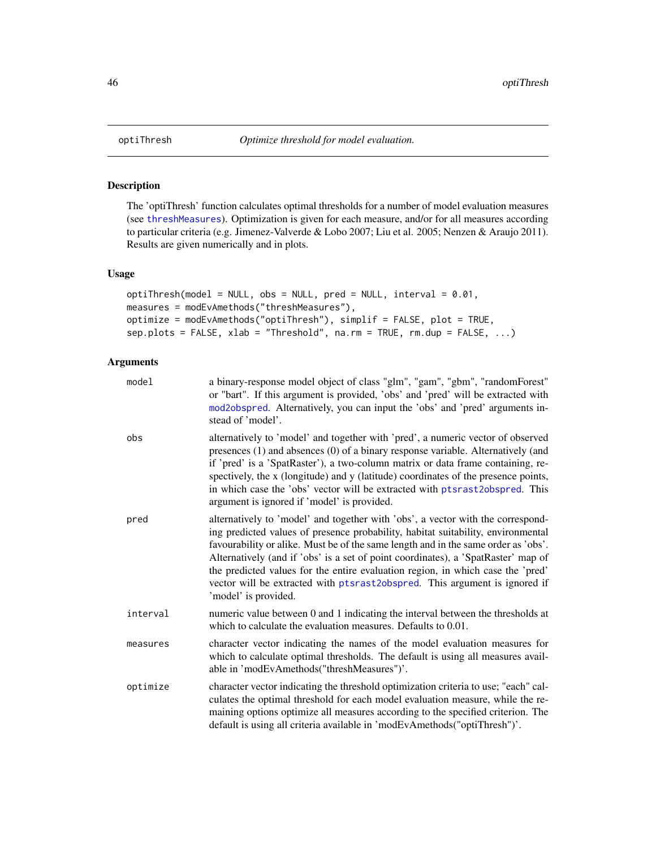### Description

The 'optiThresh' function calculates optimal thresholds for a number of model evaluation measures (see [threshMeasures](#page-62-1)). Optimization is given for each measure, and/or for all measures according to particular criteria (e.g. Jimenez-Valverde & Lobo 2007; Liu et al. 2005; Nenzen & Araujo 2011). Results are given numerically and in plots.

### Usage

```
optiThresh(model = NULL, obs = NULL, pred = NULL, interval = 0.01,
measures = modEvAmethods("threshMeasures"),
optimize = modEvAmethods("optiThresh"), simplif = FALSE, plot = TRUE,
sep.plots = FALSE, xlab = "Threshold", na.rm = TRUE, rm.dup = FALSE, ...)
```

| model    | a binary-response model object of class "glm", "gam", "gbm", "randomForest"<br>or "bart". If this argument is provided, 'obs' and 'pred' will be extracted with<br>mod2obspred. Alternatively, you can input the 'obs' and 'pred' arguments in-<br>stead of 'model'.                                                                                                                                                                                                                                                                    |
|----------|-----------------------------------------------------------------------------------------------------------------------------------------------------------------------------------------------------------------------------------------------------------------------------------------------------------------------------------------------------------------------------------------------------------------------------------------------------------------------------------------------------------------------------------------|
| obs      | alternatively to 'model' and together with 'pred', a numeric vector of observed<br>presences (1) and absences (0) of a binary response variable. Alternatively (and<br>if 'pred' is a 'SpatRaster'), a two-column matrix or data frame containing, re-<br>spectively, the x (longitude) and y (latitude) coordinates of the presence points,<br>in which case the 'obs' vector will be extracted with ptsrast2obspred. This<br>argument is ignored if 'model' is provided.                                                              |
| pred     | alternatively to 'model' and together with 'obs', a vector with the correspond-<br>ing predicted values of presence probability, habitat suitability, environmental<br>favourability or alike. Must be of the same length and in the same order as 'obs'.<br>Alternatively (and if 'obs' is a set of point coordinates), a 'SpatRaster' map of<br>the predicted values for the entire evaluation region, in which case the 'pred'<br>vector will be extracted with ptsrast2obspred. This argument is ignored if<br>'model' is provided. |
| interval | numeric value between 0 and 1 indicating the interval between the thresholds at<br>which to calculate the evaluation measures. Defaults to 0.01.                                                                                                                                                                                                                                                                                                                                                                                        |
| measures | character vector indicating the names of the model evaluation measures for<br>which to calculate optimal thresholds. The default is using all measures avail-<br>able in 'modEvAmethods("threshMeasures")'.                                                                                                                                                                                                                                                                                                                             |
| optimize | character vector indicating the threshold optimization criteria to use; "each" cal-<br>culates the optimal threshold for each model evaluation measure, while the re-<br>maining options optimize all measures according to the specified criterion. The<br>default is using all criteria available in 'modEvAmethods("optiThresh")'.                                                                                                                                                                                                   |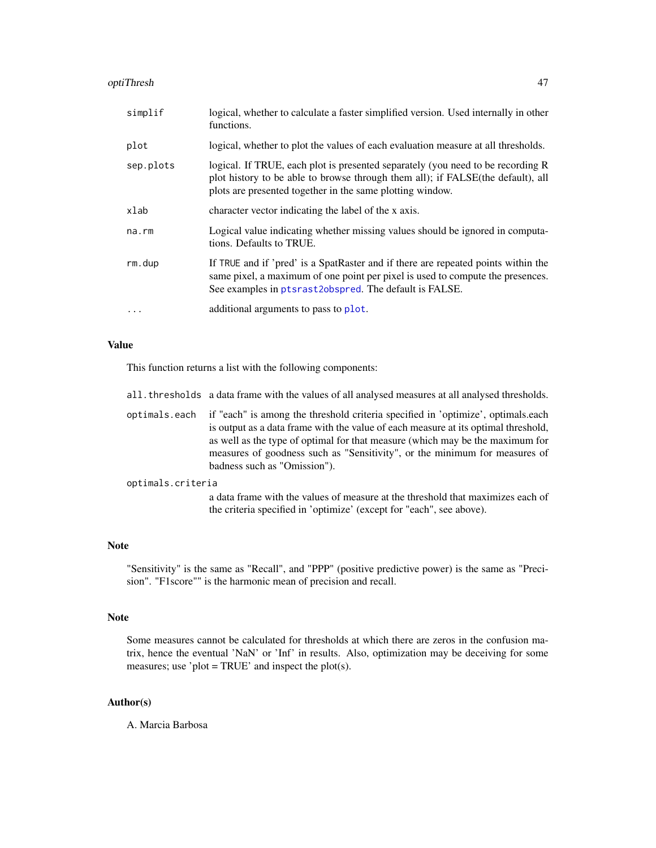### <span id="page-46-0"></span>optiThresh 47

| simplif     | logical, whether to calculate a faster simplified version. Used internally in other<br>functions.                                                                                                                               |
|-------------|---------------------------------------------------------------------------------------------------------------------------------------------------------------------------------------------------------------------------------|
| plot        | logical, whether to plot the values of each evaluation measure at all thresholds.                                                                                                                                               |
| sep.plots   | logical. If TRUE, each plot is presented separately (you need to be recording R<br>plot history to be able to browse through them all); if FALSE(the default), all<br>plots are presented together in the same plotting window. |
| xlab        | character vector indicating the label of the x axis.                                                                                                                                                                            |
| $na$ . $rm$ | Logical value indicating whether missing values should be ignored in computa-<br>tions. Defaults to TRUE.                                                                                                                       |
| rm.dup      | If TRUE and if 'pred' is a SpatRaster and if there are repeated points within the<br>same pixel, a maximum of one point per pixel is used to compute the presences.<br>See examples in ptsrast2obspred. The default is FALSE.   |
| $\ddots$    | additional arguments to pass to plot.                                                                                                                                                                                           |

### Value

This function returns a list with the following components:

|                   | all. thresholds a data frame with the values of all analysed measures at all analysed thresholds.                                                                                                                                                                                                                                                                     |
|-------------------|-----------------------------------------------------------------------------------------------------------------------------------------------------------------------------------------------------------------------------------------------------------------------------------------------------------------------------------------------------------------------|
| optimals.each     | if "each" is among the threshold criteria specified in 'optimize', optimals.each<br>is output as a data frame with the value of each measure at its optimal threshold,<br>as well as the type of optimal for that measure (which may be the maximum for<br>measures of goodness such as "Sensitivity", or the minimum for measures of<br>badness such as "Omission"). |
| optimals.criteria |                                                                                                                                                                                                                                                                                                                                                                       |
|                   | a data frame with the values of measure at the threshold that maximizes each of<br>the criteria specified in 'optimize' (except for "each", see above).                                                                                                                                                                                                               |

### Note

"Sensitivity" is the same as "Recall", and "PPP" (positive predictive power) is the same as "Precision". "F1score"" is the harmonic mean of precision and recall.

### Note

Some measures cannot be calculated for thresholds at which there are zeros in the confusion matrix, hence the eventual 'NaN' or 'Inf' in results. Also, optimization may be deceiving for some measures; use 'plot = TRUE' and inspect the plot(s).

### Author(s)

A. Marcia Barbosa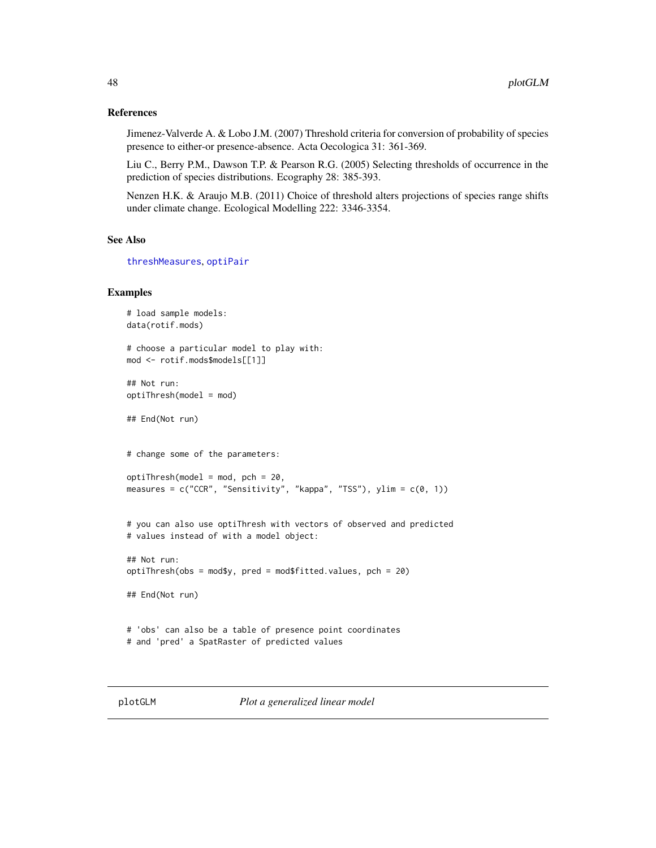### <span id="page-47-0"></span>References

Jimenez-Valverde A. & Lobo J.M. (2007) Threshold criteria for conversion of probability of species presence to either-or presence-absence. Acta Oecologica 31: 361-369.

Liu C., Berry P.M., Dawson T.P. & Pearson R.G. (2005) Selecting thresholds of occurrence in the prediction of species distributions. Ecography 28: 385-393.

Nenzen H.K. & Araujo M.B. (2011) Choice of threshold alters projections of species range shifts under climate change. Ecological Modelling 222: 3346-3354.

#### See Also

```
threshMeasures, optiPair
```
### Examples

```
# load sample models:
data(rotif.mods)
# choose a particular model to play with:
mod <- rotif.mods$models[[1]]
## Not run:
optiThresh(model = mod)
## End(Not run)
# change some of the parameters:
optiThresh(model = mod, pch = 20,measures = c("CCR", "Sensitivity", "kappa", "TSS"), ylim = c(0, 1))
# you can also use optiThresh with vectors of observed and predicted
# values instead of with a model object:
## Not run:
optiThresh(obs = mod$y, pred = mod$fitted.values, pch = 20)
## End(Not run)
# 'obs' can also be a table of presence point coordinates
# and 'pred' a SpatRaster of predicted values
```
<span id="page-47-1"></span>plotGLM *Plot a generalized linear model*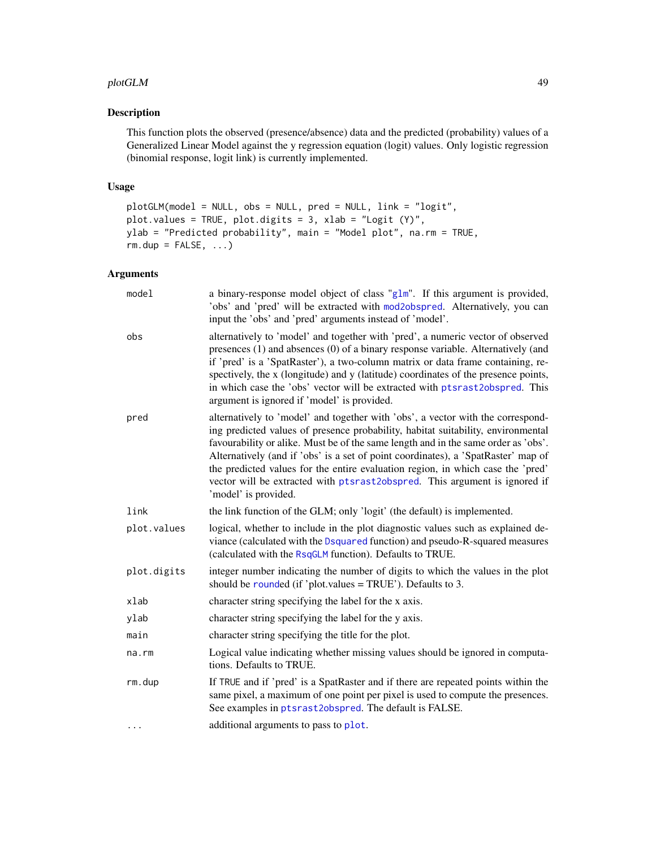#### <span id="page-48-0"></span>plotGLM  $\sim$  49

### Description

This function plots the observed (presence/absence) data and the predicted (probability) values of a Generalized Linear Model against the y regression equation (logit) values. Only logistic regression (binomial response, logit link) is currently implemented.

### Usage

```
plotGLM(model = NULL, obs = NULL, pred = NULL, link = "logit",
plot.values = TRUE, plot.digits = 3, xlab = "Logit (Y)",
ylab = "Predicted probability", main = "Model plot", na.rm = TRUE,
rm.dup = FALSE, ...)
```

| model       | a binary-response model object of class " $g1m$ ". If this argument is provided,<br>'obs' and 'pred' will be extracted with mod2obspred. Alternatively, you can<br>input the 'obs' and 'pred' arguments instead of 'model'.                                                                                                                                                                                                                                                                                                             |
|-------------|-----------------------------------------------------------------------------------------------------------------------------------------------------------------------------------------------------------------------------------------------------------------------------------------------------------------------------------------------------------------------------------------------------------------------------------------------------------------------------------------------------------------------------------------|
| obs         | alternatively to 'model' and together with 'pred', a numeric vector of observed<br>presences (1) and absences (0) of a binary response variable. Alternatively (and<br>if 'pred' is a 'SpatRaster'), a two-column matrix or data frame containing, re-<br>spectively, the x (longitude) and y (latitude) coordinates of the presence points,<br>in which case the 'obs' vector will be extracted with ptsrast2obspred. This<br>argument is ignored if 'model' is provided.                                                              |
| pred        | alternatively to 'model' and together with 'obs', a vector with the correspond-<br>ing predicted values of presence probability, habitat suitability, environmental<br>favourability or alike. Must be of the same length and in the same order as 'obs'.<br>Alternatively (and if 'obs' is a set of point coordinates), a 'SpatRaster' map of<br>the predicted values for the entire evaluation region, in which case the 'pred'<br>vector will be extracted with ptsrast2obspred. This argument is ignored if<br>'model' is provided. |
| link        | the link function of the GLM; only 'logit' (the default) is implemented.                                                                                                                                                                                                                                                                                                                                                                                                                                                                |
| plot.values | logical, whether to include in the plot diagnostic values such as explained de-<br>viance (calculated with the Dsquared function) and pseudo-R-squared measures<br>(calculated with the RsqGLM function). Defaults to TRUE.                                                                                                                                                                                                                                                                                                             |
| plot.digits | integer number indicating the number of digits to which the values in the plot<br>should be rounded (if 'plot.values = TRUE'). Defaults to 3.                                                                                                                                                                                                                                                                                                                                                                                           |
| xlab        | character string specifying the label for the x axis.                                                                                                                                                                                                                                                                                                                                                                                                                                                                                   |
| ylab        | character string specifying the label for the y axis.                                                                                                                                                                                                                                                                                                                                                                                                                                                                                   |
| main        | character string specifying the title for the plot.                                                                                                                                                                                                                                                                                                                                                                                                                                                                                     |
| $na$ . $rm$ | Logical value indicating whether missing values should be ignored in computa-<br>tions. Defaults to TRUE.                                                                                                                                                                                                                                                                                                                                                                                                                               |
| rm.dup      | If TRUE and if 'pred' is a SpatRaster and if there are repeated points within the<br>same pixel, a maximum of one point per pixel is used to compute the presences.<br>See examples in ptsrast2obspred. The default is FALSE.                                                                                                                                                                                                                                                                                                           |
| $\cdots$    | additional arguments to pass to plot.                                                                                                                                                                                                                                                                                                                                                                                                                                                                                                   |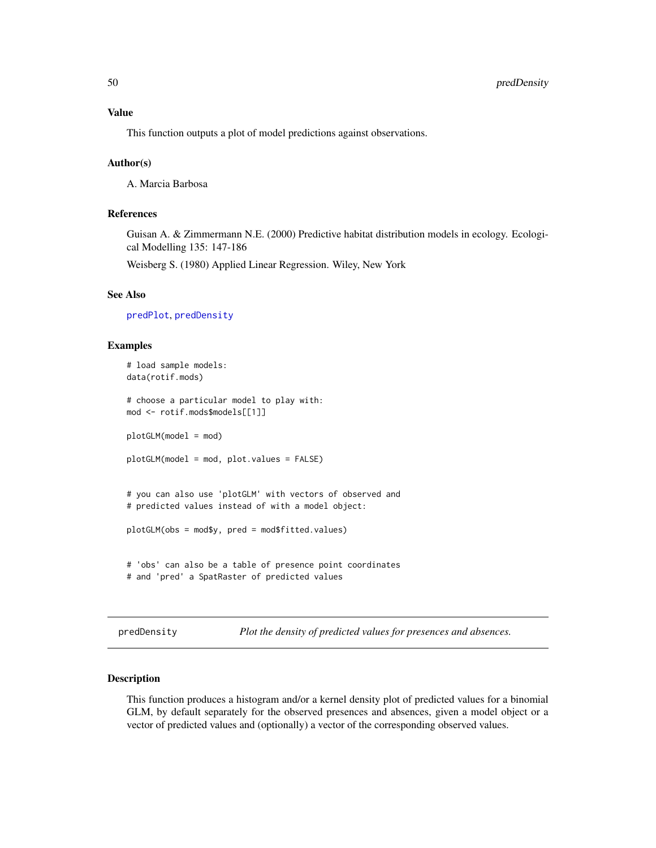<span id="page-49-0"></span>This function outputs a plot of model predictions against observations.

### Author(s)

A. Marcia Barbosa

### References

Guisan A. & Zimmermann N.E. (2000) Predictive habitat distribution models in ecology. Ecological Modelling 135: 147-186

Weisberg S. (1980) Applied Linear Regression. Wiley, New York

### See Also

[predPlot](#page-51-1), [predDensity](#page-49-1)

### Examples

```
# load sample models:
data(rotif.mods)
# choose a particular model to play with:
mod <- rotif.mods$models[[1]]
plotGLM(model = mod)
plotGLM(model = mod, plot.values = FALSE)
# you can also use 'plotGLM' with vectors of observed and
# predicted values instead of with a model object:
plotGLM(obs = mod$y, pred = mod$fitted.values)
# 'obs' can also be a table of presence point coordinates
# and 'pred' a SpatRaster of predicted values
```
<span id="page-49-1"></span>predDensity *Plot the density of predicted values for presences and absences.*

### Description

This function produces a histogram and/or a kernel density plot of predicted values for a binomial GLM, by default separately for the observed presences and absences, given a model object or a vector of predicted values and (optionally) a vector of the corresponding observed values.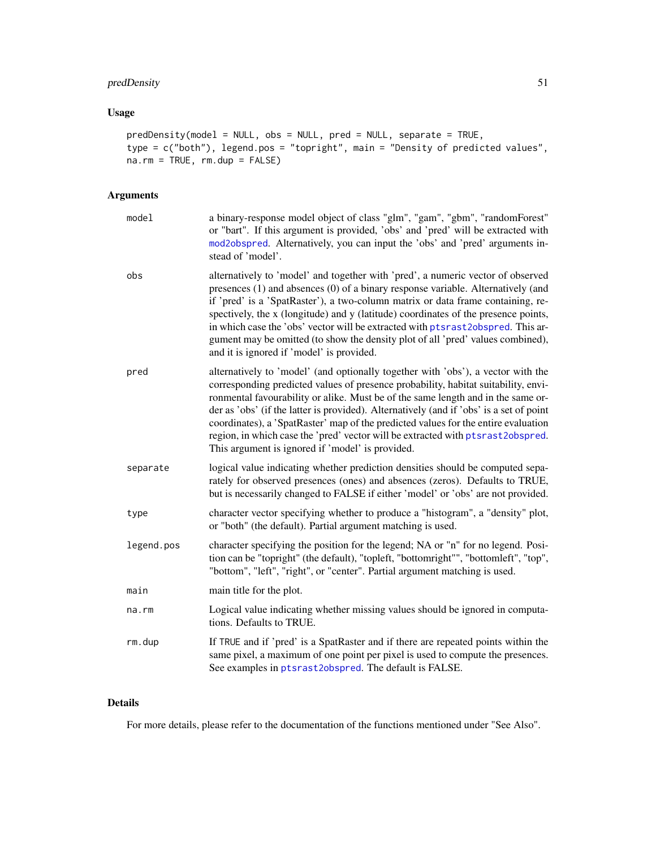### <span id="page-50-0"></span>predDensity 51

### Usage

```
predDensity(model = NULL, obs = NULL, pred = NULL, separate = TRUE,
type = c("both"), legend.pos = "topright", main = "Density of predicted values",
na.rm = TRUE, rm.dup = FALSE)
```
### Arguments

| model      | a binary-response model object of class "glm", "gam", "gbm", "randomForest"<br>or "bart". If this argument is provided, 'obs' and 'pred' will be extracted with<br>mod2obspred. Alternatively, you can input the 'obs' and 'pred' arguments in-<br>stead of 'model'.                                                                                                                                                                                                                                                                                                               |
|------------|------------------------------------------------------------------------------------------------------------------------------------------------------------------------------------------------------------------------------------------------------------------------------------------------------------------------------------------------------------------------------------------------------------------------------------------------------------------------------------------------------------------------------------------------------------------------------------|
| obs        | alternatively to 'model' and together with 'pred', a numeric vector of observed<br>presences (1) and absences (0) of a binary response variable. Alternatively (and<br>if 'pred' is a 'SpatRaster'), a two-column matrix or data frame containing, re-<br>spectively, the x (longitude) and y (latitude) coordinates of the presence points,<br>in which case the 'obs' vector will be extracted with ptsrast2obspred. This ar-<br>gument may be omitted (to show the density plot of all 'pred' values combined),<br>and it is ignored if 'model' is provided.                    |
| pred       | alternatively to 'model' (and optionally together with 'obs'), a vector with the<br>corresponding predicted values of presence probability, habitat suitability, envi-<br>ronmental favourability or alike. Must be of the same length and in the same or-<br>der as 'obs' (if the latter is provided). Alternatively (and if 'obs' is a set of point<br>coordinates), a 'SpatRaster' map of the predicted values for the entire evaluation<br>region, in which case the 'pred' vector will be extracted with ptsrast2obspred.<br>This argument is ignored if 'model' is provided. |
| separate   | logical value indicating whether prediction densities should be computed sepa-<br>rately for observed presences (ones) and absences (zeros). Defaults to TRUE,<br>but is necessarily changed to FALSE if either 'model' or 'obs' are not provided.                                                                                                                                                                                                                                                                                                                                 |
| type       | character vector specifying whether to produce a "histogram", a "density" plot,<br>or "both" (the default). Partial argument matching is used.                                                                                                                                                                                                                                                                                                                                                                                                                                     |
| legend.pos | character specifying the position for the legend; NA or "n" for no legend. Posi-<br>tion can be "topright" (the default), "topleft, "bottomright"", "bottomleft", "top",<br>"bottom", "left", "right", or "center". Partial argument matching is used.                                                                                                                                                                                                                                                                                                                             |
| main       | main title for the plot.                                                                                                                                                                                                                                                                                                                                                                                                                                                                                                                                                           |
| na.rm      | Logical value indicating whether missing values should be ignored in computa-<br>tions. Defaults to TRUE.                                                                                                                                                                                                                                                                                                                                                                                                                                                                          |
| rm.dup     | If TRUE and if 'pred' is a SpatRaster and if there are repeated points within the<br>same pixel, a maximum of one point per pixel is used to compute the presences.<br>See examples in ptsrast2obspred. The default is FALSE.                                                                                                                                                                                                                                                                                                                                                      |
|            |                                                                                                                                                                                                                                                                                                                                                                                                                                                                                                                                                                                    |

### Details

For more details, please refer to the documentation of the functions mentioned under "See Also".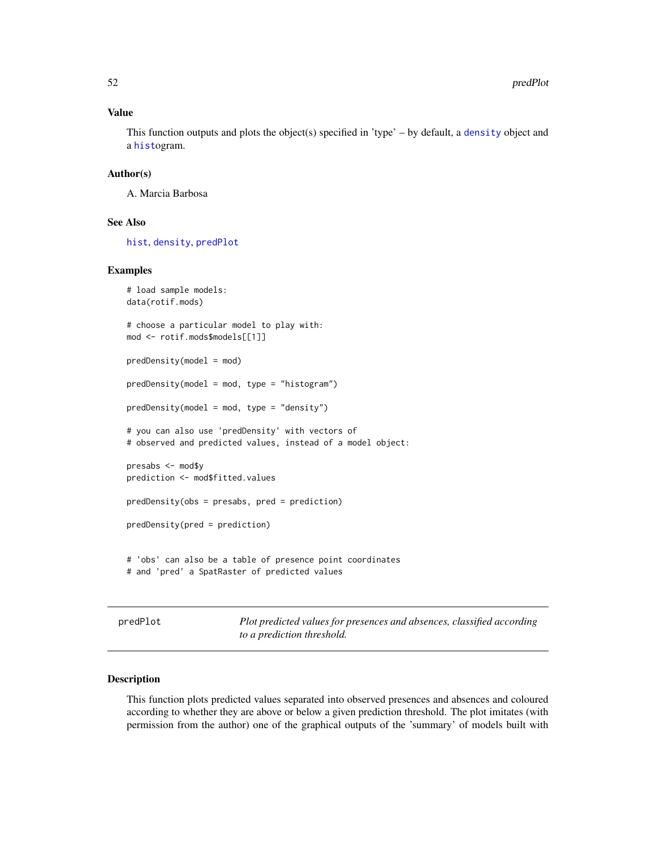### Value

This function outputs and plots the object(s) specified in 'type' – by default, a [density](#page-0-0) object and a [hist](#page-0-0)ogram.

### Author(s)

A. Marcia Barbosa

### See Also

[hist](#page-0-0), [density](#page-0-0), [predPlot](#page-51-1)

### Examples

```
# load sample models:
data(rotif.mods)
# choose a particular model to play with:
mod <- rotif.mods$models[[1]]
predDensity(model = mod)
predDensity(model = mod, type = "histogram")
predDensity(model = mod, type = "density")
# you can also use 'predDensity' with vectors of
# observed and predicted values, instead of a model object:
presabs <- mod$y
prediction <- mod$fitted.values
predDensity(obs = presabs, pred = prediction)
predDensity(pred = prediction)
# 'obs' can also be a table of presence point coordinates
# and 'pred' a SpatRaster of predicted values
```
<span id="page-51-1"></span>predPlot *Plot predicted values for presences and absences, classified according to a prediction threshold.*

### Description

This function plots predicted values separated into observed presences and absences and coloured according to whether they are above or below a given prediction threshold. The plot imitates (with permission from the author) one of the graphical outputs of the 'summary' of models built with

<span id="page-51-0"></span>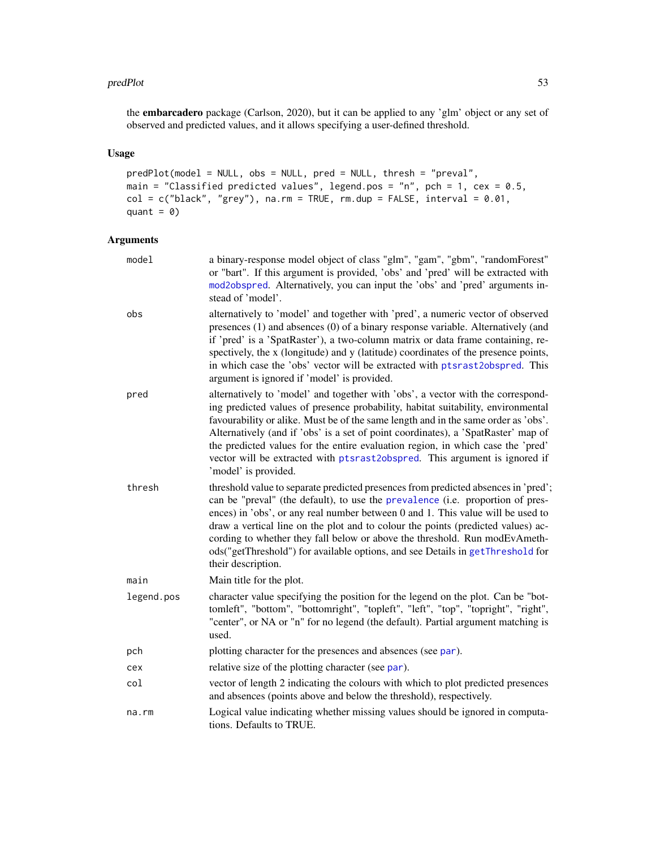#### <span id="page-52-0"></span>predPlot 53

the embarcadero package (Carlson, 2020), but it can be applied to any 'glm' object or any set of observed and predicted values, and it allows specifying a user-defined threshold.

### Usage

```
predPlot(model = NULL, obs = NULL, pred = NULL, thresh = "preval",
main = "Classified predicted values", legend.pos = "n", pch = 1, cex = 0.5,
col = c("black", "grey"), na.rm = TRUE, rm.dup = FALSE, interval = 0.01,quant = 0)
```

| model      | a binary-response model object of class "glm", "gam", "gbm", "randomForest"<br>or "bart". If this argument is provided, 'obs' and 'pred' will be extracted with<br>mod2obspred. Alternatively, you can input the 'obs' and 'pred' arguments in-<br>stead of 'model'.                                                                                                                                                                                                                                                                    |
|------------|-----------------------------------------------------------------------------------------------------------------------------------------------------------------------------------------------------------------------------------------------------------------------------------------------------------------------------------------------------------------------------------------------------------------------------------------------------------------------------------------------------------------------------------------|
| obs        | alternatively to 'model' and together with 'pred', a numeric vector of observed<br>presences (1) and absences (0) of a binary response variable. Alternatively (and<br>if 'pred' is a 'SpatRaster'), a two-column matrix or data frame containing, re-<br>spectively, the x (longitude) and y (latitude) coordinates of the presence points,<br>in which case the 'obs' vector will be extracted with ptsrast2obspred. This<br>argument is ignored if 'model' is provided.                                                              |
| pred       | alternatively to 'model' and together with 'obs', a vector with the correspond-<br>ing predicted values of presence probability, habitat suitability, environmental<br>favourability or alike. Must be of the same length and in the same order as 'obs'.<br>Alternatively (and if 'obs' is a set of point coordinates), a 'SpatRaster' map of<br>the predicted values for the entire evaluation region, in which case the 'pred'<br>vector will be extracted with ptsrast2obspred. This argument is ignored if<br>'model' is provided. |
| thresh     | threshold value to separate predicted presences from predicted absences in 'pred';<br>can be "preval" (the default), to use the prevalence (i.e. proportion of pres-<br>ences) in 'obs', or any real number between 0 and 1. This value will be used to<br>draw a vertical line on the plot and to colour the points (predicted values) ac-<br>cording to whether they fall below or above the threshold. Run modEvAmeth-<br>ods("getThreshold") for available options, and see Details in getThreshold for<br>their description.       |
| main       | Main title for the plot.                                                                                                                                                                                                                                                                                                                                                                                                                                                                                                                |
| legend.pos | character value specifying the position for the legend on the plot. Can be "bot-<br>tomleft", "bottom", "bottomright", "topleft", "left", "top", "topright", "right",<br>"center", or NA or "n" for no legend (the default). Partial argument matching is<br>used.                                                                                                                                                                                                                                                                      |
| pch        | plotting character for the presences and absences (see par).                                                                                                                                                                                                                                                                                                                                                                                                                                                                            |
| cex        | relative size of the plotting character (see par).                                                                                                                                                                                                                                                                                                                                                                                                                                                                                      |
| col        | vector of length 2 indicating the colours with which to plot predicted presences<br>and absences (points above and below the threshold), respectively.                                                                                                                                                                                                                                                                                                                                                                                  |
| na.rm      | Logical value indicating whether missing values should be ignored in computa-<br>tions. Defaults to TRUE.                                                                                                                                                                                                                                                                                                                                                                                                                               |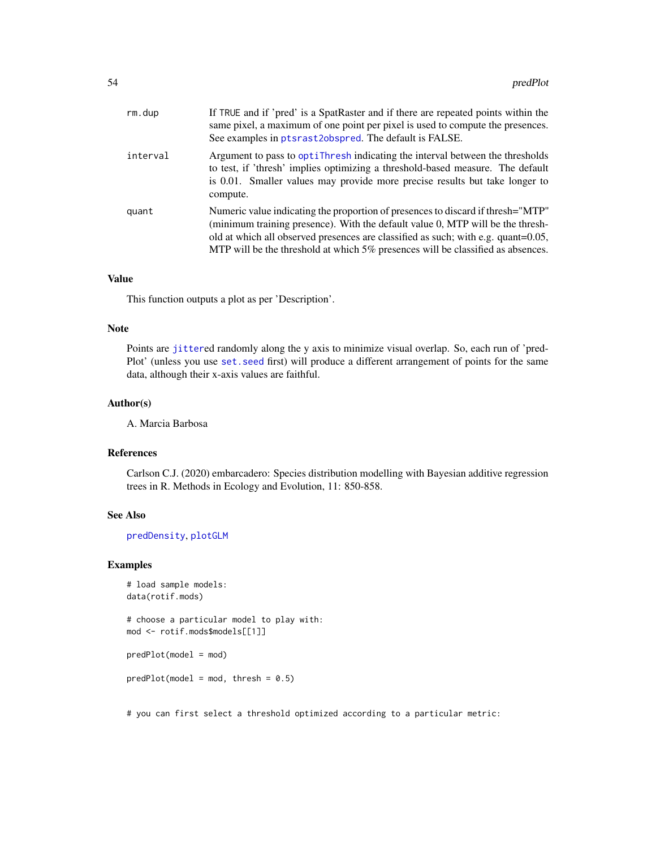<span id="page-53-0"></span>

| rm.dup   | If TRUE and if 'pred' is a SpatRaster and if there are repeated points within the<br>same pixel, a maximum of one point per pixel is used to compute the presences.<br>See examples in ptsrast2obspred. The default is FALSE.                                                                                                             |
|----------|-------------------------------------------------------------------------------------------------------------------------------------------------------------------------------------------------------------------------------------------------------------------------------------------------------------------------------------------|
| interval | Argument to pass to optitude indicating the interval between the thresholds<br>to test, if 'thresh' implies optimizing a threshold-based measure. The default<br>is 0.01. Smaller values may provide more precise results but take longer to<br>compute.                                                                                  |
| quant    | Numeric value indicating the proportion of presences to discard if thresh="MTP"<br>(minimum training presence). With the default value 0, MTP will be the thresh-<br>old at which all observed presences are classified as such; with e.g. quant=0.05,<br>MTP will be the threshold at which 5% presences will be classified as absences. |

### Value

This function outputs a plot as per 'Description'.

### Note

Points are [jitter](#page-0-0)ed randomly along the y axis to minimize visual overlap. So, each run of 'pred-Plot' (unless you use [set.seed](#page-0-0) first) will produce a different arrangement of points for the same data, although their x-axis values are faithful.

### Author(s)

A. Marcia Barbosa

### References

Carlson C.J. (2020) embarcadero: Species distribution modelling with Bayesian additive regression trees in R. Methods in Ecology and Evolution, 11: 850-858.

### See Also

[predDensity](#page-49-1), [plotGLM](#page-47-1)

### Examples

```
# load sample models:
data(rotif.mods)
# choose a particular model to play with:
mod <- rotif.mods$models[[1]]
predPlot(model = mod)
predPlot(model = mod, thresh = 0.5)
```
# you can first select a threshold optimized according to a particular metric: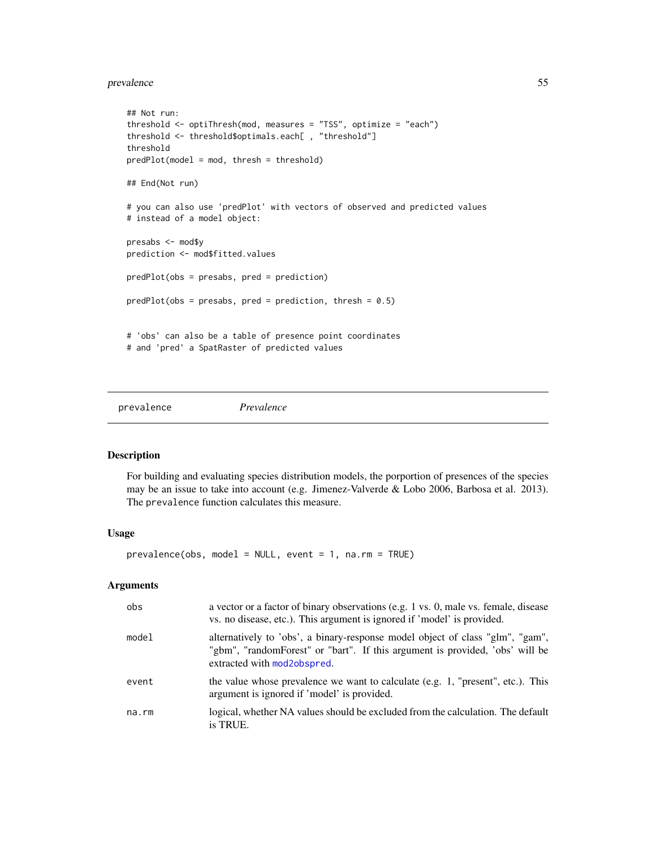#### <span id="page-54-0"></span>prevalence 55

```
## Not run:
threshold <- optiThresh(mod, measures = "TSS", optimize = "each")
threshold <- threshold$optimals.each[ , "threshold"]
threshold
predPlot(model = mod, thresh = threshold)
## End(Not run)
# you can also use 'predPlot' with vectors of observed and predicted values
# instead of a model object:
presabs <- mod$y
prediction <- mod$fitted.values
predPlot(obs = presabs, pred = prediction)
predPlot(obs = presabs, pred = prediction, thresh = 0.5)# 'obs' can also be a table of presence point coordinates
# and 'pred' a SpatRaster of predicted values
```
<span id="page-54-1"></span>prevalence *Prevalence*

#### Description

For building and evaluating species distribution models, the porportion of presences of the species may be an issue to take into account (e.g. Jimenez-Valverde & Lobo 2006, Barbosa et al. 2013). The prevalence function calculates this measure.

#### Usage

prevalence(obs, model = NULL, event = 1, na.rm = TRUE)

| obs   | a vector or a factor of binary observations (e.g. 1 vs. 0, male vs. female, disease<br>vs. no disease, etc.). This argument is ignored if 'model' is provided.                               |
|-------|----------------------------------------------------------------------------------------------------------------------------------------------------------------------------------------------|
| model | alternatively to 'obs', a binary-response model object of class "glm", "gam",<br>"gbm", "randomForest" or "bart". If this argument is provided, 'obs' will be<br>extracted with mod2obspred. |
| event | the value whose prevalence we want to calculate (e.g. 1, "present", etc.). This<br>argument is ignored if 'model' is provided.                                                               |
| na.rm | logical, whether NA values should be excluded from the calculation. The default<br>is TRUE.                                                                                                  |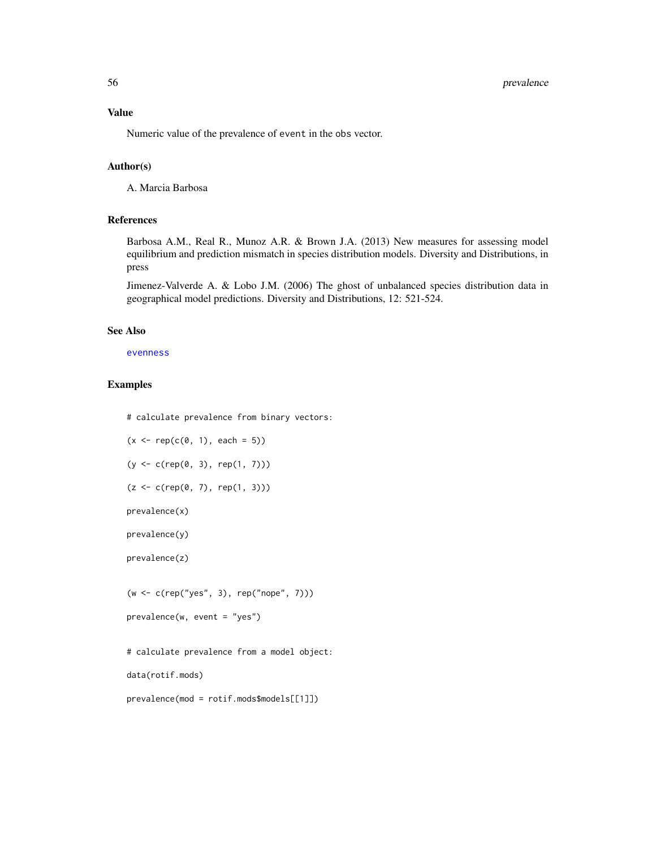<span id="page-55-0"></span>Numeric value of the prevalence of event in the obs vector.

### Author(s)

A. Marcia Barbosa

### References

Barbosa A.M., Real R., Munoz A.R. & Brown J.A. (2013) New measures for assessing model equilibrium and prediction mismatch in species distribution models. Diversity and Distributions, in press

Jimenez-Valverde A. & Lobo J.M. (2006) The ghost of unbalanced species distribution data in geographical model predictions. Diversity and Distributions, 12: 521-524.

#### See Also

[evenness](#page-18-1)

### Examples

# calculate prevalence from binary vectors:

```
(x \leq -\text{rep}(c(0, 1), \text{ each } = 5))
```

```
(y <- c(rep(0, 3), rep(1, 7)))
```
 $(z < -c(rep(\theta, 7), rep(1, 3)))$ 

prevalence(x)

prevalence(y)

prevalence(z)

(w <- c(rep("yes", 3), rep("nope", 7)))

```
prevalence(w, event = "yes")
```
# calculate prevalence from a model object:

data(rotif.mods)

prevalence(mod = rotif.mods\$models[[1]])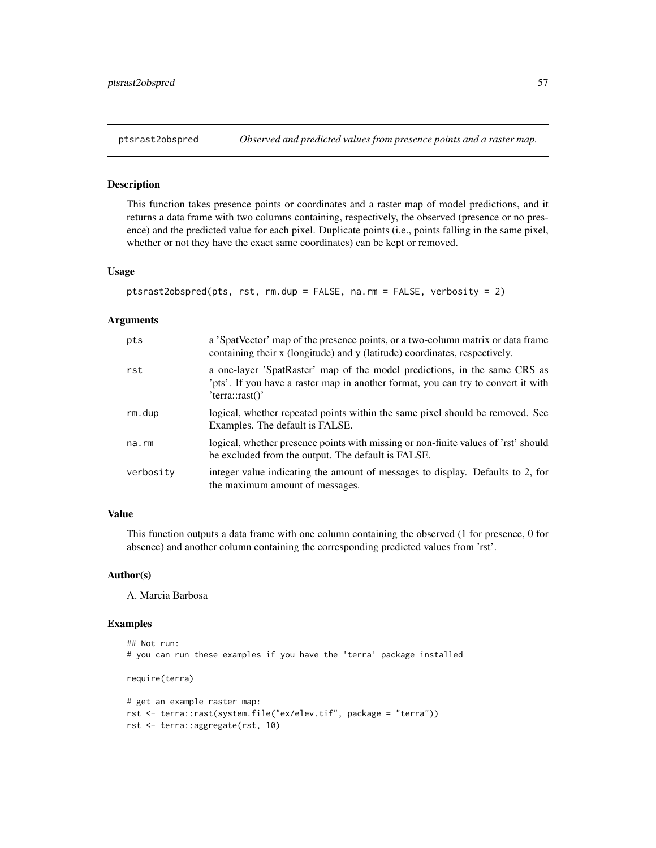### <span id="page-56-1"></span><span id="page-56-0"></span>Description

This function takes presence points or coordinates and a raster map of model predictions, and it returns a data frame with two columns containing, respectively, the observed (presence or no presence) and the predicted value for each pixel. Duplicate points (i.e., points falling in the same pixel, whether or not they have the exact same coordinates) can be kept or removed.

#### Usage

```
ptsrast2obspred(pts, rst, rm.dup = FALSE, na.rm = FALSE, verbosity = 2)
```
#### Arguments

| pts       | a 'SpatVector' map of the presence points, or a two-column matrix or data frame<br>containing their x (longitude) and y (latitude) coordinates, respectively.                    |
|-----------|----------------------------------------------------------------------------------------------------------------------------------------------------------------------------------|
| rst       | a one-layer 'SpatRaster' map of the model predictions, in the same CRS as<br>'pts'. If you have a raster map in another format, you can try to convert it with<br>'tern::rast()' |
| rm.dup    | logical, whether repeated points within the same pixel should be removed. See<br>Examples. The default is FALSE.                                                                 |
| na.rm     | logical, whether presence points with missing or non-finite values of 'rst' should<br>be excluded from the output. The default is FALSE.                                         |
| verbosity | integer value indicating the amount of messages to display. Defaults to 2, for<br>the maximum amount of messages.                                                                |

### Value

This function outputs a data frame with one column containing the observed (1 for presence, 0 for absence) and another column containing the corresponding predicted values from 'rst'.

#### Author(s)

A. Marcia Barbosa

### Examples

```
## Not run:
# you can run these examples if you have the 'terra' package installed
require(terra)
# get an example raster map:
rst <- terra::rast(system.file("ex/elev.tif", package = "terra"))
rst <- terra::aggregate(rst, 10)
```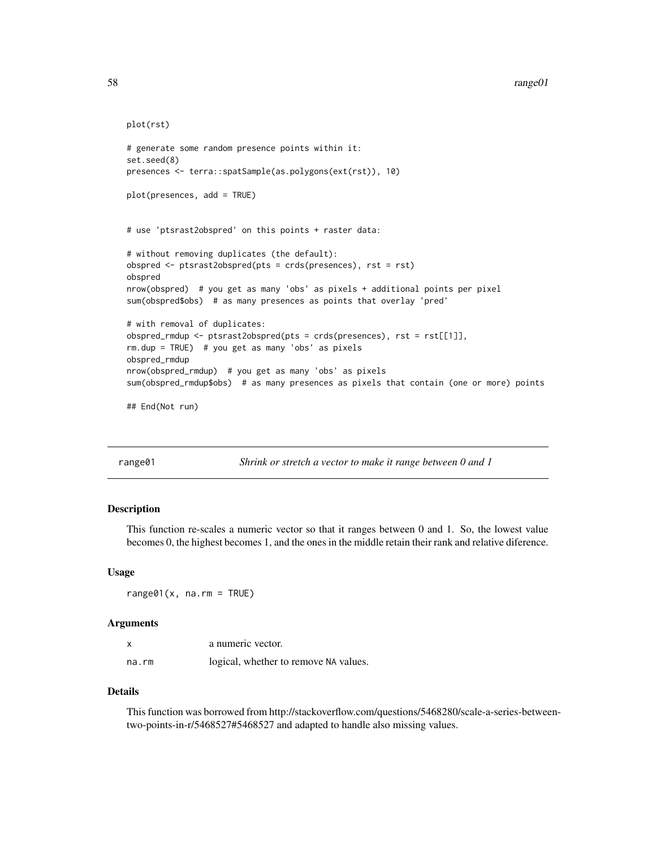```
plot(rst)
# generate some random presence points within it:
set.seed(8)
presences <- terra::spatSample(as.polygons(ext(rst)), 10)
plot(presences, add = TRUE)
# use 'ptsrast2obspred' on this points + raster data:
# without removing duplicates (the default):
obspred <- ptsrast2obspred(pts = crds(presences), rst = rst)
obspred
nrow(obspred) # you get as many 'obs' as pixels + additional points per pixel
sum(obspred$obs) # as many presences as points that overlay 'pred'
# with removal of duplicates:
obspred_rmdup <- ptsrast2obspred(pts = crds(presences), rst = rst[[1]],
rm.dup = TRUE) # you get as many 'obs' as pixels
obspred_rmdup
nrow(obspred_rmdup) # you get as many 'obs' as pixels
sum(obspred_rmdup$obs) # as many presences as pixels that contain (one or more) points
## End(Not run)
```
<span id="page-57-1"></span>range01 *Shrink or stretch a vector to make it range between 0 and 1*

### Description

This function re-scales a numeric vector so that it ranges between 0 and 1. So, the lowest value becomes 0, the highest becomes 1, and the ones in the middle retain their rank and relative diference.

#### Usage

 $range@1(x, na.rm = TRUE)$ 

#### **Arguments**

|       | a numeric vector.                     |
|-------|---------------------------------------|
| na.rm | logical, whether to remove NA values. |

#### Details

This function was borrowed from http://stackoverflow.com/questions/5468280/scale-a-series-betweentwo-points-in-r/5468527#5468527 and adapted to handle also missing values.

<span id="page-57-0"></span>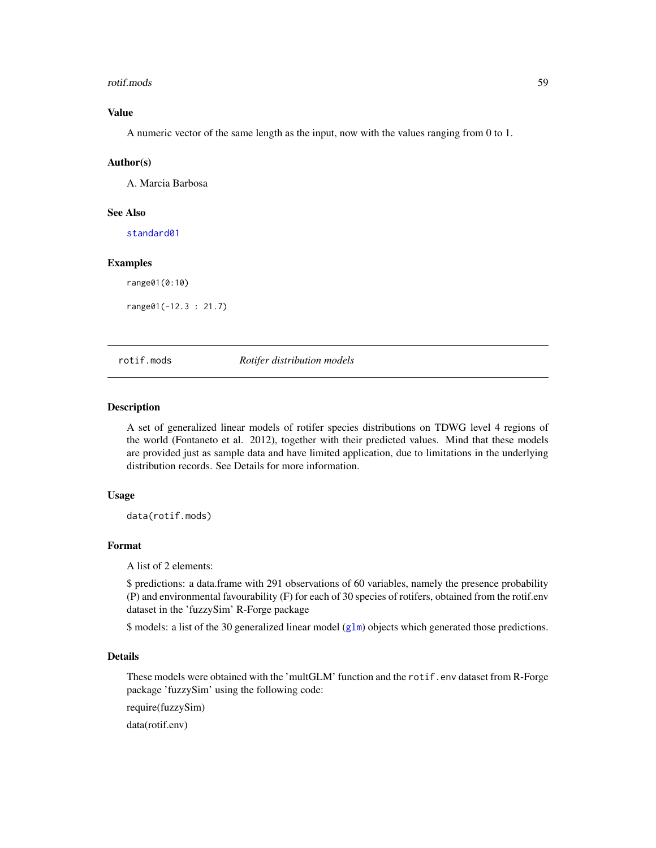#### <span id="page-58-0"></span>rotif.mods 59

### Value

A numeric vector of the same length as the input, now with the values ranging from 0 to 1.

#### Author(s)

A. Marcia Barbosa

### See Also

[standard01](#page-61-1)

### Examples

range01(0:10)

range01(-12.3 : 21.7)

### rotif.mods *Rotifer distribution models*

### Description

A set of generalized linear models of rotifer species distributions on TDWG level 4 regions of the world (Fontaneto et al. 2012), together with their predicted values. Mind that these models are provided just as sample data and have limited application, due to limitations in the underlying distribution records. See Details for more information.

### Usage

data(rotif.mods)

### Format

A list of 2 elements:

\$ predictions: a data.frame with 291 observations of 60 variables, namely the presence probability (P) and environmental favourability (F) for each of 30 species of rotifers, obtained from the rotif.env dataset in the 'fuzzySim' R-Forge package

\$ models: a list of the 30 generalized linear model ([glm](#page-0-0)) objects which generated those predictions.

### Details

These models were obtained with the 'multGLM' function and the rotif.env dataset from R-Forge package 'fuzzySim' using the following code:

require(fuzzySim)

data(rotif.env)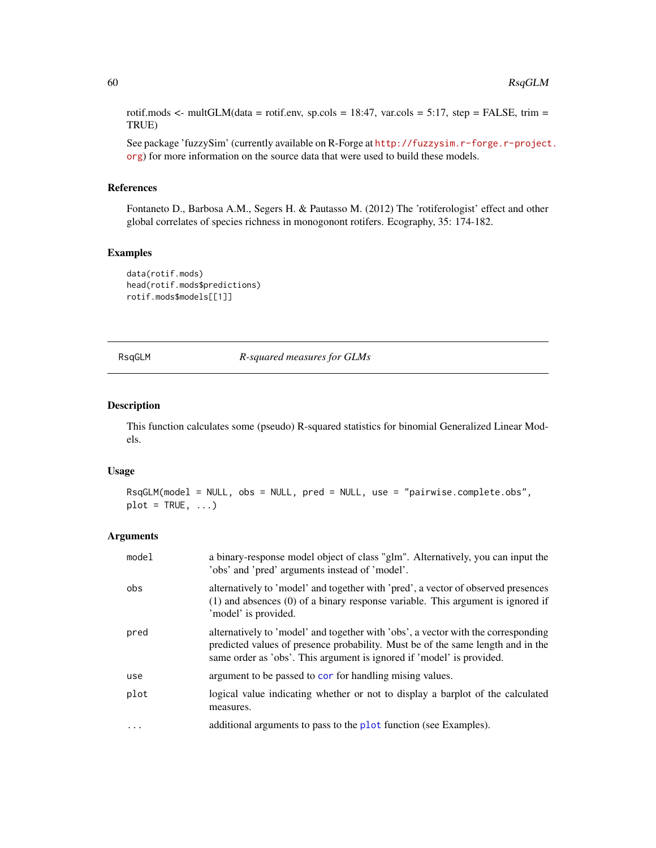<span id="page-59-0"></span>rotif.mods  $\le$ - multGLM(data = rotif.env, sp.cols = 18:47, var.cols = 5:17, step = FALSE, trim = TRUE)

See package 'fuzzySim' (currently available on R-Forge at [http://fuzzysim.r-forge.r-project](http://fuzzysim.r-forge.r-project.org). [org](http://fuzzysim.r-forge.r-project.org)) for more information on the source data that were used to build these models.

### References

Fontaneto D., Barbosa A.M., Segers H. & Pautasso M. (2012) The 'rotiferologist' effect and other global correlates of species richness in monogonont rotifers. Ecography, 35: 174-182.

### Examples

```
data(rotif.mods)
head(rotif.mods$predictions)
rotif.mods$models[[1]]
```
RsqGLM *R-squared measures for GLMs*

### Description

This function calculates some (pseudo) R-squared statistics for binomial Generalized Linear Models.

#### Usage

```
RsqGLM(model = NULL, obs = NULL, pred = NULL, use = "pairwise.complete.obs",
plot = TRUE, ...
```

| model     | a binary-response model object of class "glm". Alternatively, you can input the<br>'obs' and 'pred' arguments instead of 'model'.                                                                                                             |
|-----------|-----------------------------------------------------------------------------------------------------------------------------------------------------------------------------------------------------------------------------------------------|
| obs       | alternatively to 'model' and together with 'pred', a vector of observed presences<br>$(1)$ and absences $(0)$ of a binary response variable. This argument is ignored if<br>'model' is provided.                                              |
| pred      | alternatively to 'model' and together with 'obs', a vector with the corresponding<br>predicted values of presence probability. Must be of the same length and in the<br>same order as 'obs'. This argument is ignored if 'model' is provided. |
| use       | argument to be passed to cor for handling mising values.                                                                                                                                                                                      |
| plot      | logical value indicating whether or not to display a barplot of the calculated<br>measures.                                                                                                                                                   |
| $\ddotsc$ | additional arguments to pass to the plot function (see Examples).                                                                                                                                                                             |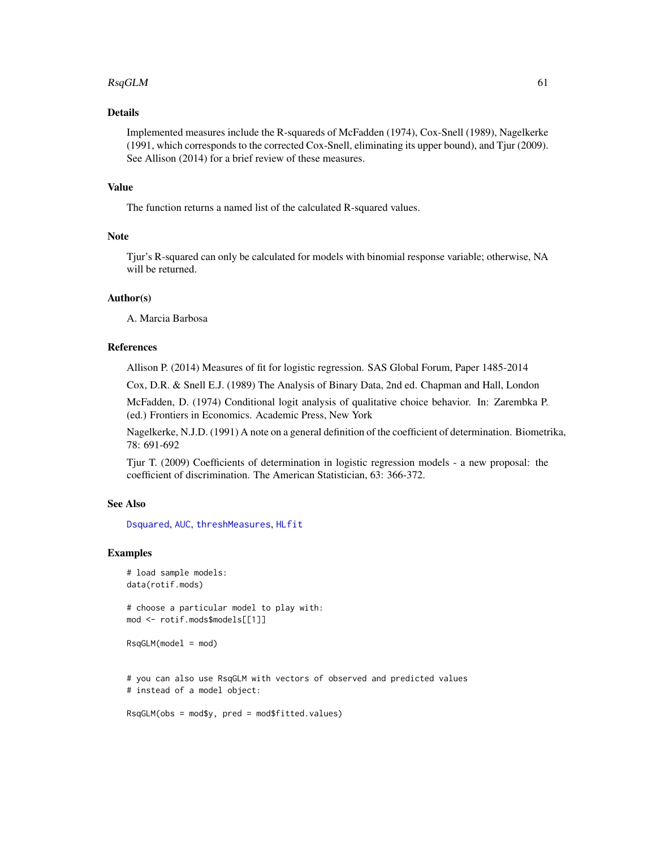#### <span id="page-60-0"></span> $RsqGLM$  61

### Details

Implemented measures include the R-squareds of McFadden (1974), Cox-Snell (1989), Nagelkerke (1991, which corresponds to the corrected Cox-Snell, eliminating its upper bound), and Tjur (2009). See Allison (2014) for a brief review of these measures.

### Value

The function returns a named list of the calculated R-squared values.

### Note

Tjur's R-squared can only be calculated for models with binomial response variable; otherwise, NA will be returned.

### Author(s)

A. Marcia Barbosa

### References

Allison P. (2014) Measures of fit for logistic regression. SAS Global Forum, Paper 1485-2014

Cox, D.R. & Snell E.J. (1989) The Analysis of Binary Data, 2nd ed. Chapman and Hall, London

McFadden, D. (1974) Conditional logit analysis of qualitative choice behavior. In: Zarembka P. (ed.) Frontiers in Economics. Academic Press, New York

Nagelkerke, N.J.D. (1991) A note on a general definition of the coefficient of determination. Biometrika, 78: 691-692

Tjur T. (2009) Coefficients of determination in logistic regression models - a new proposal: the coefficient of discrimination. The American Statistician, 63: 366-372.

### See Also

[Dsquared](#page-15-1), [AUC](#page-6-1), [threshMeasures](#page-62-1), [HLfit](#page-26-1)

### Examples

```
# load sample models:
data(rotif.mods)
```
# choose a particular model to play with: mod <- rotif.mods\$models[[1]]

```
RsgGLM(model = mod)
```
# you can also use RsqGLM with vectors of observed and predicted values # instead of a model object:

RsqGLM(obs = mod\$y, pred = mod\$fitted.values)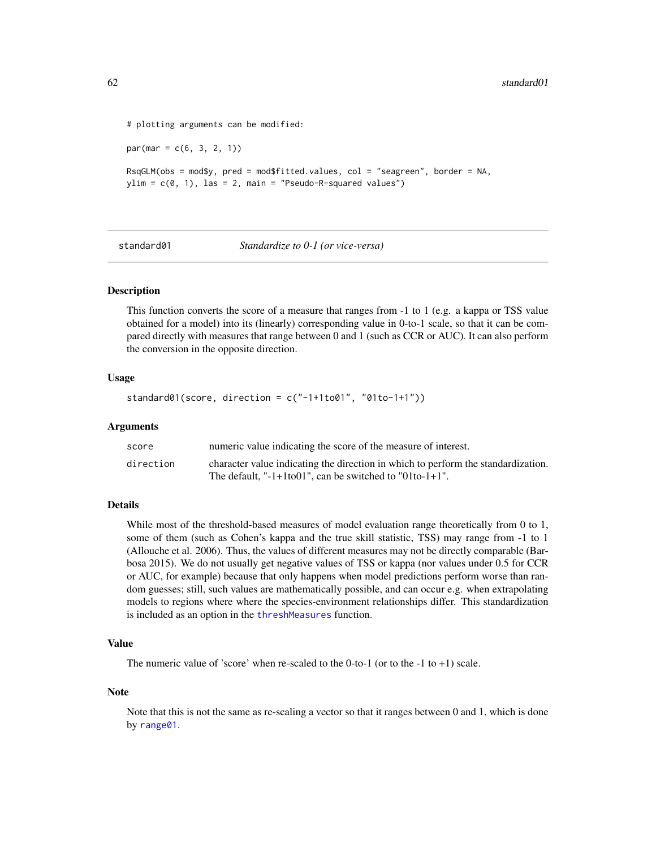```
# plotting arguments can be modified:
par(max = c(6, 3, 2, 1))RsqGLM(obs = mod$y, pred = mod$fitted.values, col = "seagreen", border = NA,
ylim = c(0, 1), las = 2, main = "Pseudo-R-squared values")
```
<span id="page-61-1"></span>standard01 *Standardize to 0-1 (or vice-versa)*

### **Description**

This function converts the score of a measure that ranges from -1 to 1 (e.g. a kappa or TSS value obtained for a model) into its (linearly) corresponding value in 0-to-1 scale, so that it can be compared directly with measures that range between 0 and 1 (such as CCR or AUC). It can also perform the conversion in the opposite direction.

#### Usage

```
standard01(score, direction = c("-1+1to01", "01to-1+1"))
```
#### Arguments

| score     | numeric value indicating the score of the measure of interest.                    |
|-----------|-----------------------------------------------------------------------------------|
| direction | character value indicating the direction in which to perform the standardization. |
|           | The default. " $-1+1$ to 01", can be switched to "01to $-1+1$ ".                  |

### Details

While most of the threshold-based measures of model evaluation range theoretically from 0 to 1, some of them (such as Cohen's kappa and the true skill statistic, TSS) may range from -1 to 1 (Allouche et al. 2006). Thus, the values of different measures may not be directly comparable (Barbosa 2015). We do not usually get negative values of TSS or kappa (nor values under 0.5 for CCR or AUC, for example) because that only happens when model predictions perform worse than random guesses; still, such values are mathematically possible, and can occur e.g. when extrapolating models to regions where where the species-environment relationships differ. This standardization is included as an option in the [threshMeasures](#page-62-1) function.

### Value

The numeric value of 'score' when re-scaled to the  $0$ -to-1 (or to the  $-1$  to  $+1$ ) scale.

#### Note

Note that this is not the same as re-scaling a vector so that it ranges between 0 and 1, which is done by [range01](#page-57-1).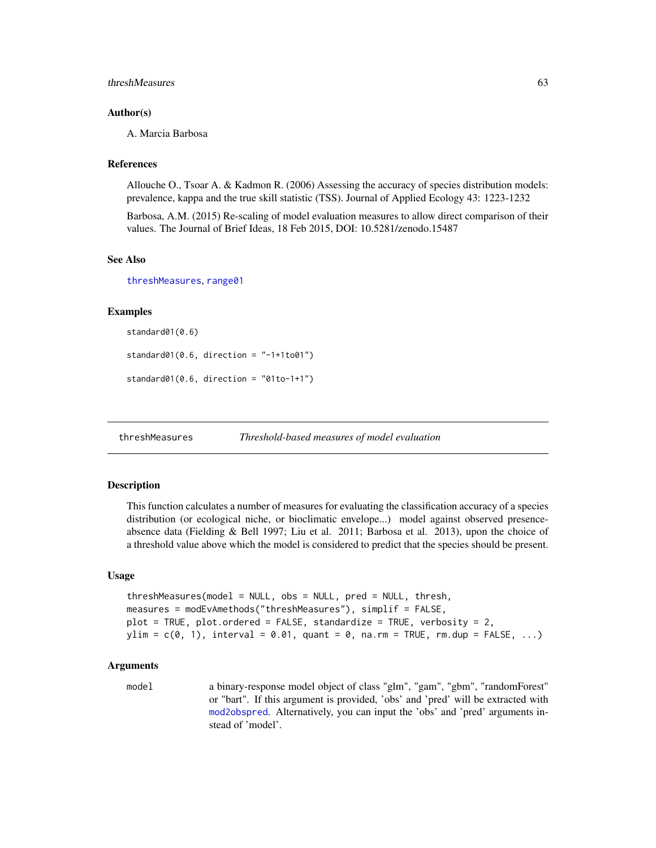#### <span id="page-62-0"></span>threshMeasures 63

### Author(s)

A. Marcia Barbosa

### References

Allouche O., Tsoar A. & Kadmon R. (2006) Assessing the accuracy of species distribution models: prevalence, kappa and the true skill statistic (TSS). Journal of Applied Ecology 43: 1223-1232

Barbosa, A.M. (2015) Re-scaling of model evaluation measures to allow direct comparison of their values. The Journal of Brief Ideas, 18 Feb 2015, DOI: 10.5281/zenodo.15487

### See Also

[threshMeasures](#page-62-1), [range01](#page-57-1)

### Examples

```
standard01(0.6)
standard@1(0.6, direction = "-1+1to@1")standard01(0.6, direction = "01to-1+1")
```
<span id="page-62-1"></span>threshMeasures *Threshold-based measures of model evaluation*

### Description

This function calculates a number of measures for evaluating the classification accuracy of a species distribution (or ecological niche, or bioclimatic envelope...) model against observed presenceabsence data (Fielding & Bell 1997; Liu et al. 2011; Barbosa et al. 2013), upon the choice of a threshold value above which the model is considered to predict that the species should be present.

#### Usage

```
threshMeasures(model = NULL, obs = NULL, pred = NULL, thresh,
measures = modEvAmethods("threshMeasures"), simplif = FALSE,
plot = TRUE, plot.ordered = FALSE, standardize = TRUE, verbosity = 2,
ylim = c(0, 1), interval = 0.01, quant = 0, na.rm = TRUE, rm.dup = FALSE, ...)
```
### Arguments

model a binary-response model object of class "glm", "gam", "gbm", "randomForest" or "bart". If this argument is provided, 'obs' and 'pred' will be extracted with [mod2obspred](#page-36-1). Alternatively, you can input the 'obs' and 'pred' arguments instead of 'model'.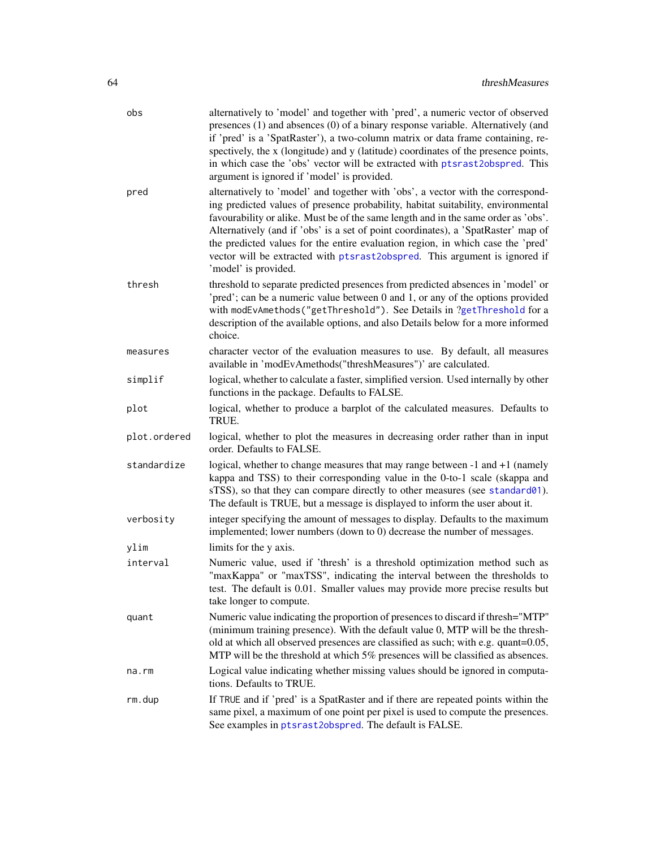<span id="page-63-0"></span>

| obs          | alternatively to 'model' and together with 'pred', a numeric vector of observed<br>presences (1) and absences (0) of a binary response variable. Alternatively (and<br>if 'pred' is a 'SpatRaster'), a two-column matrix or data frame containing, re-<br>spectively, the x (longitude) and y (latitude) coordinates of the presence points,<br>in which case the 'obs' vector will be extracted with ptsrast2obspred. This<br>argument is ignored if 'model' is provided.                                                              |
|--------------|-----------------------------------------------------------------------------------------------------------------------------------------------------------------------------------------------------------------------------------------------------------------------------------------------------------------------------------------------------------------------------------------------------------------------------------------------------------------------------------------------------------------------------------------|
| pred         | alternatively to 'model' and together with 'obs', a vector with the correspond-<br>ing predicted values of presence probability, habitat suitability, environmental<br>favourability or alike. Must be of the same length and in the same order as 'obs'.<br>Alternatively (and if 'obs' is a set of point coordinates), a 'SpatRaster' map of<br>the predicted values for the entire evaluation region, in which case the 'pred'<br>vector will be extracted with ptsrast2obspred. This argument is ignored if<br>'model' is provided. |
| thresh       | threshold to separate predicted presences from predicted absences in 'model' or<br>'pred'; can be a numeric value between 0 and 1, or any of the options provided<br>with modEvAmethods("getThreshold"). See Details in ?getThreshold for a<br>description of the available options, and also Details below for a more informed<br>choice.                                                                                                                                                                                              |
| measures     | character vector of the evaluation measures to use. By default, all measures<br>available in 'modEvAmethods("threshMeasures")' are calculated.                                                                                                                                                                                                                                                                                                                                                                                          |
| simplif      | logical, whether to calculate a faster, simplified version. Used internally by other<br>functions in the package. Defaults to FALSE.                                                                                                                                                                                                                                                                                                                                                                                                    |
| plot         | logical, whether to produce a barplot of the calculated measures. Defaults to<br>TRUE.                                                                                                                                                                                                                                                                                                                                                                                                                                                  |
| plot.ordered | logical, whether to plot the measures in decreasing order rather than in input<br>order. Defaults to FALSE.                                                                                                                                                                                                                                                                                                                                                                                                                             |
| standardize  | logical, whether to change measures that may range between -1 and +1 (namely<br>kappa and TSS) to their corresponding value in the 0-to-1 scale (skappa and<br>sTSS), so that they can compare directly to other measures (see standard01).<br>The default is TRUE, but a message is displayed to inform the user about it.                                                                                                                                                                                                             |
| verbosity    | integer specifying the amount of messages to display. Defaults to the maximum<br>implemented; lower numbers (down to 0) decrease the number of messages.                                                                                                                                                                                                                                                                                                                                                                                |
| ylim         | limits for the y axis.                                                                                                                                                                                                                                                                                                                                                                                                                                                                                                                  |
| interval     | Numeric value, used if 'thresh' is a threshold optimization method such as<br>"maxKappa" or "maxTSS", indicating the interval between the thresholds to<br>test. The default is 0.01. Smaller values may provide more precise results but<br>take longer to compute.                                                                                                                                                                                                                                                                    |
| quant        | Numeric value indicating the proportion of presences to discard if thresh="MTP"<br>(minimum training presence). With the default value 0, MTP will be the thresh-<br>old at which all observed presences are classified as such; with e.g. quant=0.05,<br>MTP will be the threshold at which 5% presences will be classified as absences.                                                                                                                                                                                               |
| na.rm        | Logical value indicating whether missing values should be ignored in computa-<br>tions. Defaults to TRUE.                                                                                                                                                                                                                                                                                                                                                                                                                               |
| rm.dup       | If TRUE and if 'pred' is a SpatRaster and if there are repeated points within the<br>same pixel, a maximum of one point per pixel is used to compute the presences.<br>See examples in ptsrast2obspred. The default is FALSE.                                                                                                                                                                                                                                                                                                           |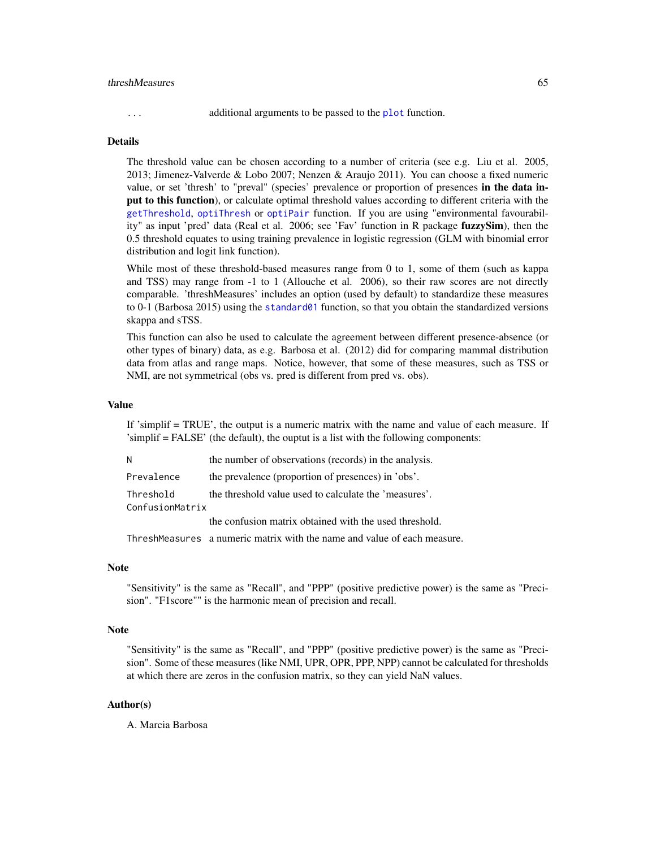#### <span id="page-64-0"></span>threshMeasures 65

... additional arguments to be passed to the [plot](#page-0-0) function.

### Details

The threshold value can be chosen according to a number of criteria (see e.g. Liu et al. 2005, 2013; Jimenez-Valverde & Lobo 2007; Nenzen & Araujo 2011). You can choose a fixed numeric value, or set 'thresh' to "preval" (species' prevalence or proportion of presences in the data input to this function), or calculate optimal threshold values according to different criteria with the [getThreshold](#page-24-1), [optiThresh](#page-45-1) or [optiPair](#page-42-1) function. If you are using "environmental favourability" as input 'pred' data (Real et al. 2006; see 'Fav' function in R package fuzzySim), then the 0.5 threshold equates to using training prevalence in logistic regression (GLM with binomial error distribution and logit link function).

While most of these threshold-based measures range from 0 to 1, some of them (such as kappa and TSS) may range from -1 to 1 (Allouche et al. 2006), so their raw scores are not directly comparable. 'threshMeasures' includes an option (used by default) to standardize these measures to 0-1 (Barbosa 2015) using the [standard01](#page-61-1) function, so that you obtain the standardized versions skappa and sTSS.

This function can also be used to calculate the agreement between different presence-absence (or other types of binary) data, as e.g. Barbosa et al. (2012) did for comparing mammal distribution data from atlas and range maps. Notice, however, that some of these measures, such as TSS or NMI, are not symmetrical (obs vs. pred is different from pred vs. obs).

#### Value

If 'simplif = TRUE', the output is a numeric matrix with the name and value of each measure. If 'simplif = FALSE' (the default), the ouptut is a list with the following components:

| N               | the number of observations (records) in the analysis.  |
|-----------------|--------------------------------------------------------|
| Prevalence      | the prevalence (proportion of presences) in 'obs'.     |
| Threshold       | the threshold value used to calculate the 'measures'.  |
| ConfusionMatrix |                                                        |
|                 | the confusion matrix obtained with the used threshold. |

ThreshMeasures a numeric matrix with the name and value of each measure.

### **Note**

"Sensitivity" is the same as "Recall", and "PPP" (positive predictive power) is the same as "Precision". "F1score"" is the harmonic mean of precision and recall.

### Note

"Sensitivity" is the same as "Recall", and "PPP" (positive predictive power) is the same as "Precision". Some of these measures (like NMI, UPR, OPR, PPP, NPP) cannot be calculated for thresholds at which there are zeros in the confusion matrix, so they can yield NaN values.

### Author(s)

A. Marcia Barbosa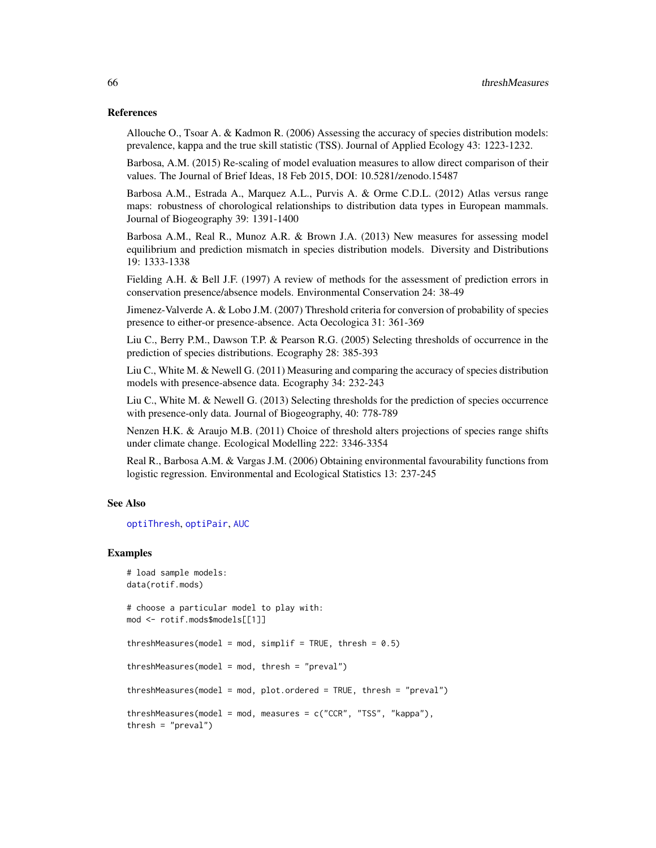### <span id="page-65-0"></span>References

Allouche O., Tsoar A. & Kadmon R. (2006) Assessing the accuracy of species distribution models: prevalence, kappa and the true skill statistic (TSS). Journal of Applied Ecology 43: 1223-1232.

Barbosa, A.M. (2015) Re-scaling of model evaluation measures to allow direct comparison of their values. The Journal of Brief Ideas, 18 Feb 2015, DOI: 10.5281/zenodo.15487

Barbosa A.M., Estrada A., Marquez A.L., Purvis A. & Orme C.D.L. (2012) Atlas versus range maps: robustness of chorological relationships to distribution data types in European mammals. Journal of Biogeography 39: 1391-1400

Barbosa A.M., Real R., Munoz A.R. & Brown J.A. (2013) New measures for assessing model equilibrium and prediction mismatch in species distribution models. Diversity and Distributions 19: 1333-1338

Fielding A.H. & Bell J.F. (1997) A review of methods for the assessment of prediction errors in conservation presence/absence models. Environmental Conservation 24: 38-49

Jimenez-Valverde A. & Lobo J.M. (2007) Threshold criteria for conversion of probability of species presence to either-or presence-absence. Acta Oecologica 31: 361-369

Liu C., Berry P.M., Dawson T.P. & Pearson R.G. (2005) Selecting thresholds of occurrence in the prediction of species distributions. Ecography 28: 385-393

Liu C., White M. & Newell G. (2011) Measuring and comparing the accuracy of species distribution models with presence-absence data. Ecography 34: 232-243

Liu C., White M. & Newell G. (2013) Selecting thresholds for the prediction of species occurrence with presence-only data. Journal of Biogeography, 40: 778-789

Nenzen H.K. & Araujo M.B. (2011) Choice of threshold alters projections of species range shifts under climate change. Ecological Modelling 222: 3346-3354

Real R., Barbosa A.M. & Vargas J.M. (2006) Obtaining environmental favourability functions from logistic regression. Environmental and Ecological Statistics 13: 237-245

#### See Also

[optiThresh](#page-45-1), [optiPair](#page-42-1), [AUC](#page-6-1)

### Examples

```
# load sample models:
data(rotif.mods)
# choose a particular model to play with:
mod <- rotif.mods$models[[1]]
threshMeasures(model = mod, simplif = TRUE, thresh = 0.5)
```
 $threshold = mod, thresh = "preval")$ 

threshMeasures(model = mod, plot.ordered = TRUE, thresh = "preval")

threshMeasures(model = mod, measures =  $c("CCR", "TSS", "kappa"),$ 

thresh =  $"$ preval")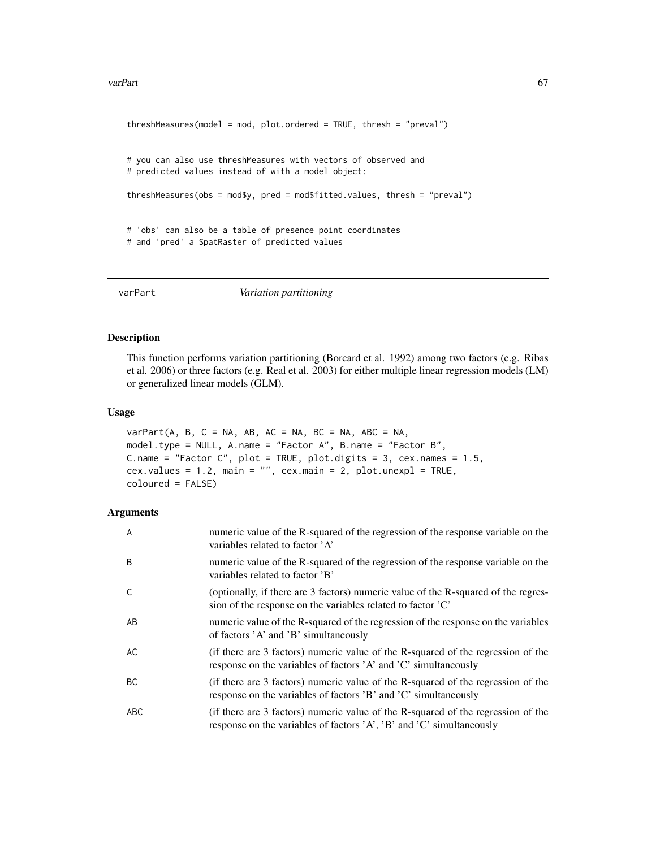#### <span id="page-66-0"></span>varPart 67

```
threshMeasures(model = mod, plot.ordered = TRUE, thresh = "preval")
# you can also use threshMeasures with vectors of observed and
# predicted values instead of with a model object:
threshMeasures(obs = mod$y, pred = mod$fitted.values, thresh = "preval")
# 'obs' can also be a table of presence point coordinates
# and 'pred' a SpatRaster of predicted values
```
varPart *Variation partitioning*

### Description

This function performs variation partitioning (Borcard et al. 1992) among two factors (e.g. Ribas et al. 2006) or three factors (e.g. Real et al. 2003) for either multiple linear regression models (LM) or generalized linear models (GLM).

### Usage

```
varPart(A, B, C = NA, AB, AC = NA, BC = NA, ABC = NA,model.type = NULL, A.name = "Factor A", B.name = "Factor B",
C.name = "Factor C", plot = TRUE, plot.digits = 3, cex.names = 1.5,
cex.values = 1.2, main = "", cex.main = 2, plot.unexpl = TRUE,
coloured = FALSE)
```

| A   | numeric value of the R-squared of the regression of the response variable on the<br>variables related to factor 'A'                                      |
|-----|----------------------------------------------------------------------------------------------------------------------------------------------------------|
| B   | numeric value of the R-squared of the regression of the response variable on the<br>variables related to factor 'B'                                      |
| C   | (optionally, if there are 3 factors) numeric value of the R-squared of the regres-<br>sion of the response on the variables related to factor 'C'        |
| AB  | numeric value of the R-squared of the regression of the response on the variables<br>of factors 'A' and 'B' simultaneously                               |
| АC  | (if there are 3 factors) numeric value of the R-squared of the regression of the<br>response on the variables of factors 'A' and 'C' simultaneously      |
| ВC  | (if there are 3 factors) numeric value of the R-squared of the regression of the<br>response on the variables of factors 'B' and 'C' simultaneously      |
| ABC | (if there are 3 factors) numeric value of the R-squared of the regression of the<br>response on the variables of factors 'A', 'B' and 'C' simultaneously |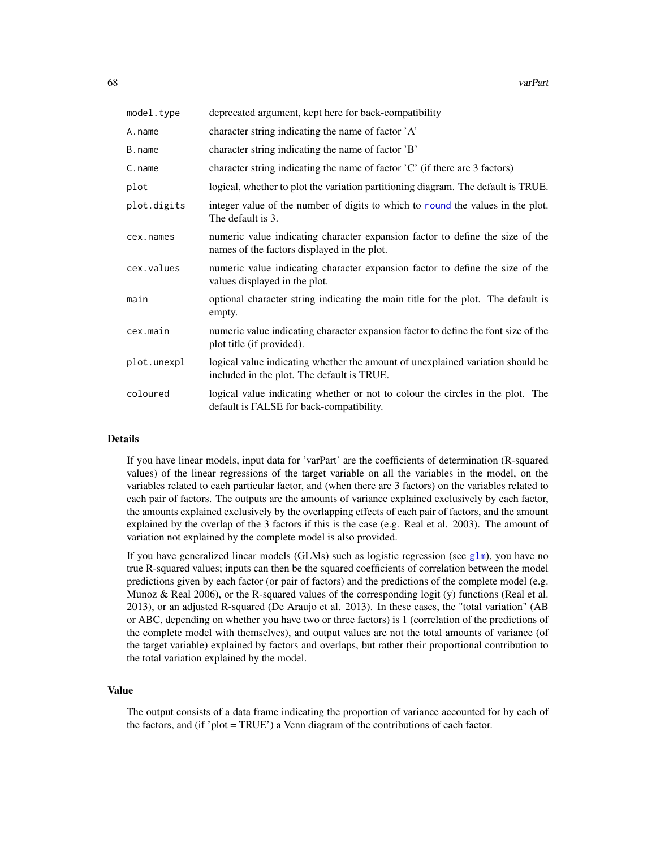<span id="page-67-0"></span>

| model.type  | deprecated argument, kept here for back-compatibility                                                                        |
|-------------|------------------------------------------------------------------------------------------------------------------------------|
| A.name      | character string indicating the name of factor 'A'                                                                           |
| B.name      | character string indicating the name of factor 'B'                                                                           |
| $C$ . name  | character string indicating the name of factor $C'$ (if there are 3 factors)                                                 |
| plot        | logical, whether to plot the variation partitioning diagram. The default is TRUE.                                            |
| plot.digits | integer value of the number of digits to which to round the values in the plot.<br>The default is 3.                         |
| cex.names   | numeric value indicating character expansion factor to define the size of the<br>names of the factors displayed in the plot. |
| cex.values  | numeric value indicating character expansion factor to define the size of the<br>values displayed in the plot.               |
| main        | optional character string indicating the main title for the plot. The default is<br>empty.                                   |
| cex.main    | numeric value indicating character expansion factor to define the font size of the<br>plot title (if provided).              |
| plot.unexpl | logical value indicating whether the amount of unexplained variation should be<br>included in the plot. The default is TRUE. |
| coloured    | logical value indicating whether or not to colour the circles in the plot. The<br>default is FALSE for back-compatibility.   |

### **Details**

If you have linear models, input data for 'varPart' are the coefficients of determination (R-squared values) of the linear regressions of the target variable on all the variables in the model, on the variables related to each particular factor, and (when there are 3 factors) on the variables related to each pair of factors. The outputs are the amounts of variance explained exclusively by each factor, the amounts explained exclusively by the overlapping effects of each pair of factors, and the amount explained by the overlap of the 3 factors if this is the case (e.g. Real et al. 2003). The amount of variation not explained by the complete model is also provided.

If you have generalized linear models (GLMs) such as logistic regression (see [glm](#page-0-0)), you have no true R-squared values; inputs can then be the squared coefficients of correlation between the model predictions given by each factor (or pair of factors) and the predictions of the complete model (e.g. Munoz & Real 2006), or the R-squared values of the corresponding logit (y) functions (Real et al. 2013), or an adjusted R-squared (De Araujo et al. 2013). In these cases, the "total variation" (AB or ABC, depending on whether you have two or three factors) is 1 (correlation of the predictions of the complete model with themselves), and output values are not the total amounts of variance (of the target variable) explained by factors and overlaps, but rather their proportional contribution to the total variation explained by the model.

### Value

The output consists of a data frame indicating the proportion of variance accounted for by each of the factors, and (if 'plot = TRUE') a Venn diagram of the contributions of each factor.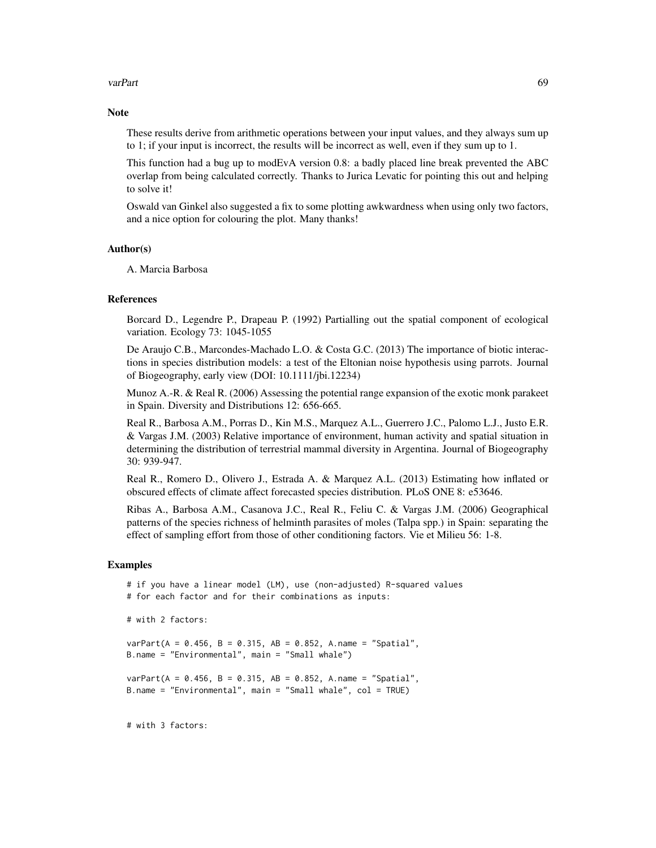#### varPart 69

#### **Note**

These results derive from arithmetic operations between your input values, and they always sum up to 1; if your input is incorrect, the results will be incorrect as well, even if they sum up to 1.

This function had a bug up to modEvA version 0.8: a badly placed line break prevented the ABC overlap from being calculated correctly. Thanks to Jurica Levatic for pointing this out and helping to solve it!

Oswald van Ginkel also suggested a fix to some plotting awkwardness when using only two factors, and a nice option for colouring the plot. Many thanks!

### Author(s)

A. Marcia Barbosa

### References

Borcard D., Legendre P., Drapeau P. (1992) Partialling out the spatial component of ecological variation. Ecology 73: 1045-1055

De Araujo C.B., Marcondes-Machado L.O. & Costa G.C. (2013) The importance of biotic interactions in species distribution models: a test of the Eltonian noise hypothesis using parrots. Journal of Biogeography, early view (DOI: 10.1111/jbi.12234)

Munoz A.-R. & Real R. (2006) Assessing the potential range expansion of the exotic monk parakeet in Spain. Diversity and Distributions 12: 656-665.

Real R., Barbosa A.M., Porras D., Kin M.S., Marquez A.L., Guerrero J.C., Palomo L.J., Justo E.R. & Vargas J.M. (2003) Relative importance of environment, human activity and spatial situation in determining the distribution of terrestrial mammal diversity in Argentina. Journal of Biogeography 30: 939-947.

Real R., Romero D., Olivero J., Estrada A. & Marquez A.L. (2013) Estimating how inflated or obscured effects of climate affect forecasted species distribution. PLoS ONE 8: e53646.

Ribas A., Barbosa A.M., Casanova J.C., Real R., Feliu C. & Vargas J.M. (2006) Geographical patterns of the species richness of helminth parasites of moles (Talpa spp.) in Spain: separating the effect of sampling effort from those of other conditioning factors. Vie et Milieu 56: 1-8.

### Examples

```
# if you have a linear model (LM), use (non-adjusted) R-squared values
# for each factor and for their combinations as inputs:
# with 2 factors:
varPart(A = 0.456, B = 0.315, AB = 0.852, A.name = "Spatial",B.name = "Environmental", main = "Small whale")
varPart(A = 0.456, B = 0.315, AB = 0.852, A.name = "Spatial",B.name = "Environmental", main = "Small whale", col = TRUE)
```
# with 3 factors: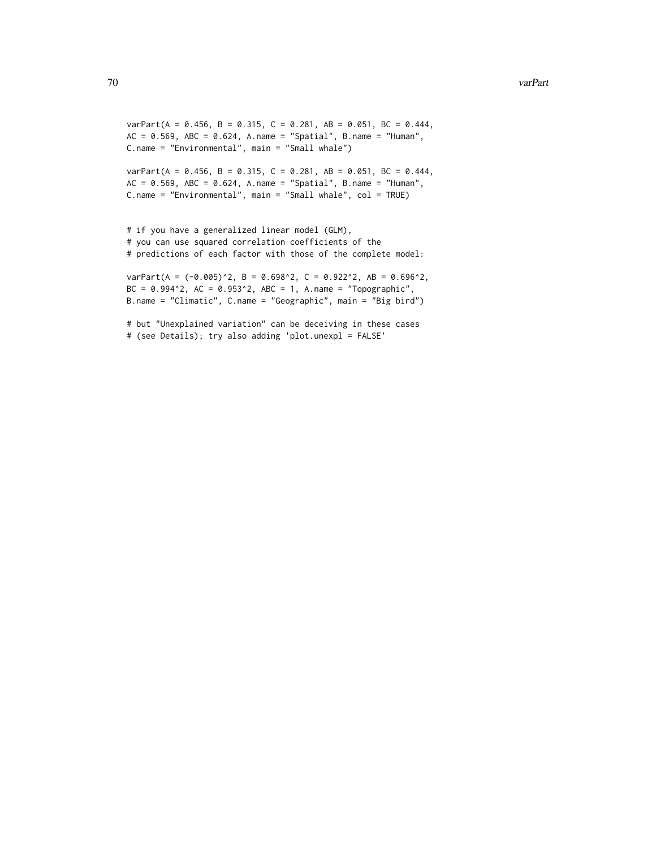#### 70 varPart

```
varPart(A = 0.456, B = 0.315, C = 0.281, AB = 0.051, BC = 0.444,AC = 0.569, ABC = 0.624, A.name = "Spatial", B.name = "Human",
C.name = "Environmental", main = "Small whale")
```

```
varPart(A = 0.456, B = 0.315, C = 0.281, AB = 0.051, BC = 0.444,AC = 0.569, ABC = 0.624, A.name = "Spatial", B.name = "Human",C.name = "Environmental", main = "Small whale", col = TRUE)
```

```
# if you have a generalized linear model (GLM),
# you can use squared correlation coefficients of the
# predictions of each factor with those of the complete model:
```

```
varPart(A = (-0.005)^2, B = 0.698^2, C = 0.922^2, AB = 0.696^2,
BC = 0.994^2, AC = 0.953^2, ABC = 1, A.name = "Topographic",B.name = "Climatic", C.name = "Geographic", main = "Big bird")
```

```
# but "Unexplained variation" can be deceiving in these cases
# (see Details); try also adding 'plot.unexpl = FALSE'
```